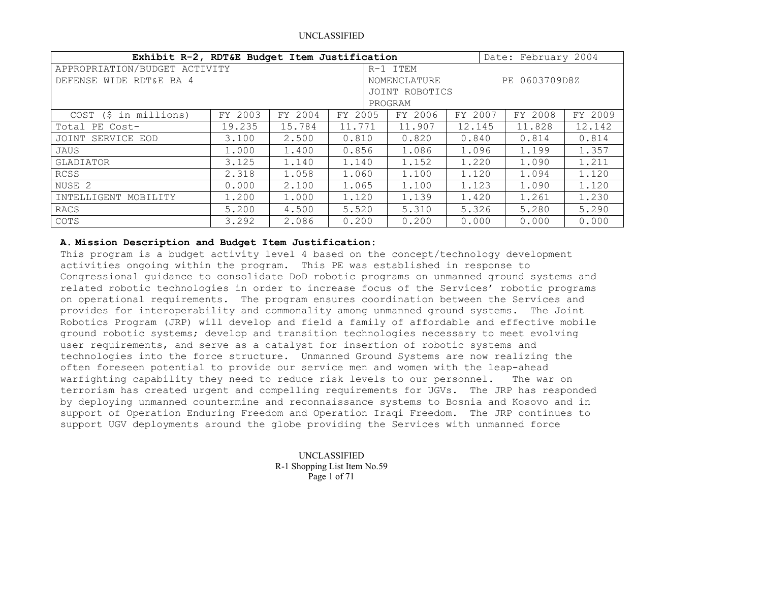| Exhibit R-2, RDT&E Budget Item Justification |         |         |             |                |         | Date: February 2004 |         |
|----------------------------------------------|---------|---------|-------------|----------------|---------|---------------------|---------|
| APPROPRIATION/BUDGET ACTIVITY                |         |         |             | R-1 ITEM       |         |                     |         |
| DEFENSE WIDE RDT&E BA 4                      |         |         |             | NOMENCLATURE   |         | PE 0603709D8Z       |         |
|                                              |         |         |             | JOINT ROBOTICS |         |                     |         |
|                                              |         |         |             | PROGRAM        |         |                     |         |
| (\$ in millions)<br>COST                     | FY 2003 | FY 2004 | 2005<br>FY. | FY 2006        | FY 2007 | FY 2008             | FY 2009 |
| Total PE Cost-                               | 19.235  | 15.784  | 11.771      | 11.907         | 12.145  | 11.828              | 12.142  |
| SERVICE EOD<br>JOINT                         | 3.100   | 2.500   | 0.810       | 0.820          | 0.840   | 0.814               | 0.814   |
| <b>JAUS</b>                                  | 1,000   | 1.400   | 0.856       | 1.086          | 1.096   | 1.199               | 1.357   |
| <b>GLADIATOR</b>                             | 3.125   | 1.140   | 1.140       | 1.152          | 1.220   | 1.090               | 1.211   |
| <b>RCSS</b>                                  | 2.318   | 1.058   | 1.060       | 1.100          | 1.120   | 1.094               | 1.120   |
| NUSE 2                                       | 0.000   | 2.100   | 1.065       | 1.100          | 1.123   | 1.090               | 1.120   |
| INTELLIGENT MOBILITY                         | 1,200   | 1,000   | 1.120       | 1.139          | 1.420   | 1.261               | 1.230   |
| <b>RACS</b>                                  | 5.200   | 4.500   | 5.520       | 5.310          | 5.326   | 5.280               | 5.290   |
| COTS                                         | 3.292   | 2.086   | 0.200       | 0.200          | 0.000   | 0.000               | 0.000   |

#### **A. Mission Description and Budget Item Justification:**

This program is a budget activity level 4 based on the concept/technology development activities ongoing within the program. This PE was established in response to Congressional guidance to consolidate DoD robotic programs on unmanned ground systems and related robotic technologies in order to increase focus of the Services' robotic programs on operational requirements. The program ensures coordination between the Services and provides for interoperability and commonality among unmanned ground systems. The Joint Robotics Program (JRP) will develop and field a family of affordable and effective mobile ground robotic systems; develop and transition technologies necessary to meet evolving user requirements, and serve as a catalyst for insertion of robotic systems and technologies into the force structure. Unmanned Ground Systems are now realizing the often foreseen potential to provide our service men and women with the leap-ahead warfighting capability they need to reduce risk levels to our personnel. The war on terrorism has created urgent and compelling requirements for UGVs. The JRP has responded by deploying unmanned countermine and reconnaissance systems to Bosnia and Kosovo and in support of Operation Enduring Freedom and Operation Iraqi Freedom. The JRP continues to support UGV deployments around the globe providing the Services with unmanned force

> UNCLASSIFIED R-1 Shopping List Item No.59 Page 1 of 71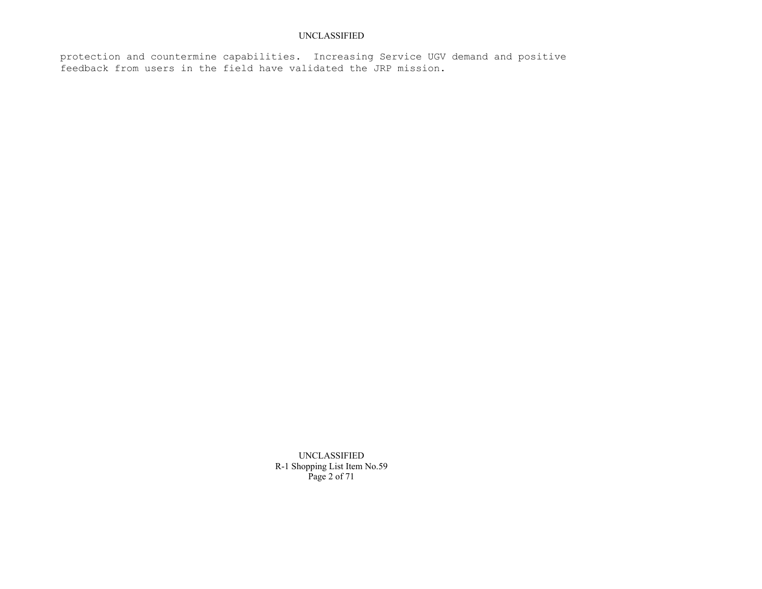protection and countermine capabilities. Increasing Service UGV demand and positive feedback from users in the field have validated the JRP mission.

> UNCLASSIFIED R-1 Shopping List Item No.59 Page 2 of 71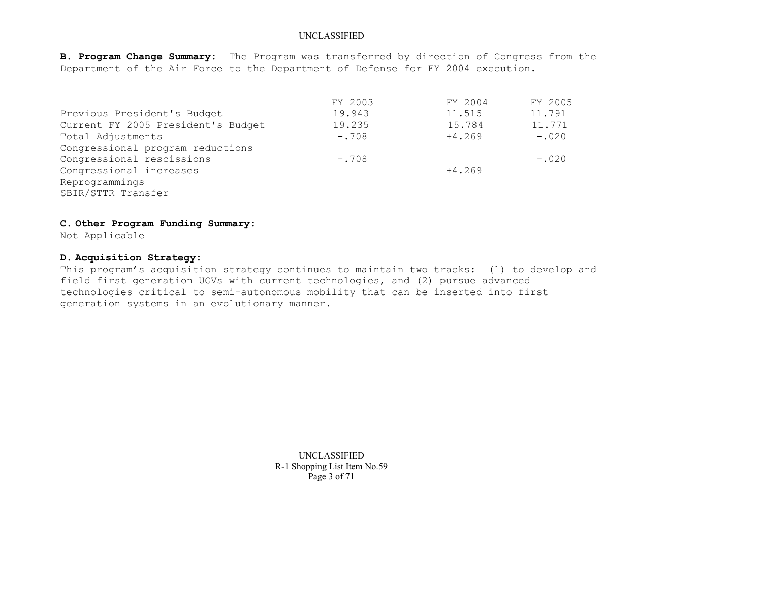**B. Program Change Summary:** The Program was transferred by direction of Congress from the Department of the Air Force to the Department of Defense for FY 2004 execution.

|                                    | FY 2003 | FY 2004  | FY 2005 |
|------------------------------------|---------|----------|---------|
| Previous President's Budget        | 19.943  | 11.515   | 11.791  |
| Current FY 2005 President's Budget | 19.235  | 15.784   | 11.771  |
| Total Adjustments                  | $-.708$ | $+4.269$ | $-.020$ |
| Congressional program reductions   |         |          |         |
| Congressional rescissions          | $-.708$ |          | $-.020$ |
| Congressional increases            |         | $+4.269$ |         |
| Reprogrammings                     |         |          |         |
| SBIR/STTR Transfer                 |         |          |         |

#### **C. Other Program Funding Summary:**

Not Applicable

# **D. Acquisition Strategy:**

This program's acquisition strategy continues to maintain two tracks: (1) to develop and field first generation UGVs with current technologies, and (2) pursue advanced technologies critical to semi-autonomous mobility that can be inserted into first generation systems in an evolutionary manner.

> UNCLASSIFIED R-1 Shopping List Item No.59 Page 3 of 71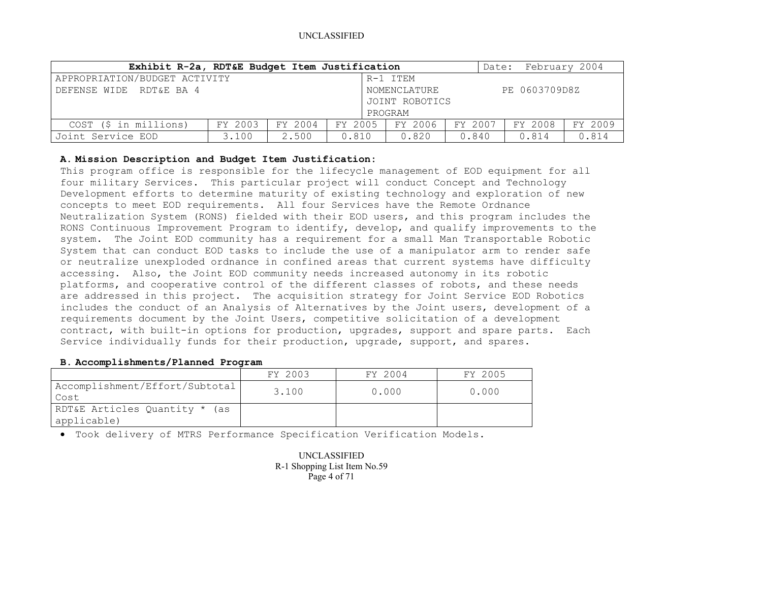| Exhibit R-2a, RDT&E Budget Item Justification | Date:   | February 2004 |         |                |         |               |         |
|-----------------------------------------------|---------|---------------|---------|----------------|---------|---------------|---------|
| APPROPRIATION/BUDGET ACTIVITY                 |         |               |         | R-1 ITEM       |         |               |         |
| DEFENSE WIDE RDT&E BA 4                       |         |               |         | NOMENCLATURE   |         | PE 0603709D8Z |         |
|                                               |         |               |         | JOINT ROBOTICS |         |               |         |
|                                               |         |               |         | PROGRAM        |         |               |         |
| $COST$ (\$ in millions)                       | FY 2003 | FY 2004       | FY 2005 | FY 2006        | FY 2007 | FY 2008       | FY 2009 |
| Joint Service EOD                             | 3.100   | 2.500         | 0.810   | 0.820          | 0.840   | 0.814         | 0.814   |

#### **A. Mission Description and Budget Item Justification:**

This program office is responsible for the lifecycle management of EOD equipment for all four military Services. This particular project will conduct Concept and Technology Development efforts to determine maturity of existing technology and exploration of new concepts to meet EOD requirements. All four Services have the Remote Ordnance Neutralization System (RONS) fielded with their EOD users, and this program includes the RONS Continuous Improvement Program to identify, develop, and qualify improvements to the system. The Joint EOD community has a requirement for a small Man Transportable Robotic System that can conduct EOD tasks to include the use of a manipulator arm to render safe or neutralize unexploded ordnance in confined areas that current systems have difficulty accessing. Also, the Joint EOD community needs increased autonomy in its robotic platforms, and cooperative control of the different classes of robots, and these needs are addressed in this project. The acquisition strategy for Joint Service EOD Robotics includes the conduct of an Analysis of Alternatives by the Joint users, development of a requirements document by the Joint Users, competitive solicitation of a development contract, with built-in options for production, upgrades, support and spare parts. Each Service individually funds for their production, upgrade, support, and spares.

#### **B. Accomplishments/Planned Program**

|                                              | FY 2003 | FY 2004 | FY 2005 |
|----------------------------------------------|---------|---------|---------|
| Accomplishment/Effort/Subtotal<br>Cost       | 3.100   | 0.000   | 0.000   |
| RDT&E Articles Quantity * (as<br>applicable) |         |         |         |

• Took delivery of MTRS Performance Specification Verification Models.

UNCLASSIFIED R-1 Shopping List Item No.59 Page 4 of 71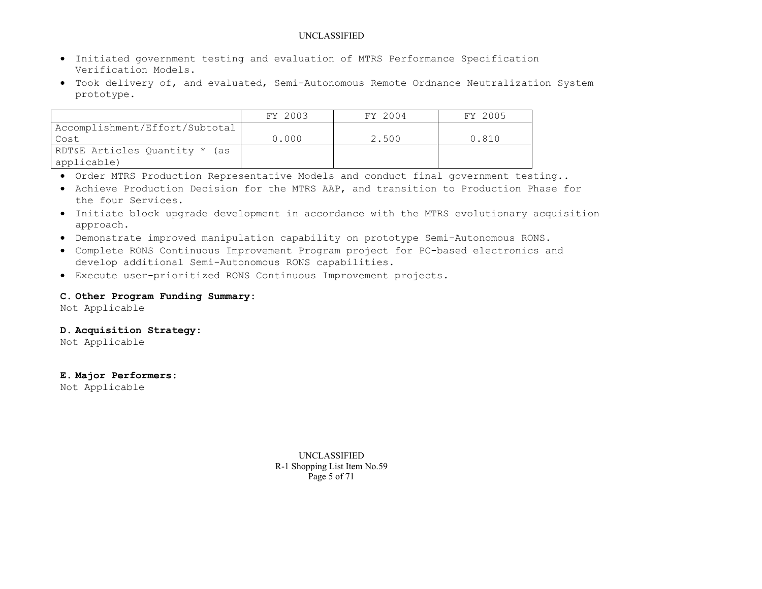- Initiated government testing and evaluation of MTRS Performance Specification Verification Models.
- Took delivery of, and evaluated, Semi-Autonomous Remote Ordnance Neutralization System prototype.

|                                | FY 2003 | FY 2004 | FY 2005 |
|--------------------------------|---------|---------|---------|
| Accomplishment/Effort/Subtotal |         |         |         |
| Cost                           | 0.000   | 2.500   | 0.810   |
| RDT&E Articles Quantity * (as  |         |         |         |
| applicable)                    |         |         |         |

- Order MTRS Production Representative Models and conduct final government testing..
- Achieve Production Decision for the MTRS AAP, and transition to Production Phase for the four Services.
- Initiate block upgrade development in accordance with the MTRS evolutionary acquisition approach.
- Demonstrate improved manipulation capability on prototype Semi-Autonomous RONS.
- Complete RONS Continuous Improvement Program project for PC-based electronics and develop additional Semi-Autonomous RONS capabilities.
- Execute user-prioritized RONS Continuous Improvement projects.

# **C. Other Program Funding Summary:**

Not Applicable

# **D. Acquisition Strategy:**

Not Applicable

### **E. Major Performers:**

Not Applicable

UNCLASSIFIED R-1 Shopping List Item No.59 Page 5 of 71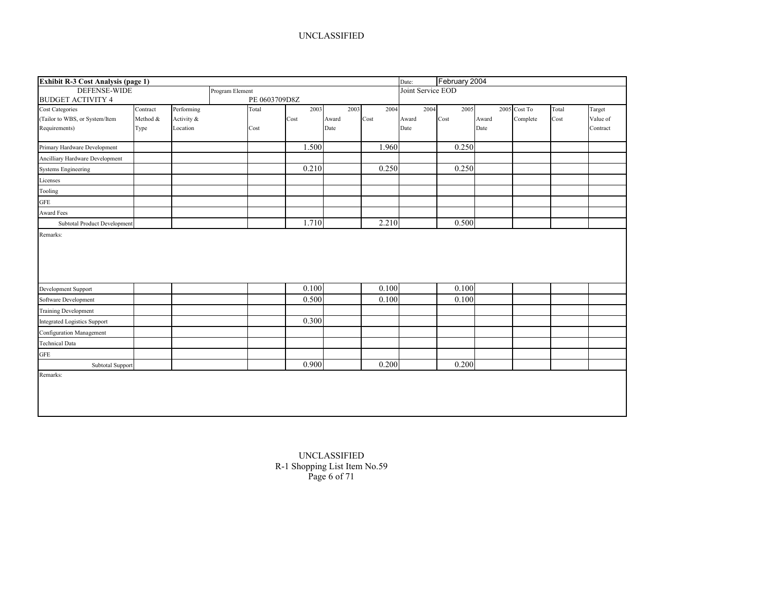| <b>DEFENSE-WIDE</b>             | <b>Exhibit R-3 Cost Analysis (page 1)</b> |            |                 |               |       |       |       | Date:             | February 2004 |       |              |       |          |
|---------------------------------|-------------------------------------------|------------|-----------------|---------------|-------|-------|-------|-------------------|---------------|-------|--------------|-------|----------|
|                                 |                                           |            | Program Element |               |       |       |       | Joint Service EOD |               |       |              |       |          |
| <b>BUDGET ACTIVITY 4</b>        |                                           |            |                 | PE 0603709D8Z |       |       |       |                   |               |       |              |       |          |
| Cost Categories                 | Contract                                  | Performing |                 | Total         | 2003  | 2003  | 2004  | 2004              | 2005          |       | 2005 Cost To | Total | Target   |
| (Tailor to WBS, or System/Item  | Method &                                  | Activity & |                 |               | Cost  | Award | Cost  | Award             | Cost          | Award | Complete     | Cost  | Value of |
| Requirements)                   | Type                                      | Location   |                 | Cost          |       | Date  |       | Date              |               | Date  |              |       | Contract |
| Primary Hardware Development    |                                           |            |                 |               | 1.500 |       | 1.960 |                   | 0.250         |       |              |       |          |
| Ancilliary Hardware Development |                                           |            |                 |               |       |       |       |                   |               |       |              |       |          |
| <b>Systems Engineering</b>      |                                           |            |                 |               | 0.210 |       | 0.250 |                   | 0.250         |       |              |       |          |
| Licenses                        |                                           |            |                 |               |       |       |       |                   |               |       |              |       |          |
| Tooling                         |                                           |            |                 |               |       |       |       |                   |               |       |              |       |          |
| ${\rm GFE}$                     |                                           |            |                 |               |       |       |       |                   |               |       |              |       |          |
| <b>Award Fees</b>               |                                           |            |                 |               |       |       |       |                   |               |       |              |       |          |
| Subtotal Product Development    |                                           |            |                 |               | 1.710 |       | 2.210 |                   | 0.500         |       |              |       |          |
|                                 |                                           |            |                 |               |       |       |       |                   |               |       |              |       |          |
|                                 |                                           |            |                 |               |       |       |       |                   |               |       |              |       |          |
| Development Support             |                                           |            |                 |               | 0.100 |       | 0.100 |                   | 0.100         |       |              |       |          |
| Software Development            |                                           |            |                 |               | 0.500 |       | 0.100 |                   | 0.100         |       |              |       |          |
| <b>Training Development</b>     |                                           |            |                 |               |       |       |       |                   |               |       |              |       |          |
| Integrated Logistics Support    |                                           |            |                 |               | 0.300 |       |       |                   |               |       |              |       |          |
| Configuration Management        |                                           |            |                 |               |       |       |       |                   |               |       |              |       |          |
| <b>Technical Data</b>           |                                           |            |                 |               |       |       |       |                   |               |       |              |       |          |
| <b>GFE</b>                      |                                           |            |                 |               |       |       |       |                   |               |       |              |       |          |
| Subtotal Support                |                                           |            |                 |               | 0.900 |       | 0.200 |                   | 0.200         |       |              |       |          |

UNCLASSIFIED R-1 Shopping List Item No.59 Page 6 of 71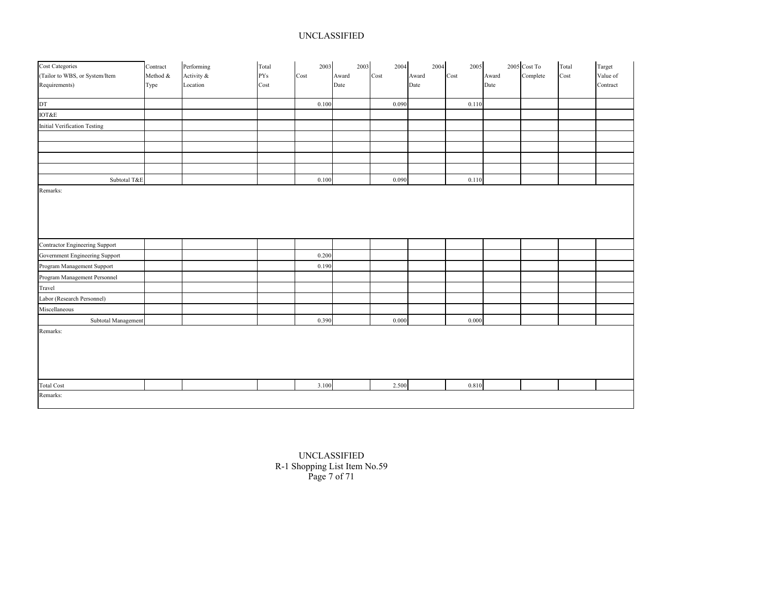| Cost Categories                     | Contract | Performing | Total      | 2003  | 2003  | 2004  | 2004  | 2005  |       | $2005$ Cost To $\,$ | Total | Target   |
|-------------------------------------|----------|------------|------------|-------|-------|-------|-------|-------|-------|---------------------|-------|----------|
| (Tailor to WBS, or System/Item      | Method & | Activity & | <b>PYs</b> | Cost  | Award | Cost  | Award | Cost  | Award | Complete            | Cost  | Value of |
| Requirements)                       | Type     | Location   | Cost       |       | Date  |       | Date  |       | Date  |                     |       | Contract |
| $\mathop{\rm DT}\nolimits$          |          |            |            | 0.100 |       | 0.090 |       | 0.110 |       |                     |       |          |
| <b>IOT&amp;E</b>                    |          |            |            |       |       |       |       |       |       |                     |       |          |
| <b>Initial Verification Testing</b> |          |            |            |       |       |       |       |       |       |                     |       |          |
|                                     |          |            |            |       |       |       |       |       |       |                     |       |          |
|                                     |          |            |            |       |       |       |       |       |       |                     |       |          |
|                                     |          |            |            |       |       |       |       |       |       |                     |       |          |
|                                     |          |            |            |       |       |       |       |       |       |                     |       |          |
| Subtotal $T\&E$                     |          |            |            | 0.100 |       | 0.090 |       | 0.110 |       |                     |       |          |
| Remarks:                            |          |            |            |       |       |       |       |       |       |                     |       |          |
|                                     |          |            |            |       |       |       |       |       |       |                     |       |          |
|                                     |          |            |            |       |       |       |       |       |       |                     |       |          |
|                                     |          |            |            |       |       |       |       |       |       |                     |       |          |
|                                     |          |            |            |       |       |       |       |       |       |                     |       |          |
| Contractor Engineering Support      |          |            |            |       |       |       |       |       |       |                     |       |          |
| Government Engineering Support      |          |            |            | 0.200 |       |       |       |       |       |                     |       |          |
| Program Management Support          |          |            |            | 0.190 |       |       |       |       |       |                     |       |          |
| Program Management Personnel        |          |            |            |       |       |       |       |       |       |                     |       |          |
| Travel                              |          |            |            |       |       |       |       |       |       |                     |       |          |
| Labor (Research Personnel)          |          |            |            |       |       |       |       |       |       |                     |       |          |
| Miscellaneous                       |          |            |            |       |       |       |       |       |       |                     |       |          |
| Subtotal Management                 |          |            |            | 0.390 |       | 0.000 |       | 0.000 |       |                     |       |          |
| Remarks:                            |          |            |            |       |       |       |       |       |       |                     |       |          |
|                                     |          |            |            |       |       |       |       |       |       |                     |       |          |
|                                     |          |            |            |       |       |       |       |       |       |                     |       |          |
|                                     |          |            |            |       |       |       |       |       |       |                     |       |          |
|                                     |          |            |            |       |       |       |       |       |       |                     |       |          |
| <b>Total Cost</b>                   |          |            |            | 3.100 |       | 2.500 |       | 0.810 |       |                     |       |          |
| Remarks:                            |          |            |            |       |       |       |       |       |       |                     |       |          |

UNCLASSIFIED R-1 Shopping List Item No.59 Page 7 of 71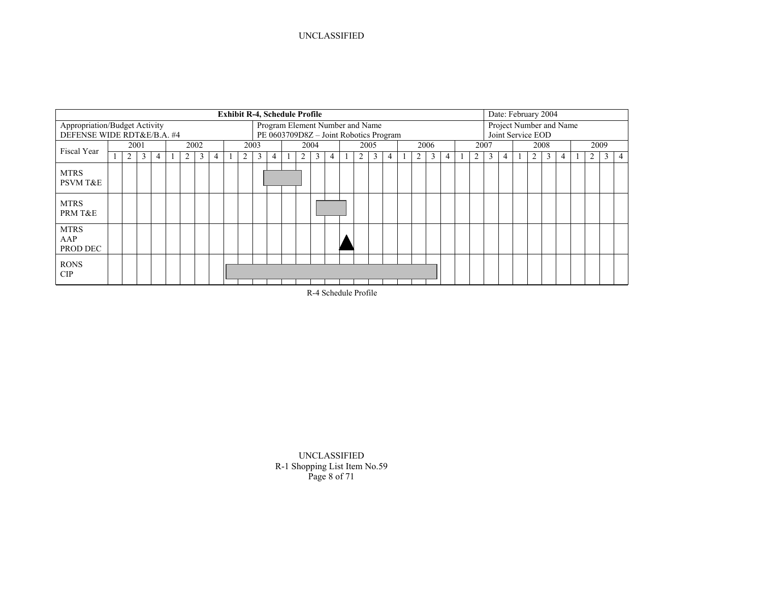|                                    | <b>Exhibit R-4, Schedule Profile</b> |      |   |   |  |   |      |   |  |                                        |      |   |                                 |   | Date: February 2004                           |   |      |   |                   |   |      |   |  |      |   |   |                         |      |   |                |   |   |
|------------------------------------|--------------------------------------|------|---|---|--|---|------|---|--|----------------------------------------|------|---|---------------------------------|---|-----------------------------------------------|---|------|---|-------------------|---|------|---|--|------|---|---|-------------------------|------|---|----------------|---|---|
| Appropriation/Budget Activity      |                                      |      |   |   |  |   |      |   |  |                                        |      |   | Program Element Number and Name |   |                                               |   |      |   |                   |   |      |   |  |      |   |   | Project Number and Name |      |   |                |   |   |
| DEFENSE WIDE RDT&E/B.A. #4         |                                      |      |   |   |  |   |      |   |  | PE 0603709D8Z - Joint Robotics Program |      |   |                                 |   |                                               |   |      |   | Joint Service EOD |   |      |   |  |      |   |   |                         |      |   |                |   |   |
| Fiscal Year                        |                                      | 2001 |   |   |  |   | 2002 |   |  |                                        | 2003 |   |                                 |   | 2004                                          |   | 2005 |   |                   |   | 2006 |   |  | 2007 |   |   |                         | 2008 |   | 2009           |   |   |
|                                    |                                      |      | 3 | 4 |  | 2 | 3    | 4 |  | 2                                      | 3    | 4 |                                 | 2 | 3                                             | 4 | 2    | 3 | 4                 | 2 | 3    | 4 |  | 2    | 3 | 4 | $\overline{2}$          | 3    | 4 | $\overline{2}$ | 3 | 4 |
| <b>MTRS</b><br><b>PSVM T&amp;E</b> |                                      |      |   |   |  |   |      |   |  |                                        |      |   |                                 |   |                                               |   |      |   |                   |   |      |   |  |      |   |   |                         |      |   |                |   |   |
| <b>MTRS</b><br>PRM T&E             |                                      |      |   |   |  |   |      |   |  |                                        |      |   |                                 |   |                                               |   |      |   |                   |   |      |   |  |      |   |   |                         |      |   |                |   |   |
| <b>MTRS</b><br>AAP<br>PROD DEC     |                                      |      |   |   |  |   |      |   |  |                                        |      |   |                                 |   |                                               |   |      |   |                   |   |      |   |  |      |   |   |                         |      |   |                |   |   |
| <b>RONS</b><br>CIP                 |                                      |      |   |   |  |   |      |   |  |                                        |      |   |                                 |   |                                               |   |      |   |                   |   |      |   |  |      |   |   |                         |      |   |                |   |   |
|                                    |                                      |      |   |   |  |   |      |   |  |                                        |      |   |                                 |   | $D \neq C_2$ and $J_2$ $D_{\text{max}}$ $C_1$ |   |      |   |                   |   |      |   |  |      |   |   |                         |      |   |                |   |   |

R-4 Schedule Profile

UNCLASSIFIED R-1 Shopping List Item No.59 Page 8 of 71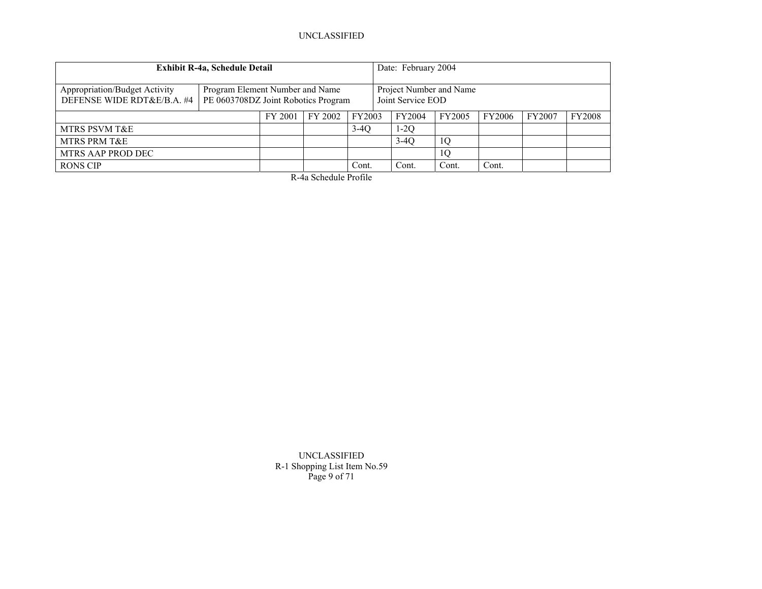|                               | <b>Exhibit R-4a, Schedule Detail</b> |                         |         | Date: February 2004 |                   |        |        |        |        |               |  |
|-------------------------------|--------------------------------------|-------------------------|---------|---------------------|-------------------|--------|--------|--------|--------|---------------|--|
|                               |                                      |                         |         |                     |                   |        |        |        |        |               |  |
| Appropriation/Budget Activity |                                      | Project Number and Name |         |                     |                   |        |        |        |        |               |  |
| DEFENSE WIDE RDT&E/B.A. #4    | PE 0603708DZ Joint Robotics Program  |                         |         |                     | Joint Service EOD |        |        |        |        |               |  |
|                               |                                      | FY 2001                 | FY 2002 | FY2003              |                   | FY2004 | FY2005 | FY2006 | FY2007 | <b>FY2008</b> |  |
| MTRS PSVM T&E                 |                                      |                         |         | $3-40$              |                   | $1-2Q$ |        |        |        |               |  |
| MTRS PRM T&E                  |                                      |                         |         |                     |                   | $3-40$ | 1Q     |        |        |               |  |
| MTRS AAP PROD DEC             |                                      |                         |         |                     |                   |        | 1Q     |        |        |               |  |
| <b>RONS CIP</b>               | Cont.                                |                         | Cont.   | Cont                | Cont.             |        |        |        |        |               |  |

R-4a Schedule Profile

UNCLASSIFIED R-1 Shopping List Item No.59 Page 9 of 71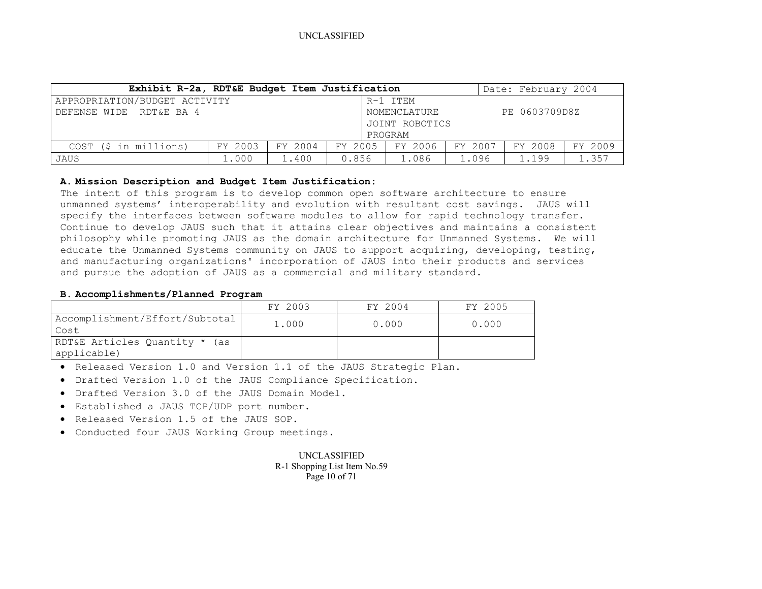| Exhibit R-2a, RDT&E Budget Item Justification |         | Date: February 2004 |         |                |         |               |         |
|-----------------------------------------------|---------|---------------------|---------|----------------|---------|---------------|---------|
| APPROPRIATION/BUDGET ACTIVITY                 |         |                     |         | R-1 ITEM       |         |               |         |
| DEFENSE WIDE RDT&E BA 4                       |         |                     |         | NOMENCLATURE   |         | PE 0603709D8Z |         |
|                                               |         |                     |         | JOINT ROBOTICS |         |               |         |
|                                               |         |                     |         | PROGRAM        |         |               |         |
| in millions)<br>COST<br>( S                   | FY 2003 | FY 2004             | FY 2005 | FY 2006        | FY 2007 | FY 2008       | FY 2009 |
| <b>JAUS</b>                                   | 1.000   | 1.400               | 0.856   | 086            | 1.096   | .199          | 1.357   |

### **A. Mission Description and Budget Item Justification:**

The intent of this program is to develop common open software architecture to ensure unmanned systems' interoperability and evolution with resultant cost savings. JAUS will specify the interfaces between software modules to allow for rapid technology transfer. Continue to develop JAUS such that it attains clear objectives and maintains a consistent philosophy while promoting JAUS as the domain architecture for Unmanned Systems. We will educate the Unmanned Systems community on JAUS to support acquiring, developing, testing, and manufacturing organizations' incorporation of JAUS into their products and services and pursue the adoption of JAUS as a commercial and military standard.

#### **B. Accomplishments/Planned Program**

|                                              | FY 2003 | FY 2004 | FY 2005 |
|----------------------------------------------|---------|---------|---------|
| Accomplishment/Effort/Subtotal<br>Cost       | 1,000   | 0.000   | 0.000   |
| RDT&E Articles Quantity * (as<br>applicable) |         |         |         |

• Released Version 1.0 and Version 1.1 of the JAUS Strategic Plan.

• Drafted Version 1.0 of the JAUS Compliance Specification.

- Drafted Version 3.0 of the JAUS Domain Model.
- Established a JAUS TCP/UDP port number.
- Released Version 1.5 of the JAUS SOP.
- Conducted four JAUS Working Group meetings.

UNCLASSIFIED R-1 Shopping List Item No.59 Page 10 of 71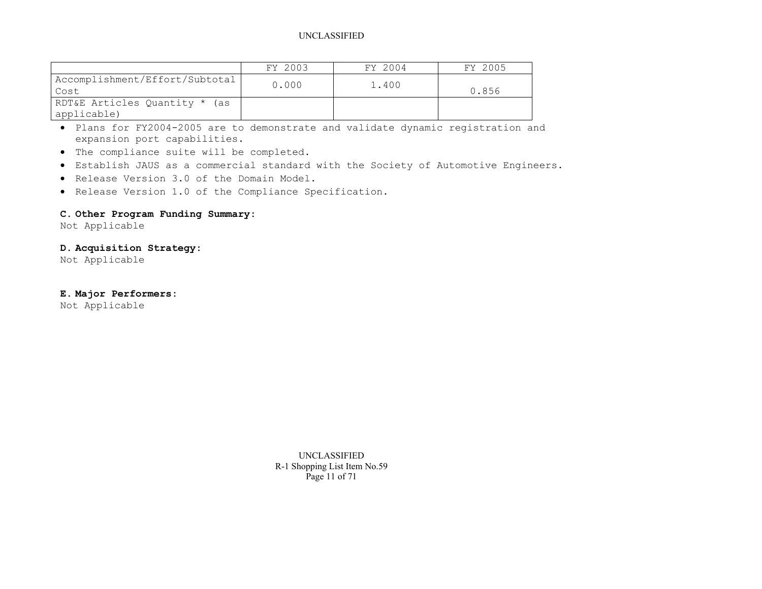|                                              | FY 2003 | FY 2004 | FY 2005 |
|----------------------------------------------|---------|---------|---------|
| Accomplishment/Effort/Subtotal<br>Cost       | 0.000   | 1.400   | 0.856   |
| RDT&E Articles Quantity * (as<br>applicable) |         |         |         |

- Plans for FY2004-2005 are to demonstrate and validate dynamic registration and expansion port capabilities.
- The compliance suite will be completed.
- Establish JAUS as a commercial standard with the Society of Automotive Engineers.
- Release Version 3.0 of the Domain Model.
- Release Version 1.0 of the Compliance Specification.

# **C. Other Program Funding Summary:**

Not Applicable

# **D. Acquisition Strategy:**

Not Applicable

**E. Major Performers:** 

Not Applicable

UNCLASSIFIED R-1 Shopping List Item No.59 Page 11 of 71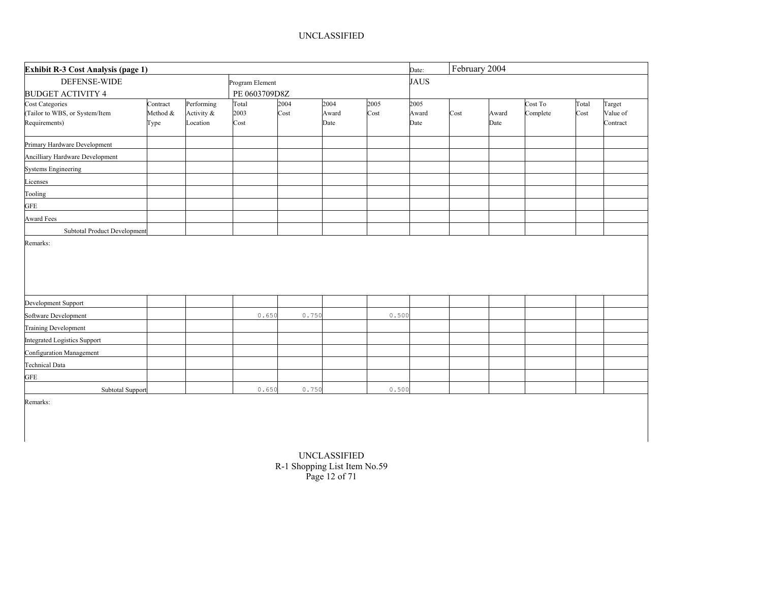| <b>Exhibit R-3 Cost Analysis (page 1)</b>                                 |                              |                                      |                       |              |                       |              | Date:                 | February 2004 |               |                     |               |                                |
|---------------------------------------------------------------------------|------------------------------|--------------------------------------|-----------------------|--------------|-----------------------|--------------|-----------------------|---------------|---------------|---------------------|---------------|--------------------------------|
| <b>DEFENSE-WIDE</b>                                                       |                              |                                      | Program Element       |              |                       |              | <b>JAUS</b>           |               |               |                     |               |                                |
| <b>BUDGET ACTIVITY 4</b>                                                  |                              |                                      | PE 0603709D8Z         |              |                       |              |                       |               |               |                     |               |                                |
| <b>Cost Categories</b><br>(Tailor to WBS, or System/Item<br>Requirements) | Contract<br>Method &<br>Type | Performing<br>Activity &<br>Location | Total<br>2003<br>Cost | 2004<br>Cost | 2004<br>Award<br>Date | 2005<br>Cost | 2005<br>Award<br>Date | Cost          | Award<br>Date | Cost To<br>Complete | Total<br>Cost | Target<br>Value of<br>Contract |
| Primary Hardware Development                                              |                              |                                      |                       |              |                       |              |                       |               |               |                     |               |                                |
| Ancilliary Hardware Development                                           |                              |                                      |                       |              |                       |              |                       |               |               |                     |               |                                |
| <b>Systems Engineering</b>                                                |                              |                                      |                       |              |                       |              |                       |               |               |                     |               |                                |
| Licenses                                                                  |                              |                                      |                       |              |                       |              |                       |               |               |                     |               |                                |
| Tooling                                                                   |                              |                                      |                       |              |                       |              |                       |               |               |                     |               |                                |
| <b>GFE</b>                                                                |                              |                                      |                       |              |                       |              |                       |               |               |                     |               |                                |
| <b>Award Fees</b>                                                         |                              |                                      |                       |              |                       |              |                       |               |               |                     |               |                                |
| <b>Subtotal Product Development</b>                                       |                              |                                      |                       |              |                       |              |                       |               |               |                     |               |                                |
|                                                                           |                              |                                      |                       |              |                       |              |                       |               |               |                     |               |                                |
| Development Support                                                       |                              |                                      |                       |              |                       |              |                       |               |               |                     |               |                                |
| Software Development                                                      |                              |                                      | 0.650                 | 0.750        |                       | 0.500        |                       |               |               |                     |               |                                |
| <b>Training Development</b>                                               |                              |                                      |                       |              |                       |              |                       |               |               |                     |               |                                |
| <b>Integrated Logistics Support</b>                                       |                              |                                      |                       |              |                       |              |                       |               |               |                     |               |                                |
| Configuration Management                                                  |                              |                                      |                       |              |                       |              |                       |               |               |                     |               |                                |
| <b>Technical Data</b>                                                     |                              |                                      |                       |              |                       |              |                       |               |               |                     |               |                                |
| <b>GFE</b>                                                                |                              |                                      |                       |              |                       |              |                       |               |               |                     |               |                                |
| Subtotal Support                                                          |                              |                                      | 0.650                 | 0.750        |                       | 0.500        |                       |               |               |                     |               |                                |
| Remarks:                                                                  |                              |                                      |                       |              |                       |              |                       |               |               |                     |               |                                |

UNCLASSIFIED R-1 Shopping List Item No.59 Page 12 of 71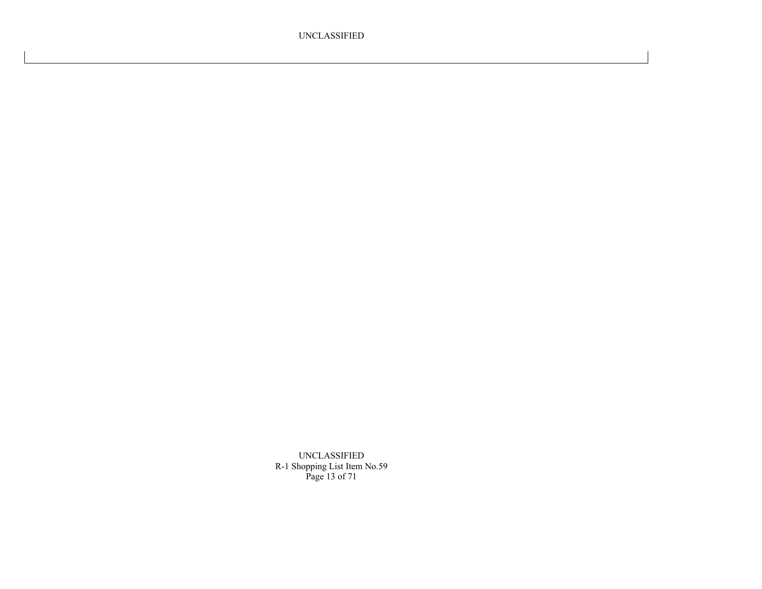UNCLASSIFIED R-1 Shopping List Item No.59 Page 13 of 71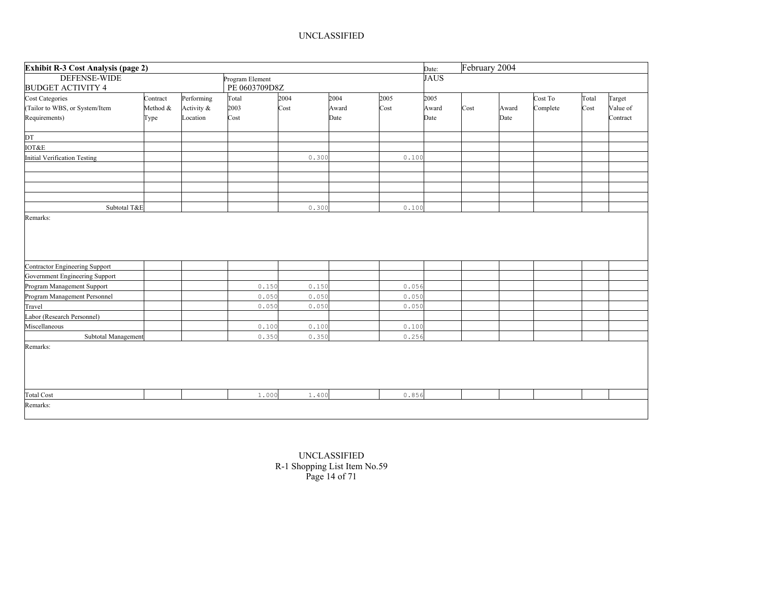| <b>Exhibit R-3 Cost Analysis (page 2)</b> |          |            |                 |       |       |       | Date:       |      | February 2004 |          |       |          |
|-------------------------------------------|----------|------------|-----------------|-------|-------|-------|-------------|------|---------------|----------|-------|----------|
| DEFENSE-WIDE                              |          |            | Program Element |       |       |       | <b>JAUS</b> |      |               |          |       |          |
| <b>BUDGET ACTIVITY 4</b>                  |          |            | PE 0603709D8Z   |       |       |       |             |      |               |          |       |          |
| <b>Cost Categories</b>                    | Contract | Performing | Total           | 2004  | 2004  | 2005  | 2005        |      |               | Cost To  | Total | Target   |
| (Tailor to WBS, or System/Item            | Method & | Activity & | 2003            | Cost  | Award | Cost  | Award       | Cost | Award         | Complete | Cost  | Value of |
| Requirements)                             | Type     | Location   | Cost            |       | Date  |       | Date        |      | Date          |          |       | Contract |
| DT                                        |          |            |                 |       |       |       |             |      |               |          |       |          |
| IOT&E                                     |          |            |                 |       |       |       |             |      |               |          |       |          |
| <b>Initial Verification Testing</b>       |          |            |                 | 0.300 |       | 0.100 |             |      |               |          |       |          |
|                                           |          |            |                 |       |       |       |             |      |               |          |       |          |
|                                           |          |            |                 |       |       |       |             |      |               |          |       |          |
|                                           |          |            |                 |       |       |       |             |      |               |          |       |          |
| Subtotal T&E                              |          |            |                 | 0.300 |       | 0.100 |             |      |               |          |       |          |
|                                           |          |            |                 |       |       |       |             |      |               |          |       |          |
| <b>Contractor Engineering Support</b>     |          |            |                 |       |       |       |             |      |               |          |       |          |
| Government Engineering Support            |          |            |                 |       |       |       |             |      |               |          |       |          |
| Program Management Support                |          |            | 0.150           | 0.15( |       | 0.056 |             |      |               |          |       |          |
| Program Management Personnel<br>Travel    |          |            | 0.050           | 0.050 |       | 0.050 |             |      |               |          |       |          |
| Labor (Research Personnel)                |          |            | 0.050           | 0.050 |       | 0.050 |             |      |               |          |       |          |
| Miscellaneous                             |          |            | 0.100           | 0.100 |       | 0.100 |             |      |               |          |       |          |
| Subtotal Management                       |          |            | 0.350           | 0.350 |       | 0.256 |             |      |               |          |       |          |
| Remarks:                                  |          |            |                 |       |       |       |             |      |               |          |       |          |
|                                           |          |            |                 |       |       |       |             |      |               |          |       |          |
| <b>Total Cost</b>                         |          |            | 1.000           | 1.400 |       | 0.856 |             |      |               |          |       |          |
| Remarks:                                  |          |            |                 |       |       |       |             |      |               |          |       |          |

UNCLASSIFIED R-1 Shopping List Item No.59 Page 14 of 71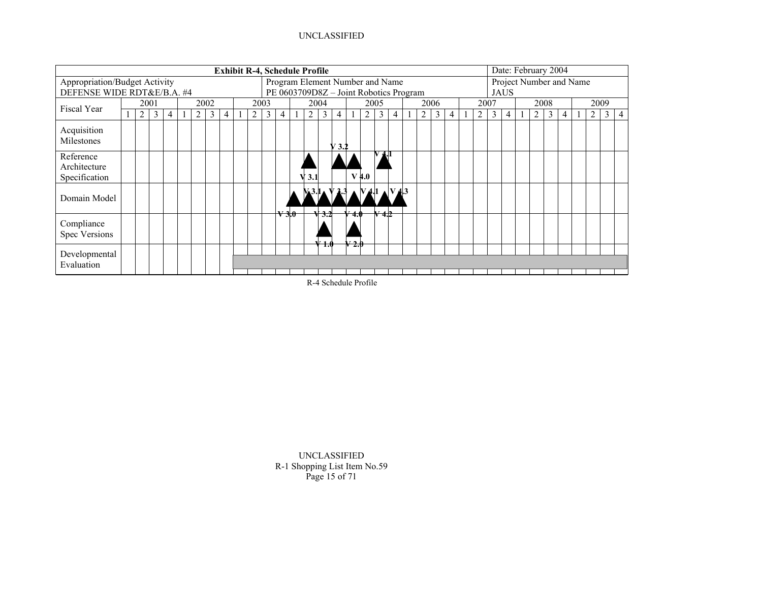|                               |      |   |   |                |                         |                |   |      |      | <b>Exhibit R-4, Schedule Profile</b>   |        |                              |        |         |         |   |   |      |   |                |      |      | Date: February 2004 |                |      |                         |   |      |                |
|-------------------------------|------|---|---|----------------|-------------------------|----------------|---|------|------|----------------------------------------|--------|------------------------------|--------|---------|---------|---|---|------|---|----------------|------|------|---------------------|----------------|------|-------------------------|---|------|----------------|
| Appropriation/Budget Activity |      |   |   |                |                         |                |   |      |      | Program Element Number and Name        |        |                              |        |         |         |   |   |      |   |                |      |      |                     |                |      | Project Number and Name |   |      |                |
| DEFENSE WIDE RDT&E/B.A. #4    |      |   |   |                |                         |                |   |      |      | PE 0603709D8Z - Joint Robotics Program |        |                              |        |         |         |   |   |      |   |                |      | JAUS |                     |                |      |                         |   |      |                |
|                               | 2001 |   |   |                | 2002                    |                |   | 2003 |      |                                        | 2004   |                              |        |         | 2005    |   |   | 2006 |   |                | 2007 |      |                     |                | 2008 |                         |   | 2009 |                |
| Fiscal Year                   | 2    | 3 | 4 | $\overline{2}$ | $\overline{\mathbf{3}}$ | $\overline{4}$ | 2 | 3    | 4    | 2                                      | 3      | $\overline{4}$               |        | 2       | 3       | 4 | 2 | 3    | 4 | $\overline{2}$ | 3    | 4    |                     | $\overline{c}$ | 3    | 4                       | 2 | 3    | $\overline{4}$ |
| Acquisition<br>Milestones     |      |   |   |                |                         |                |   |      |      |                                        |        | 3.2                          |        |         |         |   |   |      |   |                |      |      |                     |                |      |                         |   |      |                |
| Reference                     |      |   |   |                |                         |                |   |      |      |                                        |        |                              |        |         |         |   |   |      |   |                |      |      |                     |                |      |                         |   |      |                |
| Architecture                  |      |   |   |                |                         |                |   |      |      |                                        |        |                              |        |         |         |   |   |      |   |                |      |      |                     |                |      |                         |   |      |                |
| Specification                 |      |   |   |                |                         |                |   |      |      | V3.1                                   |        |                              |        | $V$ 4.0 |         |   |   |      |   |                |      |      |                     |                |      |                         |   |      |                |
| Domain Model                  |      |   |   |                |                         |                |   |      |      |                                        |        |                              |        |         |         |   |   |      |   |                |      |      |                     |                |      |                         |   |      |                |
| Compliance<br>Spec Versions   |      |   |   |                |                         |                |   |      | V3.0 |                                        | $-3.2$ |                              | $-4.1$ |         | $V$ 4.2 |   |   |      |   |                |      |      |                     |                |      |                         |   |      |                |
| Developmental                 |      |   |   |                |                         |                |   |      |      |                                        | ٦.υ    |                              | -2.0   |         |         |   |   |      |   |                |      |      |                     |                |      |                         |   |      |                |
| Evaluation                    |      |   |   |                |                         |                |   |      |      |                                        |        |                              |        |         |         |   |   |      |   |                |      |      |                     |                |      |                         |   |      |                |
|                               |      |   |   |                |                         |                |   |      |      |                                        |        | $D = 4$ , $C = 1, 3, 1, 5, $ |        |         |         |   |   |      |   |                |      |      |                     |                |      |                         |   |      |                |

R-4 Schedule Profile

UNCLASSIFIED R-1 Shopping List Item No.59 Page 15 of 71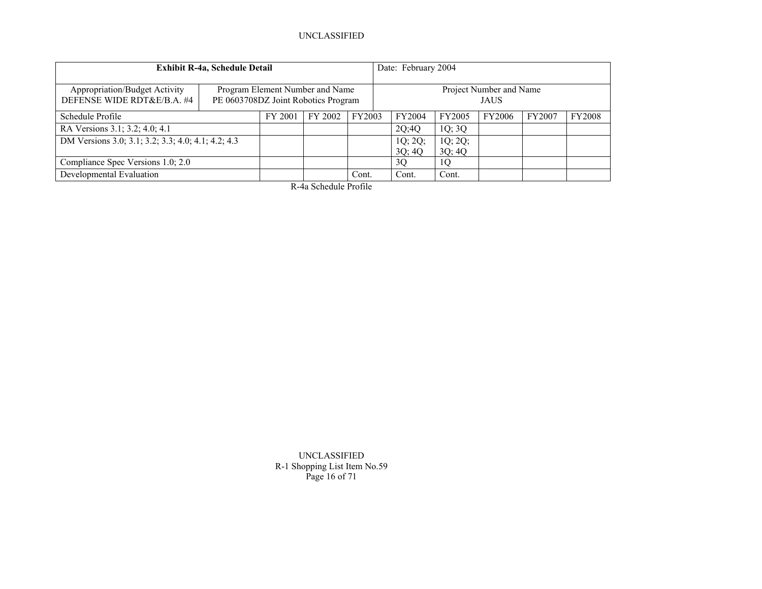|                                                             | <b>Exhibit R-4a, Schedule Detail</b> |                                 |         |        | Date: February 2004 |                   |                                        |        |               |
|-------------------------------------------------------------|--------------------------------------|---------------------------------|---------|--------|---------------------|-------------------|----------------------------------------|--------|---------------|
| Appropriation/Budget Activity<br>DEFENSE WIDE RDT&E/B.A. #4 | PE 0603708DZ Joint Robotics Program  | Program Element Number and Name |         |        |                     |                   | Project Number and Name<br><b>JAUS</b> |        |               |
| Schedule Profile                                            |                                      | FY 2001                         | FY 2002 | FY2003 | FY2004              | FY2005            | FY2006                                 | FY2007 | <b>FY2008</b> |
| RA Versions 3.1; 3.2; 4.0; 4.1                              |                                      |                                 |         |        | 2Q;4Q               | 1Q; 3Q            |                                        |        |               |
| DM Versions 3.0; 3.1; 3.2; 3.3; 4.0; 4.1; 4.2; 4.3          |                                      |                                 |         |        | 1Q; 2Q;<br>3Q; 4Q   | 1Q; 2Q;<br>3Q; 4Q |                                        |        |               |
| Compliance Spec Versions 1.0; 2.0                           |                                      |                                 |         |        | 3Q                  | 1Q                |                                        |        |               |
| Developmental Evaluation                                    |                                      |                                 |         | Cont.  | Cont.               | Cont.             |                                        |        |               |

R-4a Schedule Profile

UNCLASSIFIED R-1 Shopping List Item No.59 Page 16 of 71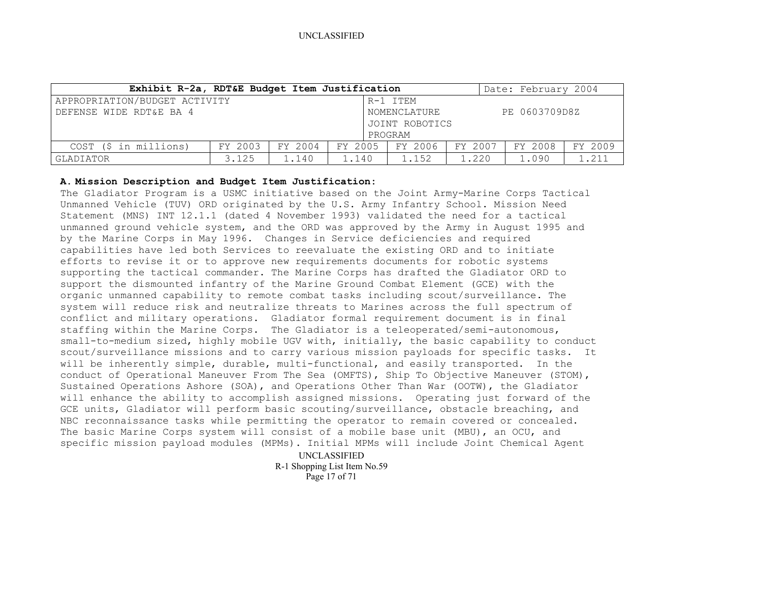| Exhibit R-2a, RDT&E Budget Item Justification |         |         |         |                |         | Date: February 2004 |         |
|-----------------------------------------------|---------|---------|---------|----------------|---------|---------------------|---------|
| APPROPRIATION/BUDGET ACTIVITY                 |         |         |         | R-1 ITEM       |         |                     |         |
| DEFENSE WIDE RDT&E BA 4                       |         |         |         | NOMENCLATURE   |         | PE 0603709D8Z       |         |
|                                               |         |         |         | JOINT ROBOTICS |         |                     |         |
|                                               |         |         |         | PROGRAM        |         |                     |         |
| COST (\$ in millions)                         | FY 2003 | FY 2004 | FY 2005 | FY 2006        | FY 2007 | FY 2008             | FY 2009 |
| GLADIATOR                                     | 3.125   | 1.140   | 1.140   | 1.152          | 1.220   | .090                | 1.211   |

#### **A. Mission Description and Budget Item Justification:**

The Gladiator Program is a USMC initiative based on the Joint Army-Marine Corps Tactical Unmanned Vehicle (TUV) ORD originated by the U.S. Army Infantry School. Mission Need Statement (MNS) INT 12.1.1 (dated 4 November 1993) validated the need for a tactical unmanned ground vehicle system, and the ORD was approved by the Army in August 1995 and by the Marine Corps in May 1996. Changes in Service deficiencies and required capabilities have led both Services to reevaluate the existing ORD and to initiate efforts to revise it or to approve new requirements documents for robotic systems supporting the tactical commander. The Marine Corps has drafted the Gladiator ORD to support the dismounted infantry of the Marine Ground Combat Element (GCE) with the organic unmanned capability to remote combat tasks including scout/surveillance. The system will reduce risk and neutralize threats to Marines across the full spectrum of conflict and military operations. Gladiator formal requirement document is in final staffing within the Marine Corps. The Gladiator is a teleoperated/semi-autonomous, small-to-medium sized, highly mobile UGV with, initially, the basic capability to conduct scout/surveillance missions and to carry various mission payloads for specific tasks. It will be inherently simple, durable, multi-functional, and easily transported. In the conduct of Operational Maneuver From The Sea (OMFTS), Ship To Objective Maneuver (STOM), Sustained Operations Ashore (SOA), and Operations Other Than War (OOTW), the Gladiator will enhance the ability to accomplish assigned missions. Operating just forward of the GCE units, Gladiator will perform basic scouting/surveillance, obstacle breaching, and NBC reconnaissance tasks while permitting the operator to remain covered or concealed. The basic Marine Corps system will consist of a mobile base unit (MBU), an OCU, and specific mission payload modules (MPMs). Initial MPMs will include Joint Chemical Agent

> UNCLASSIFIED R-1 Shopping List Item No.59 Page 17 of 71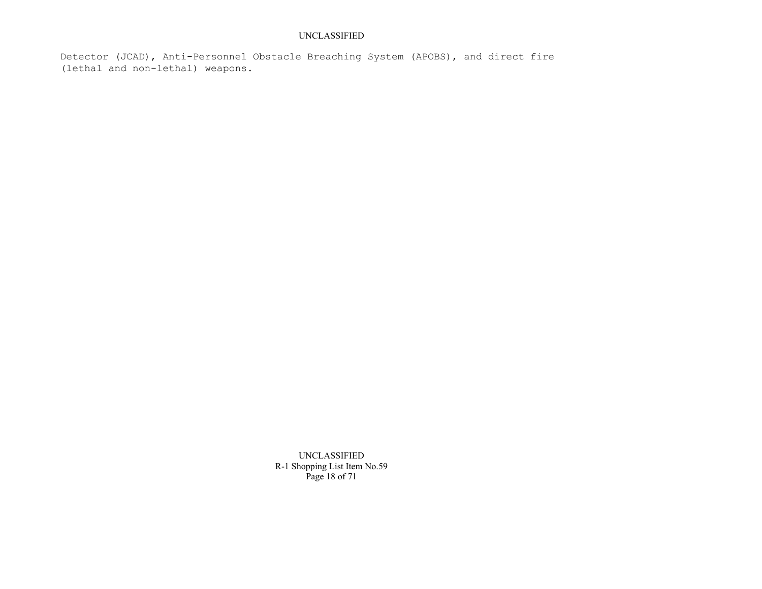Detector (JCAD), Anti-Personnel Obstacle Breaching System (APOBS), and direct fire (lethal and non-lethal) weapons.

> UNCLASSIFIED R-1 Shopping List Item No.59 Page 18 of 71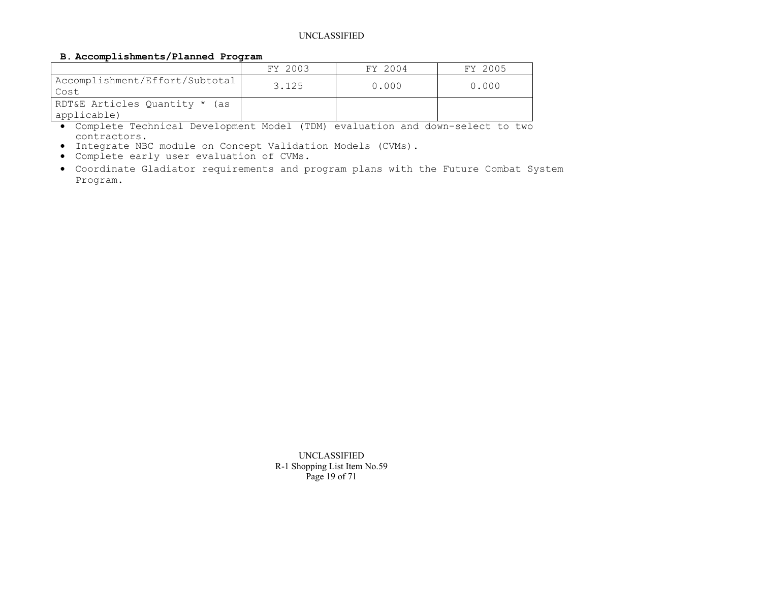## **B. Accomplishments/Planned Program**

|                                              | FY 2003 | FY 2004 | FY 2005 |
|----------------------------------------------|---------|---------|---------|
| Accomplishment/Effort/Subtotal<br>Cost       | 3.125   | 0.000   | 0.000   |
| RDT&E Articles Quantity * (as<br>applicable) |         |         |         |

• Complete Technical Development Model (TDM) evaluation and down-select to two contractors.

• Integrate NBC module on Concept Validation Models (CVMs).

• Complete early user evaluation of CVMs.

• Coordinate Gladiator requirements and program plans with the Future Combat System Program.

> UNCLASSIFIED R-1 Shopping List Item No.59 Page 19 of 71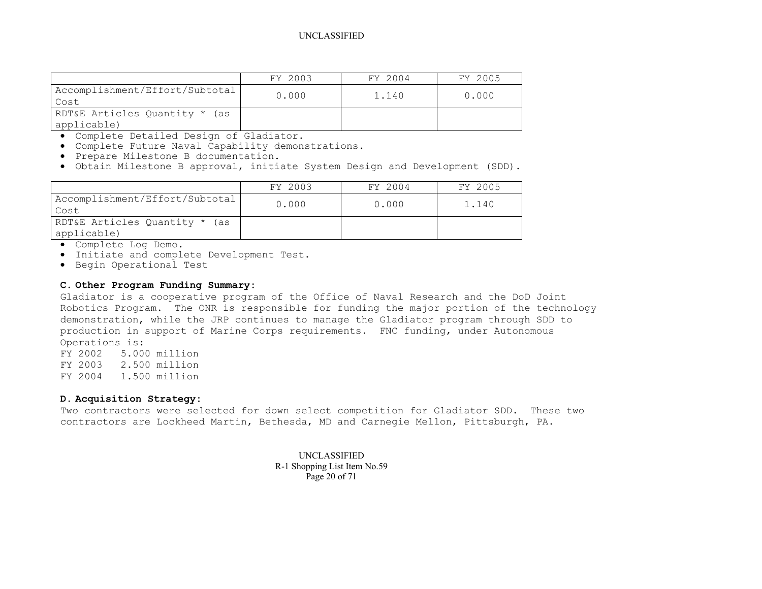|                                              | FY 2003 | FY 2004 | FY 2005 |
|----------------------------------------------|---------|---------|---------|
| Accomplishment/Effort/Subtotal<br>Cost       | 0.000   | 1.140   | 0.000   |
| RDT&E Articles Quantity * (as<br>applicable) |         |         |         |

• Complete Detailed Design of Gladiator.

• Complete Future Naval Capability demonstrations.

• Prepare Milestone B documentation.

• Obtain Milestone B approval, initiate System Design and Development (SDD).

|                                              | FY 2003 | FY 2004 | FY 2005 |
|----------------------------------------------|---------|---------|---------|
| Accomplishment/Effort/Subtotal<br>Cost       | 0.000   | 0.000   | 1.140   |
| RDT&E Articles Quantity * (as<br>applicable) |         |         |         |

• Complete Log Demo.

• Initiate and complete Development Test.

• Begin Operational Test

#### **C. Other Program Funding Summary:**

Gladiator is a cooperative program of the Office of Naval Research and the DoD Joint Robotics Program. The ONR is responsible for funding the major portion of the technology demonstration, while the JRP continues to manage the Gladiator program through SDD to production in support of Marine Corps requirements. FNC funding, under Autonomous Operations is:

FY 2002 5.000 million FY 2003 2.500 million FY 2004 1.500 million

#### **D. Acquisition Strategy:**

Two contractors were selected for down select competition for Gladiator SDD. These two contractors are Lockheed Martin, Bethesda, MD and Carnegie Mellon, Pittsburgh, PA.

> UNCLASSIFIED R-1 Shopping List Item No.59 Page 20 of 71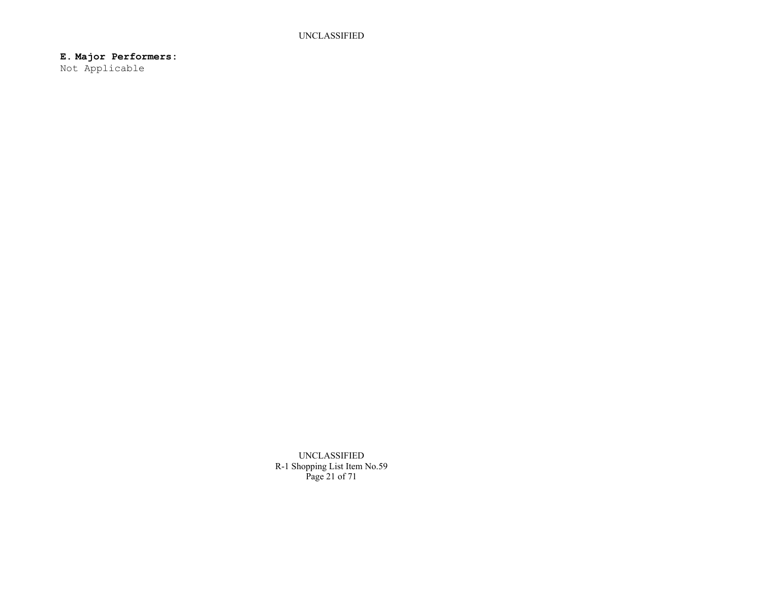#### **E. Major Performers:**

Not Applicable

UNCLASSIFIED R-1 Shopping List Item No.59 Page 21 of 71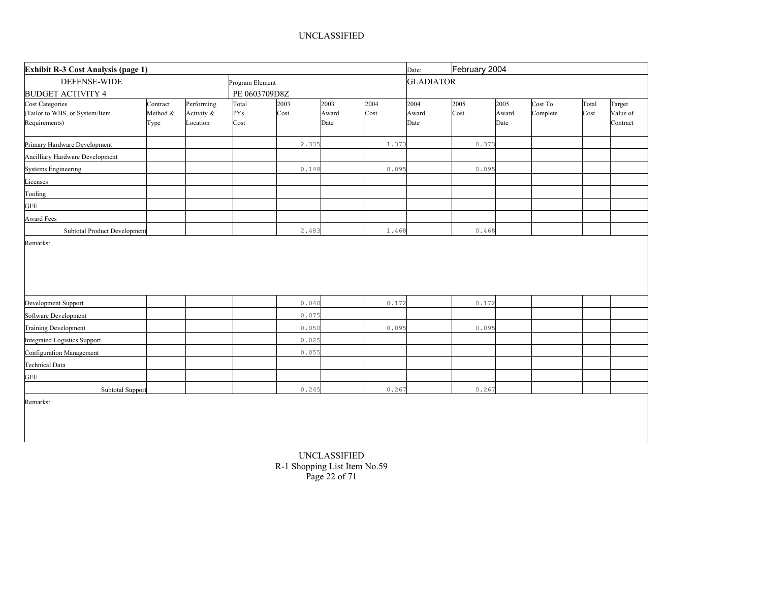| <b>Exhibit R-3 Cost Analysis (page 1)</b>                                 |                              |                                      |                                  |              |                       |              | Date:                 | February 2004 |                       |                     |               |                                |
|---------------------------------------------------------------------------|------------------------------|--------------------------------------|----------------------------------|--------------|-----------------------|--------------|-----------------------|---------------|-----------------------|---------------------|---------------|--------------------------------|
| <b>DEFENSE-WIDE</b><br><b>BUDGET ACTIVITY 4</b>                           |                              |                                      | Program Element<br>PE 0603709D8Z |              |                       |              | <b>GLADIATOR</b>      |               |                       |                     |               |                                |
| <b>Cost Categories</b><br>(Tailor to WBS, or System/Item<br>Requirements) | Contract<br>Method &<br>Type | Performing<br>Activity &<br>Location | Total<br>PYS<br>Cost             | 2003<br>Cost | 2003<br>Award<br>Date | 2004<br>Cost | 2004<br>Award<br>Date | 2005<br>Cost  | 2005<br>Award<br>Date | Cost To<br>Complete | Total<br>Cost | Target<br>Value of<br>Contract |
| Primary Hardware Development                                              |                              |                                      |                                  | 2.335        |                       | 1.373        |                       | 0.373         |                       |                     |               |                                |
| Ancilliary Hardware Development                                           |                              |                                      |                                  |              |                       |              |                       |               |                       |                     |               |                                |
| <b>Systems Engineering</b>                                                |                              |                                      |                                  | 0.148        |                       | 0.095        |                       | 0.095         |                       |                     |               |                                |
| Licenses                                                                  |                              |                                      |                                  |              |                       |              |                       |               |                       |                     |               |                                |
| Tooling                                                                   |                              |                                      |                                  |              |                       |              |                       |               |                       |                     |               |                                |
| <b>GFE</b>                                                                |                              |                                      |                                  |              |                       |              |                       |               |                       |                     |               |                                |
| <b>Award Fees</b>                                                         |                              |                                      |                                  |              |                       |              |                       |               |                       |                     |               |                                |
| Subtotal Product Developmen                                               |                              |                                      |                                  | 2.483        |                       | 1.468        |                       | 0.468         |                       |                     |               |                                |
|                                                                           |                              |                                      |                                  |              |                       |              |                       |               |                       |                     |               |                                |
| Development Support                                                       |                              |                                      |                                  | 0.040        |                       | 0.172        |                       | 0.172         |                       |                     |               |                                |
| Software Development                                                      |                              |                                      |                                  | 0.075        |                       |              |                       |               |                       |                     |               |                                |
| <b>Training Development</b>                                               |                              |                                      |                                  | 0.050        |                       | 0.095        |                       | 0.095         |                       |                     |               |                                |
| <b>Integrated Logistics Support</b>                                       |                              |                                      |                                  | 0.025        |                       |              |                       |               |                       |                     |               |                                |
| Configuration Management                                                  |                              |                                      |                                  | 0.055        |                       |              |                       |               |                       |                     |               |                                |
| <b>Technical Data</b>                                                     |                              |                                      |                                  |              |                       |              |                       |               |                       |                     |               |                                |
| <b>GFE</b>                                                                |                              |                                      |                                  |              |                       |              |                       |               |                       |                     |               |                                |
| Subtotal Support                                                          |                              |                                      |                                  | 0.245        |                       | 0.267        |                       | 0.267         |                       |                     |               |                                |

Remarks:

UNCLASSIFIED R-1 Shopping List Item No.59 Page 22 of 71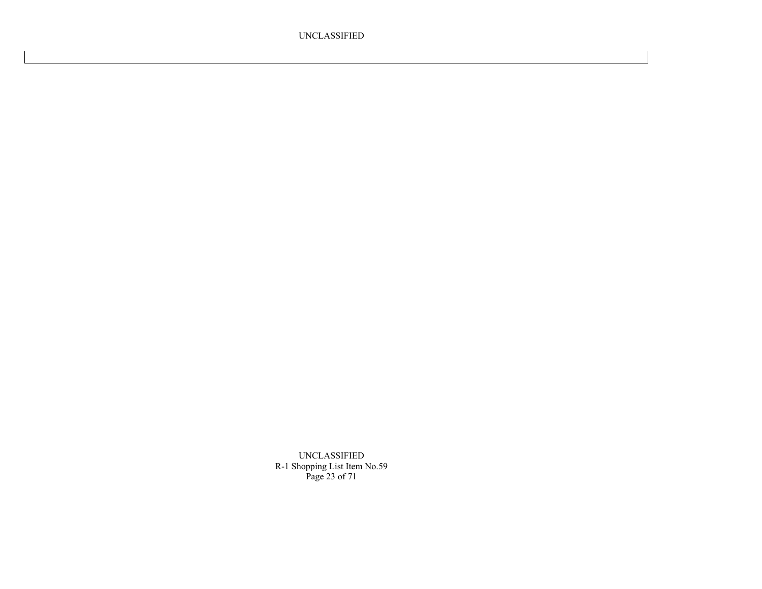UNCLASSIFIED R-1 Shopping List Item No.59 Page 23 of 71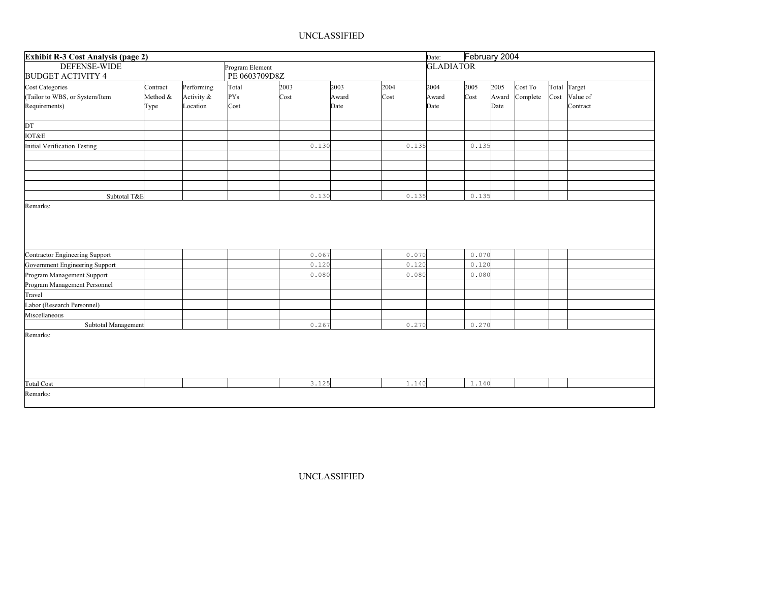| Exhibit R-3 Cost Analysis (page 2)  |          |            |                 |       |       |       | Date:            |       | February 2004 |          |       |          |
|-------------------------------------|----------|------------|-----------------|-------|-------|-------|------------------|-------|---------------|----------|-------|----------|
| <b>DEFENSE-WIDE</b>                 |          |            | Program Element |       |       |       | <b>GLADIATOR</b> |       |               |          |       |          |
| <b>BUDGET ACTIVITY 4</b>            |          |            | PE 0603709D8Z   |       |       |       |                  |       |               |          |       |          |
| <b>Cost Categories</b>              | Contract | Performing | Total           | 2003  | 2003  | 2004  | 2004<br>2005     |       | 2005          | Cost To  | Total | Target   |
| (Tailor to WBS, or System/Item      | Method & | Activity & | PYS             | Cost  | Award | Cost  | Cost<br>Award    |       | Award         | Complete | Cost  | Value of |
| Requirements)                       | Type     | Location   | Cost            |       | Date  |       | Date             |       | Date          |          |       | Contract |
| DT                                  |          |            |                 |       |       |       |                  |       |               |          |       |          |
| IOT&E                               |          |            |                 |       |       |       |                  |       |               |          |       |          |
| <b>Initial Verification Testing</b> |          |            |                 | 0.130 |       | 0.135 |                  | 0.135 |               |          |       |          |
|                                     |          |            |                 |       |       |       |                  |       |               |          |       |          |
|                                     |          |            |                 |       |       |       |                  |       |               |          |       |          |
|                                     |          |            |                 |       |       |       |                  |       |               |          |       |          |
|                                     |          |            |                 |       |       |       |                  |       |               |          |       |          |
| Subtotal T&E                        |          |            |                 | 0.130 |       | 0.135 |                  | 0.135 |               |          |       |          |
|                                     |          |            |                 |       |       |       |                  |       |               |          |       |          |
| Contractor Engineering Support      |          |            |                 | 0.067 |       | 0.070 |                  | 0.07( |               |          |       |          |
| Government Engineering Support      |          |            |                 | 0.120 |       | 0.120 |                  | 0.120 |               |          |       |          |
| Program Management Support          |          |            |                 | 0.080 |       | 0.080 |                  | 0.080 |               |          |       |          |
| Program Management Personnel        |          |            |                 |       |       |       |                  |       |               |          |       |          |
| Travel                              |          |            |                 |       |       |       |                  |       |               |          |       |          |
| Labor (Research Personnel)          |          |            |                 |       |       |       |                  |       |               |          |       |          |
| Miscellaneous                       |          |            |                 |       |       |       |                  |       |               |          |       |          |
| Subtotal Management                 |          |            |                 | 0.267 |       | 0.270 |                  | 0.270 |               |          |       |          |
| Remarks:                            |          |            |                 |       |       |       |                  |       |               |          |       |          |
| <b>Total Cost</b>                   |          |            |                 | 3.125 |       | 1.140 |                  | 1.140 |               |          |       |          |
| Remarks:                            |          |            |                 |       |       |       |                  |       |               |          |       |          |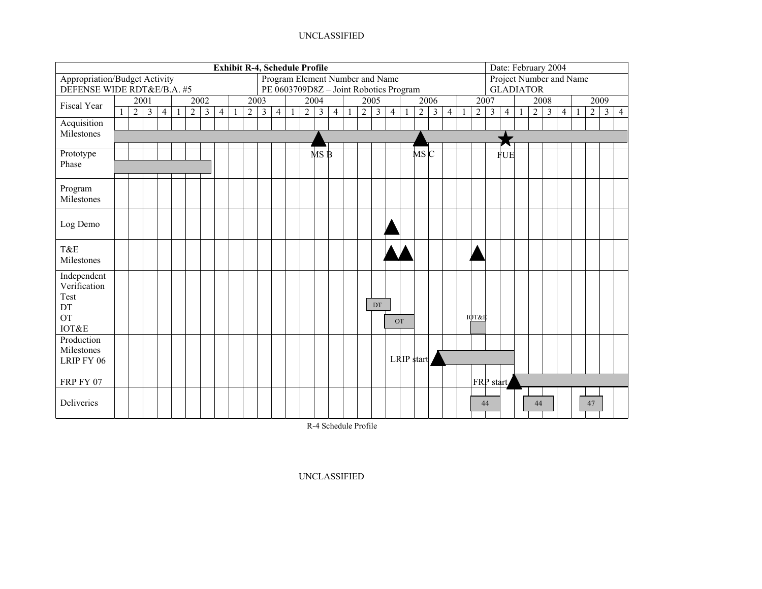|                               |            |                |                |                |                         |                | <b>Exhibit R-4, Schedule Profile</b> |                |                |              |                |                 |                |            |                |                                        |    |                 |      |                |   |            |                |                | Date: February 2004 |                |                |                         |   |                |                |                |
|-------------------------------|------------|----------------|----------------|----------------|-------------------------|----------------|--------------------------------------|----------------|----------------|--------------|----------------|-----------------|----------------|------------|----------------|----------------------------------------|----|-----------------|------|----------------|---|------------|----------------|----------------|---------------------|----------------|----------------|-------------------------|---|----------------|----------------|----------------|
| Appropriation/Budget Activity |            |                |                |                |                         |                |                                      |                |                |              |                |                 |                |            |                | Program Element Number and Name        |    |                 |      |                |   |            |                |                |                     |                |                | Project Number and Name |   |                |                |                |
| DEFENSE WIDE RDT&E/B.A. #5    |            |                |                |                |                         |                |                                      |                |                |              |                |                 |                |            |                | PE 0603709D8Z - Joint Robotics Program |    |                 |      |                |   |            |                |                | <b>GLADIATOR</b>    |                |                |                         |   |                |                |                |
| Fiscal Year                   |            | 2001           |                |                | 2002                    |                | 2003                                 |                |                |              |                | 2004            |                |            | 2005           |                                        |    |                 | 2006 |                |   |            | 2007           |                |                     |                | 2008           |                         |   | 2009           |                |                |
|                               | $\sqrt{2}$ | $\overline{3}$ | $\overline{4}$ | $\overline{2}$ | $\overline{\mathbf{3}}$ | $\overline{4}$ | $\sqrt{2}$                           | $\overline{3}$ | $\overline{4}$ | $\mathbf{1}$ | 2 <sup>1</sup> | $\overline{3}$  | $\overline{4}$ | $\sqrt{2}$ | $\overline{3}$ | $\overline{4}$                         | -1 | $\overline{2}$  | 3    | $\overline{4}$ | 1 | $\sqrt{2}$ | $\overline{3}$ | $\overline{4}$ | 1                   | $\overline{2}$ | $\overline{3}$ | $\overline{4}$          | 1 | $\overline{2}$ | $\mathfrak{Z}$ | $\overline{4}$ |
| Acquisition                   |            |                |                |                |                         |                |                                      |                |                |              |                |                 |                |            |                |                                        |    |                 |      |                |   |            |                |                |                     |                |                |                         |   |                |                |                |
| Milestones                    |            |                |                |                |                         |                |                                      |                |                |              |                |                 |                |            |                |                                        |    |                 |      |                |   |            |                |                |                     |                |                |                         |   |                |                |                |
|                               |            |                |                |                |                         |                |                                      |                |                |              |                |                 |                |            |                |                                        |    |                 |      |                |   |            |                |                |                     |                |                |                         |   |                |                |                |
| Prototype<br>Phase            |            |                |                |                |                         |                |                                      |                |                |              |                | MS <sub>B</sub> |                |            |                |                                        |    | MS <sub>C</sub> |      |                |   |            |                | FUE            |                     |                |                |                         |   |                |                |                |
|                               |            |                |                |                |                         |                |                                      |                |                |              |                |                 |                |            |                |                                        |    |                 |      |                |   |            |                |                |                     |                |                |                         |   |                |                |                |
|                               |            |                |                |                |                         |                |                                      |                |                |              |                |                 |                |            |                |                                        |    |                 |      |                |   |            |                |                |                     |                |                |                         |   |                |                |                |
| Program<br>Milestones         |            |                |                |                |                         |                |                                      |                |                |              |                |                 |                |            |                |                                        |    |                 |      |                |   |            |                |                |                     |                |                |                         |   |                |                |                |
|                               |            |                |                |                |                         |                |                                      |                |                |              |                |                 |                |            |                |                                        |    |                 |      |                |   |            |                |                |                     |                |                |                         |   |                |                |                |
|                               |            |                |                |                |                         |                |                                      |                |                |              |                |                 |                |            |                |                                        |    |                 |      |                |   |            |                |                |                     |                |                |                         |   |                |                |                |
| Log Demo                      |            |                |                |                |                         |                |                                      |                |                |              |                |                 |                |            |                |                                        |    |                 |      |                |   |            |                |                |                     |                |                |                         |   |                |                |                |
|                               |            |                |                |                |                         |                |                                      |                |                |              |                |                 |                |            |                |                                        |    |                 |      |                |   |            |                |                |                     |                |                |                         |   |                |                |                |
| T&E                           |            |                |                |                |                         |                |                                      |                |                |              |                |                 |                |            |                |                                        |    |                 |      |                |   |            |                |                |                     |                |                |                         |   |                |                |                |
| Milestones                    |            |                |                |                |                         |                |                                      |                |                |              |                |                 |                |            |                |                                        |    |                 |      |                |   |            |                |                |                     |                |                |                         |   |                |                |                |
| Independent                   |            |                |                |                |                         |                |                                      |                |                |              |                |                 |                |            |                |                                        |    |                 |      |                |   |            |                |                |                     |                |                |                         |   |                |                |                |
| Verification                  |            |                |                |                |                         |                |                                      |                |                |              |                |                 |                |            |                |                                        |    |                 |      |                |   |            |                |                |                     |                |                |                         |   |                |                |                |
| Test                          |            |                |                |                |                         |                |                                      |                |                |              |                |                 |                |            |                |                                        |    |                 |      |                |   |            |                |                |                     |                |                |                         |   |                |                |                |
| DT                            |            |                |                |                |                         |                |                                      |                |                |              |                |                 |                |            | DT             |                                        |    |                 |      |                |   |            |                |                |                     |                |                |                         |   |                |                |                |
| $\overline{\text{OT}}$        |            |                |                |                |                         |                |                                      |                |                |              |                |                 |                |            |                | <b>OT</b>                              |    |                 |      |                |   | IOT&E      |                |                |                     |                |                |                         |   |                |                |                |
| IOT&E                         |            |                |                |                |                         |                |                                      |                |                |              |                |                 |                |            |                |                                        |    |                 |      |                |   |            |                |                |                     |                |                |                         |   |                |                |                |
| Production                    |            |                |                |                |                         |                |                                      |                |                |              |                |                 |                |            |                |                                        |    |                 |      |                |   |            |                |                |                     |                |                |                         |   |                |                |                |
| Milestones                    |            |                |                |                |                         |                |                                      |                |                |              |                |                 |                |            |                |                                        |    | LRIP start      |      |                |   |            |                |                |                     |                |                |                         |   |                |                |                |
| LRIP FY 06                    |            |                |                |                |                         |                |                                      |                |                |              |                |                 |                |            |                |                                        |    |                 |      |                |   |            |                |                |                     |                |                |                         |   |                |                |                |
| FRP FY 07                     |            |                |                |                |                         |                |                                      |                |                |              |                |                 |                |            |                |                                        |    |                 |      |                |   |            | FRP start      |                |                     |                |                |                         |   |                |                |                |
|                               |            |                |                |                |                         |                |                                      |                |                |              |                |                 |                |            |                |                                        |    |                 |      |                |   |            |                |                |                     |                |                |                         |   |                |                |                |
| Deliveries                    |            |                |                |                |                         |                |                                      |                |                |              |                |                 |                |            |                |                                        |    |                 |      |                |   |            | 44             |                |                     | 44             |                |                         |   | 47             |                |                |
|                               |            |                |                |                |                         |                |                                      |                |                |              |                |                 |                |            |                |                                        |    |                 |      |                |   |            |                |                |                     |                |                |                         |   |                |                |                |

R-4 Schedule Profile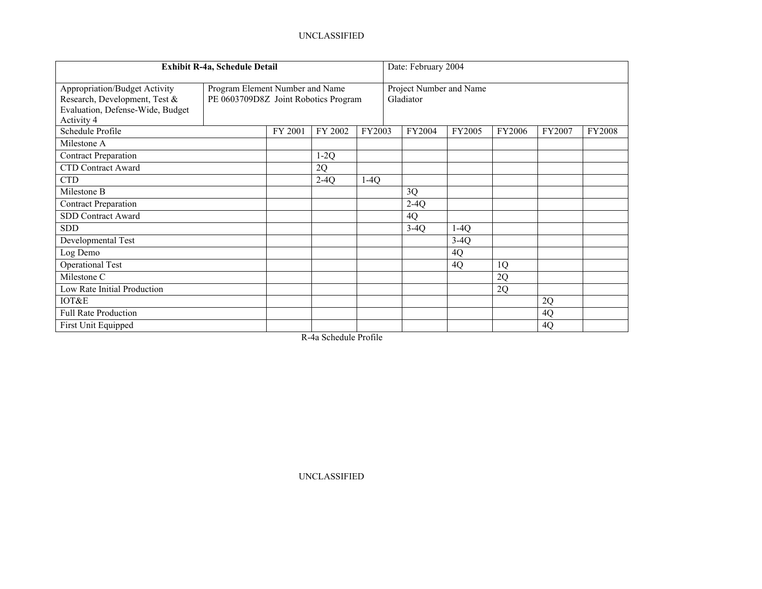|                                                                                                                  | Exhibit R-4a, Schedule Detail                                           |         |         |        | Date: February 2004 |                         |            |            |               |
|------------------------------------------------------------------------------------------------------------------|-------------------------------------------------------------------------|---------|---------|--------|---------------------|-------------------------|------------|------------|---------------|
| Appropriation/Budget Activity<br>Research, Development, Test &<br>Evaluation, Defense-Wide, Budget<br>Activity 4 | Program Element Number and Name<br>PE 0603709D8Z Joint Robotics Program |         |         |        | Gladiator           | Project Number and Name |            |            |               |
| Schedule Profile                                                                                                 |                                                                         | FY 2001 | FY 2002 | FY2003 | FY2004              | FY2005                  | FY2006     | FY2007     | <b>FY2008</b> |
| Milestone A                                                                                                      |                                                                         |         |         |        |                     |                         |            |            |               |
| <b>Contract Preparation</b>                                                                                      |                                                                         |         | $1-2Q$  |        |                     |                         |            |            |               |
| <b>CTD Contract Award</b>                                                                                        |                                                                         |         | 2Q      |        |                     |                         |            |            |               |
| <b>CTD</b>                                                                                                       |                                                                         |         | $2-4Q$  | $1-4Q$ |                     |                         |            |            |               |
| Milestone B                                                                                                      |                                                                         |         |         |        | 3Q                  |                         |            |            |               |
| <b>Contract Preparation</b>                                                                                      |                                                                         |         |         |        | $2-4Q$              |                         |            |            |               |
| <b>SDD Contract Award</b>                                                                                        |                                                                         |         |         |        | 4Q                  |                         |            |            |               |
| <b>SDD</b>                                                                                                       |                                                                         |         |         |        | $3-4Q$              | 1-4Q                    |            |            |               |
| Developmental Test                                                                                               |                                                                         |         |         |        |                     | $3-4Q$                  |            |            |               |
| Log Demo                                                                                                         |                                                                         |         |         |        |                     | 4Q                      |            |            |               |
| Operational Test                                                                                                 |                                                                         |         |         |        |                     | 4Q                      | 1Q         |            |               |
| Milestone C                                                                                                      |                                                                         |         |         |        |                     |                         | $2{\bf Q}$ |            |               |
| Low Rate Initial Production                                                                                      |                                                                         |         |         |        |                     |                         | 2Q         |            |               |
| IOT&E                                                                                                            |                                                                         |         |         |        |                     |                         |            | $2{\bf Q}$ |               |
| Full Rate Production                                                                                             |                                                                         |         |         |        |                     |                         |            | 4Q         |               |
| First Unit Equipped                                                                                              |                                                                         |         |         |        |                     |                         |            | 4Q         |               |

R-4a Schedule Profile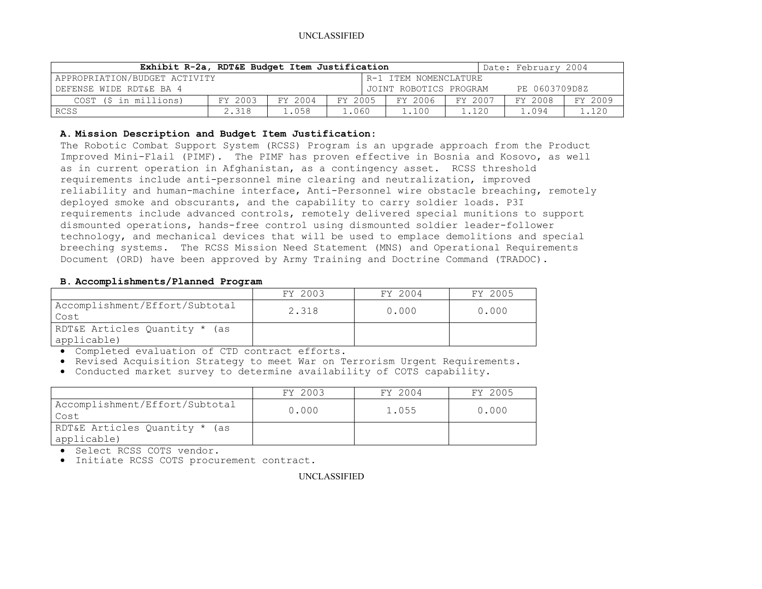| Exhibit R-2a, RDT&E Budget Item Justification |         |         |         |                        |         | Date: February 2004 |         |
|-----------------------------------------------|---------|---------|---------|------------------------|---------|---------------------|---------|
| APPROPRIATION/BUDGET ACTIVITY                 |         |         |         | R-1 ITEM NOMENCLATURE  |         |                     |         |
| DEFENSE WIDE RDT&E BA 4                       |         |         |         | JOINT ROBOTICS PROGRAM |         | PE 0603709D8Z       |         |
| COST (\$ in millions)                         | FY 2003 | FY 2004 | FY 2005 | FY 2006                | FY 2007 | FY 2008             | FY 2009 |
| RCSS                                          | 2.318   | .058    | .060    | .100                   | 1.120   | 1.094               | .120    |

#### **A. Mission Description and Budget Item Justification:**

The Robotic Combat Support System (RCSS) Program is an upgrade approach from the Product Improved Mini-Flail (PIMF). The PIMF has proven effective in Bosnia and Kosovo, as well as in current operation in Afghanistan, as a contingency asset. RCSS threshold requirements include anti-personnel mine clearing and neutralization, improved reliability and human-machine interface, Anti-Personnel wire obstacle breaching, remotely deployed smoke and obscurants, and the capability to carry soldier loads. P3I requirements include advanced controls, remotely delivered special munitions to support dismounted operations, hands-free control using dismounted soldier leader-follower technology, and mechanical devices that will be used to emplace demolitions and special breeching systems. The RCSS Mission Need Statement (MNS) and Operational Requirements Document (ORD) have been approved by Army Training and Doctrine Command (TRADOC).

#### **B. Accomplishments/Planned Program**

|                                | FY 2003 | FY 2004 | FY 2005 |
|--------------------------------|---------|---------|---------|
| Accomplishment/Effort/Subtotal | 2.318   | 0.000   | 0.000   |
| Cost                           |         |         |         |
| RDT&E Articles Quantity * (as  |         |         |         |
| applicable)                    |         |         |         |

• Completed evaluation of CTD contract efforts.

• Revised Acquisition Strategy to meet War on Terrorism Urgent Requirements.

• Conducted market survey to determine availability of COTS capability.

|                                              | FY 2003 | FY 2004 | FY 2005 |
|----------------------------------------------|---------|---------|---------|
| Accomplishment/Effort/Subtotal<br>Cost       | 0.000   | 1.055   | 0.000   |
| RDT&E Articles Quantity * (as<br>applicable) |         |         |         |

• Select RCSS COTS vendor.

• Initiate RCSS COTS procurement contract.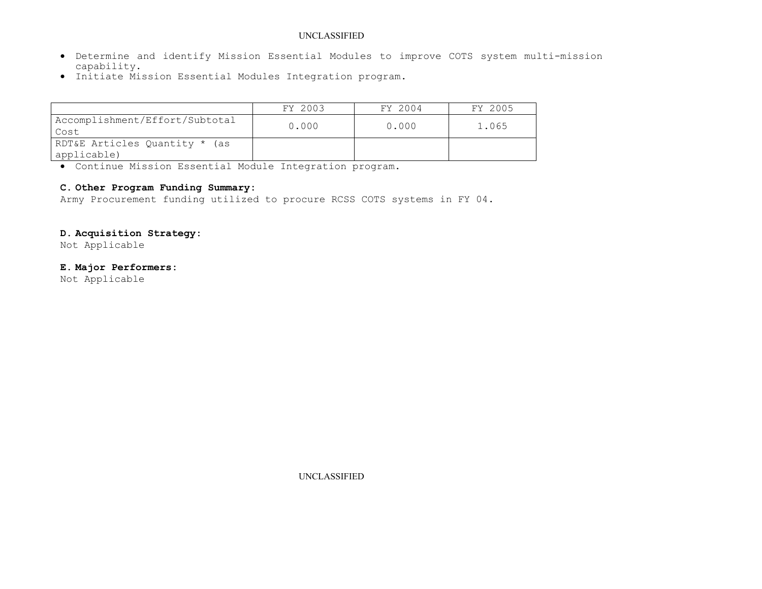- Determine and identify Mission Essential Modules to improve COTS system multi-mission capability.
- Initiate Mission Essential Modules Integration program.

|                                              | FY 2003 | FY 2004 | FY 2005 |
|----------------------------------------------|---------|---------|---------|
| Accomplishment/Effort/Subtotal<br>Cost       | 0.000   | 0.000   | 1.065   |
| RDT&E Articles Quantity * (as<br>applicable) |         |         |         |

• Continue Mission Essential Module Integration program.

# **C. Other Program Funding Summary:**

Army Procurement funding utilized to procure RCSS COTS systems in FY 04.

# **D. Acquisition Strategy:**

Not Applicable

# **E. Major Performers:**

Not Applicable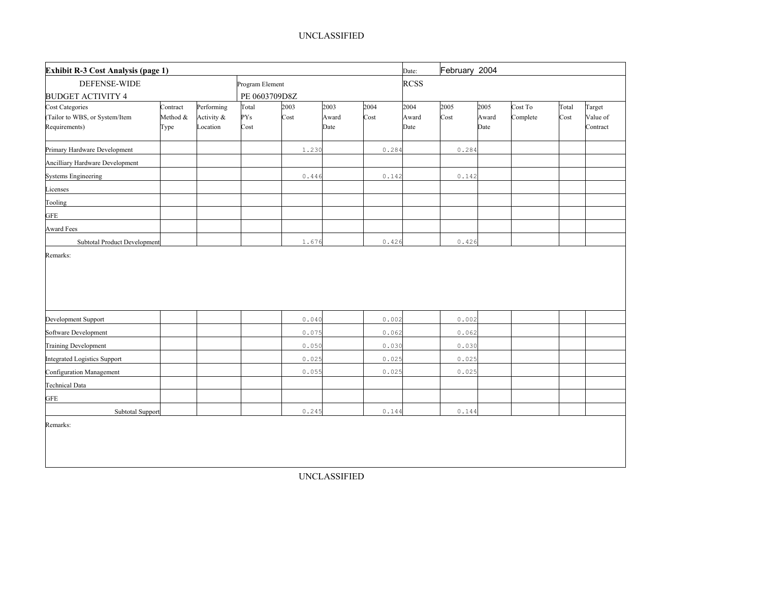| <b>Exhibit R-3 Cost Analysis (page 1)</b>                          |                              |                                      |                      |              |                       |              | Date:                 | February 2004 |                       |                     |               |                                |
|--------------------------------------------------------------------|------------------------------|--------------------------------------|----------------------|--------------|-----------------------|--------------|-----------------------|---------------|-----------------------|---------------------|---------------|--------------------------------|
| DEFENSE-WIDE                                                       |                              |                                      | Program Element      |              |                       |              | <b>RCSS</b>           |               |                       |                     |               |                                |
| <b>BUDGET ACTIVITY 4</b>                                           |                              |                                      | PE 0603709D8Z        |              |                       |              |                       |               |                       |                     |               |                                |
| Cost Categories<br>(Tailor to WBS, or System/Item<br>Requirements) | Contract<br>Method &<br>Type | Performing<br>Activity &<br>Location | Total<br>PYS<br>Cost | 2003<br>Cost | 2003<br>Award<br>Date | 2004<br>Cost | 2004<br>Award<br>Date | 2005<br>Cost  | 2005<br>Award<br>Date | Cost To<br>Complete | Total<br>Cost | Target<br>Value of<br>Contract |
| Primary Hardware Development                                       |                              |                                      |                      | 1.230        |                       | 0.284        |                       | 0.284         |                       |                     |               |                                |
| Ancilliary Hardware Development                                    |                              |                                      |                      |              |                       |              |                       |               |                       |                     |               |                                |
| <b>Systems Engineering</b>                                         |                              |                                      |                      | 0.446        |                       | 0.142        |                       | 0.142         |                       |                     |               |                                |
| Licenses                                                           |                              |                                      |                      |              |                       |              |                       |               |                       |                     |               |                                |
| Tooling                                                            |                              |                                      |                      |              |                       |              |                       |               |                       |                     |               |                                |
| <b>GFE</b>                                                         |                              |                                      |                      |              |                       |              |                       |               |                       |                     |               |                                |
| <b>Award Fees</b>                                                  |                              |                                      |                      |              |                       |              |                       |               |                       |                     |               |                                |
| <b>Subtotal Product Development</b>                                |                              |                                      |                      | 1.676        |                       | 0.426        |                       | 0.426         |                       |                     |               |                                |
|                                                                    |                              |                                      |                      |              |                       |              |                       |               |                       |                     |               |                                |
| Development Support                                                |                              |                                      |                      | 0.040        |                       | 0.002        |                       | 0.002         |                       |                     |               |                                |
| Software Development                                               |                              |                                      |                      | 0.075        |                       | 0.062        |                       | 0.062         |                       |                     |               |                                |
| <b>Training Development</b>                                        |                              |                                      |                      | 0.050        |                       | 0.030        |                       | 0.030         |                       |                     |               |                                |
| <b>Integrated Logistics Support</b>                                |                              |                                      |                      | 0.025        |                       | 0.025        |                       | 0.025         |                       |                     |               |                                |
| <b>Configuration Management</b>                                    |                              |                                      |                      | 0.055        |                       | 0.025        |                       | 0.025         |                       |                     |               |                                |
| <b>Technical Data</b>                                              |                              |                                      |                      |              |                       |              |                       |               |                       |                     |               |                                |
| <b>GFE</b>                                                         |                              |                                      |                      |              |                       |              |                       |               |                       |                     |               |                                |
| Subtotal Support                                                   |                              |                                      |                      | 0.245        |                       | 0.144        |                       | 0.144         |                       |                     |               |                                |
| Remarks:                                                           |                              |                                      |                      |              |                       |              |                       |               |                       |                     |               |                                |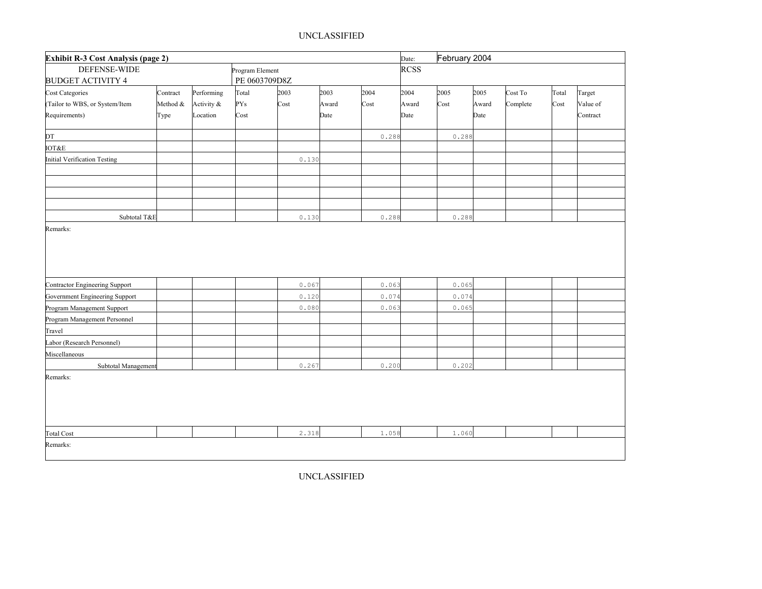| Exhibit R-3 Cost Analysis (page 2)    |          |            |                 |               |       |       | Date:       |       |       |          |       |          |
|---------------------------------------|----------|------------|-----------------|---------------|-------|-------|-------------|-------|-------|----------|-------|----------|
| <b>DEFENSE-WIDE</b>                   |          |            | Program Element |               |       |       | <b>RCSS</b> |       |       |          |       |          |
| <b>BUDGET ACTIVITY 4</b>              |          |            |                 | PE 0603709D8Z |       |       |             |       |       |          |       |          |
| Cost Categories                       | Contract | Performing | Total           | 2003          | 2003  | 2004  | 2004        | 2005  | 2005  | Cost To  | Total | Target   |
| (Tailor to WBS, or System/Item        | Method & | Activity & | PYS             | Cost          | Award | Cost  | Award       | Cost  | Award | Complete | Cost  | Value of |
| Requirements)                         | Type     | Location   | Cost            |               | Date  |       | Date        |       | Date  |          |       | Contract |
| DT                                    |          |            |                 |               |       | 0.288 |             | 0.288 |       |          |       |          |
| IOT&E                                 |          |            |                 |               |       |       |             |       |       |          |       |          |
| <b>Initial Verification Testing</b>   |          |            |                 | 0.130         |       |       |             |       |       |          |       |          |
|                                       |          |            |                 |               |       |       |             |       |       |          |       |          |
|                                       |          |            |                 |               |       |       |             |       |       |          |       |          |
|                                       |          |            |                 |               |       |       |             |       |       |          |       |          |
|                                       |          |            |                 |               |       |       |             |       |       |          |       |          |
| Subtotal T&E                          |          |            |                 | 0.130         |       | 0.288 |             | 0.288 |       |          |       |          |
|                                       |          |            |                 |               |       |       |             |       |       |          |       |          |
| <b>Contractor Engineering Support</b> |          |            |                 | 0.067         |       | 0.063 |             | 0.065 |       |          |       |          |
| Government Engineering Support        |          |            |                 | 0.120         |       | 0.074 |             | 0.074 |       |          |       |          |
| Program Management Support            |          |            |                 | 0.080         |       | 0.063 |             | 0.065 |       |          |       |          |
| Program Management Personnel          |          |            |                 |               |       |       |             |       |       |          |       |          |
| Travel                                |          |            |                 |               |       |       |             |       |       |          |       |          |
| Labor (Research Personnel)            |          |            |                 |               |       |       |             |       |       |          |       |          |
| Miscellaneous                         |          |            |                 |               |       |       |             |       |       |          |       |          |
| Subtotal Management                   |          |            |                 | 0.267         |       | 0.200 |             | 0.202 |       |          |       |          |
| Remarks:                              |          |            |                 |               |       |       |             |       |       |          |       |          |
| <b>Total Cost</b>                     |          |            |                 | 2.318         |       | 1.058 |             | 1.060 |       |          |       |          |
| Remarks:                              |          |            |                 |               |       |       |             |       |       |          |       |          |
|                                       |          |            |                 |               |       |       |             |       |       |          |       |          |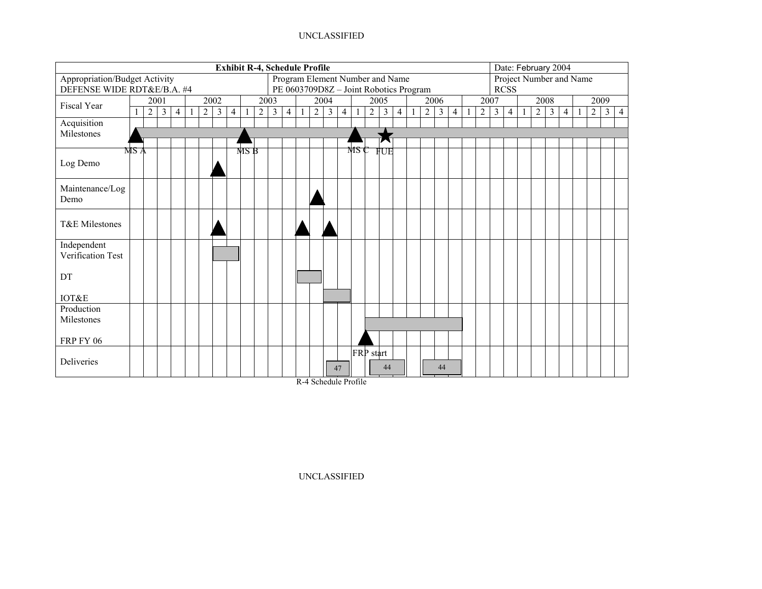|                                  |      |                |                |                |                |                |   |      |                | <b>Exhibit R-4, Schedule Profile</b> |   |                |                |    |      |                |                                        |   |            |                |                |                |                |             | Date: February 2004     |                |                |   |            |                |                |
|----------------------------------|------|----------------|----------------|----------------|----------------|----------------|---|------|----------------|--------------------------------------|---|----------------|----------------|----|------|----------------|----------------------------------------|---|------------|----------------|----------------|----------------|----------------|-------------|-------------------------|----------------|----------------|---|------------|----------------|----------------|
| Appropriation/Budget Activity    |      |                |                |                |                |                |   |      |                |                                      |   |                |                |    |      |                | Program Element Number and Name        |   |            |                |                |                |                |             | Project Number and Name |                |                |   |            |                |                |
| DEFENSE WIDE RDT&E/B.A. #4       |      |                |                |                |                |                |   |      |                |                                      |   |                |                |    |      |                | PE 0603709D8Z - Joint Robotics Program |   |            |                |                |                |                | <b>RCSS</b> |                         |                |                |   |            |                |                |
| Fiscal Year                      |      |                | 2001           |                |                | 2002           |   |      |                | 2003                                 |   |                | 2004           |    |      |                | 2005                                   |   |            | 2006           |                |                | 2007           |             |                         |                | 2008           |   |            | 2009           |                |
|                                  |      | $\overline{2}$ | $\overline{3}$ | $\overline{4}$ | $\overline{2}$ | $\overline{3}$ | 4 |      | $\overline{2}$ | $\overline{3}$                       | 4 | $\overline{2}$ | $\overline{3}$ | 4  |      | $\overline{2}$ | $\mathfrak{Z}$                         | 4 | $\sqrt{2}$ | $\overline{3}$ | $\overline{4}$ | $\overline{c}$ | $\mathfrak{Z}$ | 4           | 1                       | $\overline{2}$ | $\overline{3}$ | 4 | $\sqrt{2}$ | $\overline{3}$ | $\overline{4}$ |
| Acquisition                      |      |                |                |                |                |                |   |      |                |                                      |   |                |                |    |      |                |                                        |   |            |                |                |                |                |             |                         |                |                |   |            |                |                |
| Milestones                       |      |                |                |                |                |                |   |      |                |                                      |   |                |                |    |      |                |                                        |   |            |                |                |                |                |             |                         |                |                |   |            |                |                |
|                                  | MS A |                |                |                |                |                |   | MS B |                |                                      |   |                |                |    | MS C |                | FUE                                    |   |            |                |                |                |                |             |                         |                |                |   |            |                |                |
| Log Demo                         |      |                |                |                |                |                |   |      |                |                                      |   |                |                |    |      |                |                                        |   |            |                |                |                |                |             |                         |                |                |   |            |                |                |
| Maintenance/Log                  |      |                |                |                |                |                |   |      |                |                                      |   |                |                |    |      |                |                                        |   |            |                |                |                |                |             |                         |                |                |   |            |                |                |
| Demo                             |      |                |                |                |                |                |   |      |                |                                      |   |                |                |    |      |                |                                        |   |            |                |                |                |                |             |                         |                |                |   |            |                |                |
| <b>T&amp;E Milestones</b>        |      |                |                |                |                |                |   |      |                |                                      |   |                |                |    |      |                |                                        |   |            |                |                |                |                |             |                         |                |                |   |            |                |                |
|                                  |      |                |                |                |                |                |   |      |                |                                      |   |                |                |    |      |                |                                        |   |            |                |                |                |                |             |                         |                |                |   |            |                |                |
| Independent<br>Verification Test |      |                |                |                |                |                |   |      |                |                                      |   |                |                |    |      |                |                                        |   |            |                |                |                |                |             |                         |                |                |   |            |                |                |
|                                  |      |                |                |                |                |                |   |      |                |                                      |   |                |                |    |      |                |                                        |   |            |                |                |                |                |             |                         |                |                |   |            |                |                |
| DT                               |      |                |                |                |                |                |   |      |                |                                      |   |                |                |    |      |                |                                        |   |            |                |                |                |                |             |                         |                |                |   |            |                |                |
| IOT&E                            |      |                |                |                |                |                |   |      |                |                                      |   |                |                |    |      |                |                                        |   |            |                |                |                |                |             |                         |                |                |   |            |                |                |
| Production                       |      |                |                |                |                |                |   |      |                |                                      |   |                |                |    |      |                |                                        |   |            |                |                |                |                |             |                         |                |                |   |            |                |                |
| Milestones                       |      |                |                |                |                |                |   |      |                |                                      |   |                |                |    |      |                |                                        |   |            |                |                |                |                |             |                         |                |                |   |            |                |                |
| FRP FY 06                        |      |                |                |                |                |                |   |      |                |                                      |   |                |                |    |      |                |                                        |   |            |                |                |                |                |             |                         |                |                |   |            |                |                |
|                                  |      |                |                |                |                |                |   |      |                |                                      |   |                |                |    |      | FRP start      |                                        |   |            |                |                |                |                |             |                         |                |                |   |            |                |                |
| Deliveries                       |      |                |                |                |                |                |   |      |                |                                      |   |                |                | 47 |      |                | 44                                     |   |            | 44             |                |                |                |             |                         |                |                |   |            |                |                |

R-4 Schedule Profile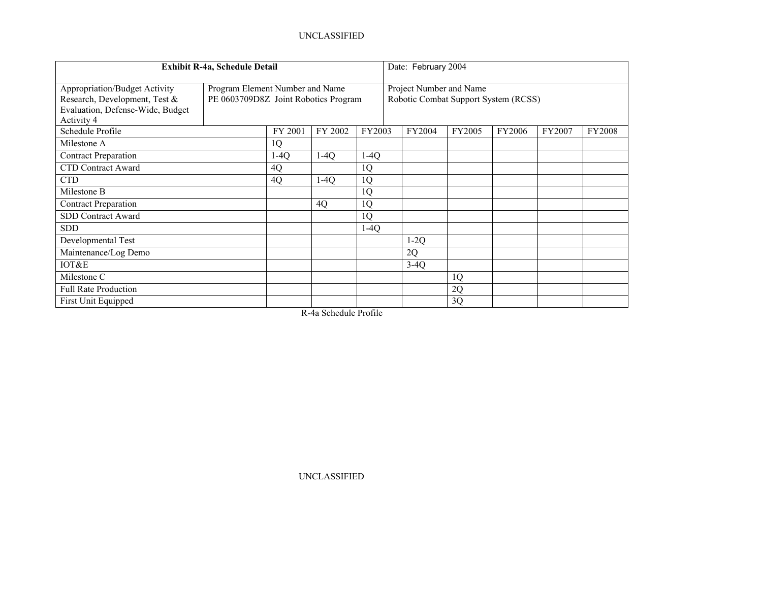|                                                                                                                  | <b>Exhibit R-4a, Schedule Detail</b>                                    |         |         |                | Date: February 2004                                             |        |        |        |               |
|------------------------------------------------------------------------------------------------------------------|-------------------------------------------------------------------------|---------|---------|----------------|-----------------------------------------------------------------|--------|--------|--------|---------------|
| Appropriation/Budget Activity<br>Research, Development, Test &<br>Evaluation, Defense-Wide, Budget<br>Activity 4 | Program Element Number and Name<br>PE 0603709D8Z Joint Robotics Program |         |         |                | Project Number and Name<br>Robotic Combat Support System (RCSS) |        |        |        |               |
| Schedule Profile                                                                                                 |                                                                         | FY 2001 | FY 2002 | FY2003         | FY2004                                                          | FY2005 | FY2006 | FY2007 | <b>FY2008</b> |
| Milestone A                                                                                                      |                                                                         | 1Q      |         |                |                                                                 |        |        |        |               |
| <b>Contract Preparation</b>                                                                                      |                                                                         | $1-4O$  | $1-4Q$  | $1-4Q$         |                                                                 |        |        |        |               |
| <b>CTD Contract Award</b>                                                                                        |                                                                         | 4Q      |         | 1Q             |                                                                 |        |        |        |               |
| <b>CTD</b>                                                                                                       |                                                                         | 4Q      | $1-4Q$  | 1Q             |                                                                 |        |        |        |               |
| Milestone B                                                                                                      |                                                                         |         |         | 1 <sub>Q</sub> |                                                                 |        |        |        |               |
| <b>Contract Preparation</b>                                                                                      |                                                                         |         | 4Q      | 1Q             |                                                                 |        |        |        |               |
| <b>SDD Contract Award</b>                                                                                        |                                                                         |         |         | 1Q             |                                                                 |        |        |        |               |
| <b>SDD</b>                                                                                                       |                                                                         |         |         | $1-4Q$         |                                                                 |        |        |        |               |
| Developmental Test                                                                                               |                                                                         |         |         |                | $1-2Q$                                                          |        |        |        |               |
| Maintenance/Log Demo                                                                                             |                                                                         |         |         |                | 2Q                                                              |        |        |        |               |
| IOT&E                                                                                                            |                                                                         |         |         |                | $3-4Q$                                                          |        |        |        |               |
| Milestone C                                                                                                      |                                                                         |         |         |                |                                                                 | 1Q     |        |        |               |
| <b>Full Rate Production</b>                                                                                      |                                                                         |         |         |                |                                                                 | 2Q     |        |        |               |
| First Unit Equipped                                                                                              |                                                                         |         |         |                |                                                                 | 3Q     |        |        |               |

R-4a Schedule Profile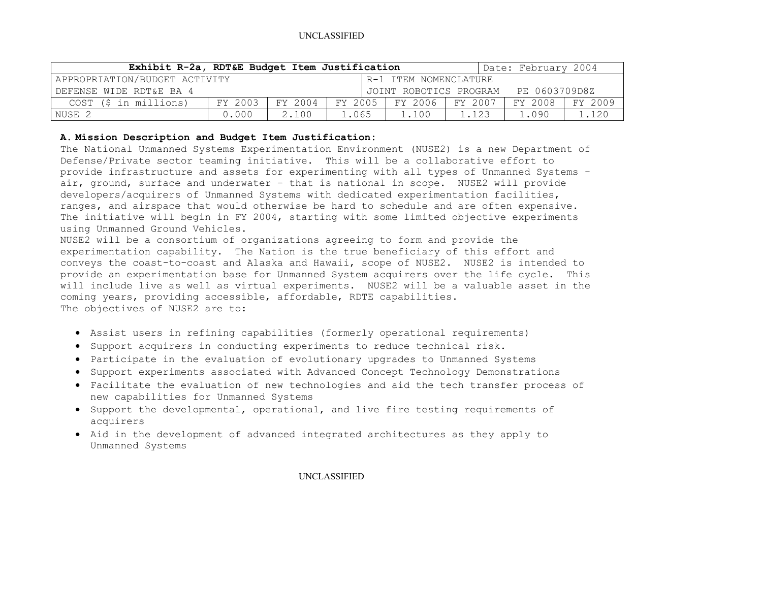| Exhibit R-2a, RDT&E Budget Item Justification |         |         |       |                                      |       | Date: February 2004 |         |
|-----------------------------------------------|---------|---------|-------|--------------------------------------|-------|---------------------|---------|
| APPROPRIATION/BUDGET ACTIVITY                 |         |         |       | R-1 ITEM NOMENCLATURE                |       |                     |         |
| DEFENSE WIDE RDT&E BA 4                       |         |         |       | JOINT ROBOTICS PROGRAM PE 0603709D8Z |       |                     |         |
| COST (\$ in millions)                         | FY 2003 | FY 2004 |       | FY 2005   FY 2006   FY 2007          |       | FY 2008 1           | FY 2009 |
| NUSE 2                                        | 0.000   | 2.100   | 1.065 | 1,100                                | 1.123 | 1,090               | 1.120   |

#### **A. Mission Description and Budget Item Justification:**

The National Unmanned Systems Experimentation Environment (NUSE2) is a new Department of Defense/Private sector teaming initiative. This will be a collaborative effort to provide infrastructure and assets for experimenting with all types of Unmanned Systems air, ground, surface and underwater – that is national in scope. NUSE2 will provide developers/acquirers of Unmanned Systems with dedicated experimentation facilities, ranges, and airspace that would otherwise be hard to schedule and are often expensive. The initiative will begin in FY 2004, starting with some limited objective experiments using Unmanned Ground Vehicles.

NUSE2 will be a consortium of organizations agreeing to form and provide the experimentation capability. The Nation is the true beneficiary of this effort and conveys the coast-to-coast and Alaska and Hawaii, scope of NUSE2. NUSE2 is intended to provide an experimentation base for Unmanned System acquirers over the life cycle. This will include live as well as virtual experiments. NUSE2 will be a valuable asset in the coming years, providing accessible, affordable, RDTE capabilities. The objectives of NUSE2 are to:

- Assist users in refining capabilities (formerly operational requirements)
- Support acquirers in conducting experiments to reduce technical risk.
- Participate in the evaluation of evolutionary upgrades to Unmanned Systems
- Support experiments associated with Advanced Concept Technology Demonstrations
- Facilitate the evaluation of new technologies and aid the tech transfer process of new capabilities for Unmanned Systems
- Support the developmental, operational, and live fire testing requirements of acquirers
- Aid in the development of advanced integrated architectures as they apply to Unmanned Systems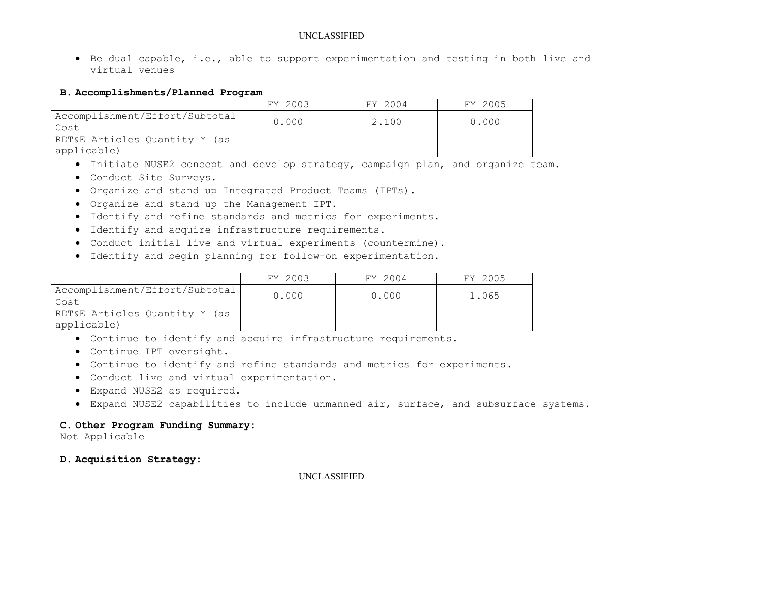• Be dual capable, i.e., able to support experimentation and testing in both live and virtual venues

#### **B. Accomplishments/Planned Program**

|                                        | FY 2003 | FY 2004 | FY 2005 |
|----------------------------------------|---------|---------|---------|
| Accomplishment/Effort/Subtotal<br>Cost | 0.000   | 2.100   | 0.000   |
| RDT&E Articles Quantity * (as          |         |         |         |
| applicable)                            |         |         |         |

- Initiate NUSE2 concept and develop strategy, campaign plan, and organize team.
- Conduct Site Surveys.
- Organize and stand up Integrated Product Teams (IPTs).
- Organize and stand up the Management IPT.
- Identify and refine standards and metrics for experiments.
- Identify and acquire infrastructure requirements.
- Conduct initial live and virtual experiments (countermine).
- Identify and begin planning for follow-on experimentation.

|                                              | FY 2003 | FY 2004 | FY 2005 |
|----------------------------------------------|---------|---------|---------|
| Accomplishment/Effort/Subtotal<br>Cost       | 0.000   | 0.000   | 1.065   |
| RDT&E Articles Quantity * (as<br>applicable) |         |         |         |

- Continue to identify and acquire infrastructure requirements.
- Continue IPT oversight.
- Continue to identify and refine standards and metrics for experiments.
- Conduct live and virtual experimentation.
- Expand NUSE2 as required.
- Expand NUSE2 capabilities to include unmanned air, surface, and subsurface systems.

# **C. Other Program Funding Summary:**

Not Applicable

### **D. Acquisition Strategy:**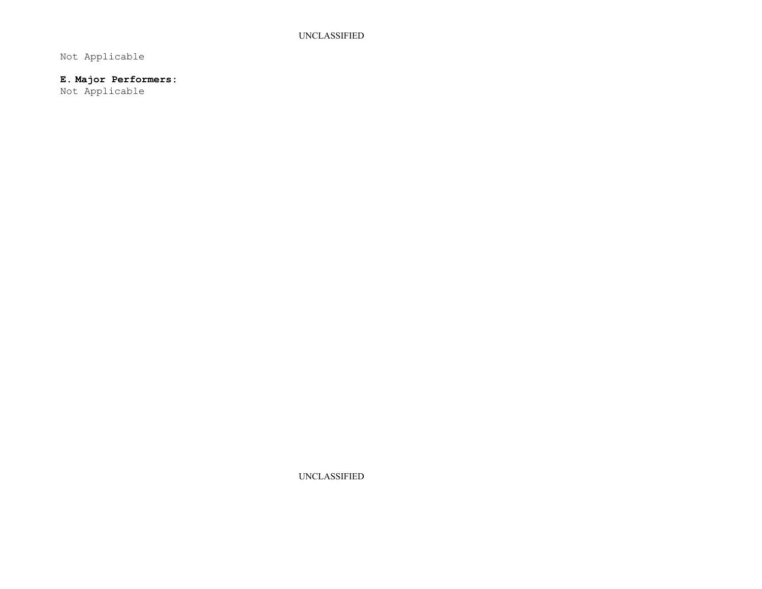Not Applicable

# **E. Major Performers:**

Not Applicable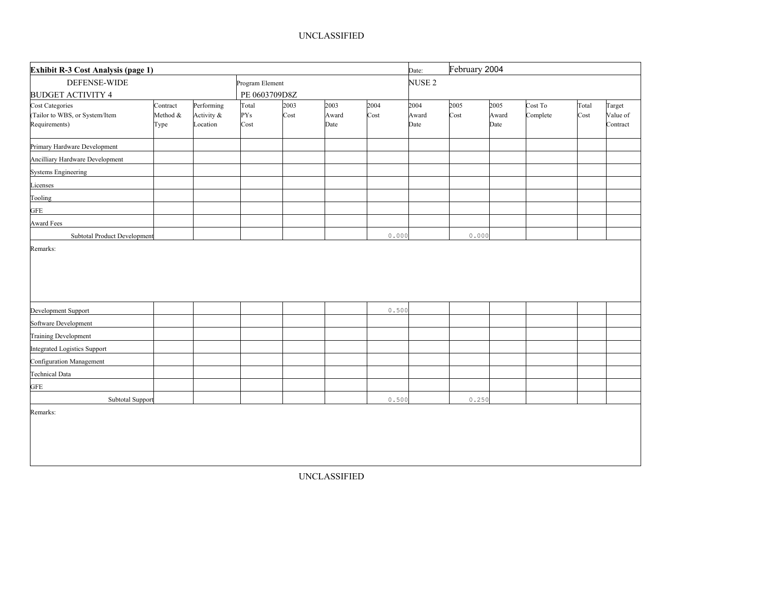| Exhibit R-3 Cost Analysis (page 1)                                        |                              |                                      |                             |              |                       |              | February 2004<br>Date: |              |                       |                     |               |                                |  |  |
|---------------------------------------------------------------------------|------------------------------|--------------------------------------|-----------------------------|--------------|-----------------------|--------------|------------------------|--------------|-----------------------|---------------------|---------------|--------------------------------|--|--|
| <b>DEFENSE-WIDE</b>                                                       |                              |                                      | Program Element             |              |                       |              | NUSE <sub>2</sub>      |              |                       |                     |               |                                |  |  |
| <b>BUDGET ACTIVITY 4</b>                                                  |                              |                                      | PE 0603709D8Z               |              |                       |              |                        |              |                       |                     |               |                                |  |  |
| <b>Cost Categories</b><br>(Tailor to WBS, or System/Item<br>Requirements) | Contract<br>Method &<br>Type | Performing<br>Activity &<br>Location | Total<br><b>PYs</b><br>Cost | 2003<br>Cost | 2003<br>Award<br>Date | 2004<br>Cost | 2004<br>Award<br>Date  | 2005<br>Cost | 2005<br>Award<br>Date | Cost To<br>Complete | Total<br>Cost | Target<br>Value of<br>Contract |  |  |
| Primary Hardware Development                                              |                              |                                      |                             |              |                       |              |                        |              |                       |                     |               |                                |  |  |
| Ancilliary Hardware Development                                           |                              |                                      |                             |              |                       |              |                        |              |                       |                     |               |                                |  |  |
| <b>Systems Engineering</b>                                                |                              |                                      |                             |              |                       |              |                        |              |                       |                     |               |                                |  |  |
| Licenses                                                                  |                              |                                      |                             |              |                       |              |                        |              |                       |                     |               |                                |  |  |
| Tooling                                                                   |                              |                                      |                             |              |                       |              |                        |              |                       |                     |               |                                |  |  |
| <b>GFE</b>                                                                |                              |                                      |                             |              |                       |              |                        |              |                       |                     |               |                                |  |  |
| <b>Award Fees</b>                                                         |                              |                                      |                             |              |                       |              |                        |              |                       |                     |               |                                |  |  |
| Subtotal Product Development                                              |                              |                                      |                             |              |                       | 0.000        |                        | 0.000        |                       |                     |               |                                |  |  |
|                                                                           |                              |                                      |                             |              |                       |              |                        |              |                       |                     |               |                                |  |  |
| Development Support                                                       |                              |                                      |                             |              |                       | 0.500        |                        |              |                       |                     |               |                                |  |  |
| Software Development                                                      |                              |                                      |                             |              |                       |              |                        |              |                       |                     |               |                                |  |  |
| <b>Training Development</b>                                               |                              |                                      |                             |              |                       |              |                        |              |                       |                     |               |                                |  |  |
| <b>Integrated Logistics Support</b>                                       |                              |                                      |                             |              |                       |              |                        |              |                       |                     |               |                                |  |  |
| Configuration Management                                                  |                              |                                      |                             |              |                       |              |                        |              |                       |                     |               |                                |  |  |
| <b>Technical Data</b>                                                     |                              |                                      |                             |              |                       |              |                        |              |                       |                     |               |                                |  |  |
| <b>GFE</b>                                                                |                              |                                      |                             |              |                       |              |                        |              |                       |                     |               |                                |  |  |
| Subtotal Support                                                          |                              |                                      |                             |              |                       | 0.500        |                        | 0.250        |                       |                     |               |                                |  |  |
| Remarks:                                                                  |                              |                                      |                             |              |                       |              |                        |              |                       |                     |               |                                |  |  |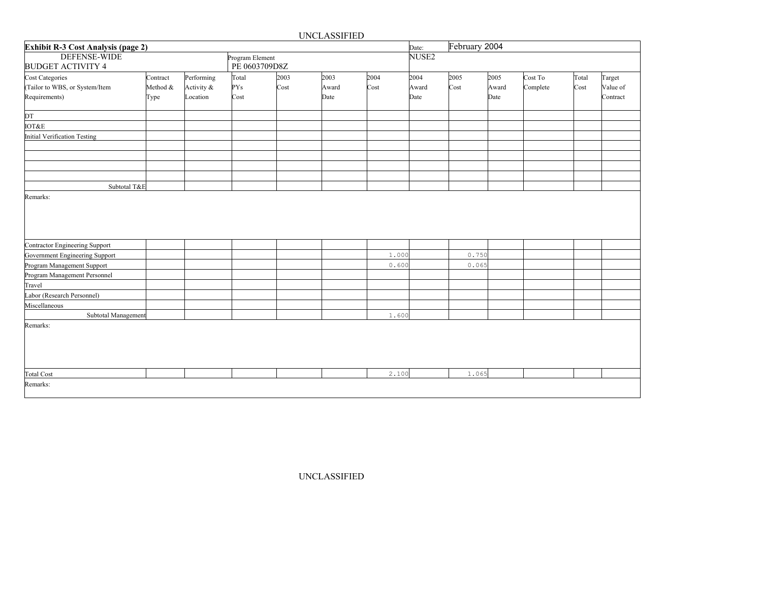| Exhibit R-3 Cost Analysis (page 2)  |          |            |                 |      |       |       | Date: | February 2004 |       |          |       |          |
|-------------------------------------|----------|------------|-----------------|------|-------|-------|-------|---------------|-------|----------|-------|----------|
| <b>DEFENSE-WIDE</b>                 |          |            | Program Element |      |       |       | NUSE2 |               |       |          |       |          |
| <b>BUDGET ACTIVITY 4</b>            |          |            | PE 0603709D8Z   |      |       |       |       |               |       |          |       |          |
| <b>Cost Categories</b>              | Contract | Performing | Total           | 2003 | 2003  | 2004  | 2004  | 2005          | 2005  | Cost To  | Total | Target   |
| (Tailor to WBS, or System/Item      | Method & | Activity & | <b>PYs</b>      | Cost | Award | Cost  | Award | Cost          | Award | Complete | Cost  | Value of |
| Requirements)                       | Type     | Location   | Cost            |      | Date  |       | Date  |               | Date  |          |       | Contract |
| DT                                  |          |            |                 |      |       |       |       |               |       |          |       |          |
| IOT&E                               |          |            |                 |      |       |       |       |               |       |          |       |          |
| <b>Initial Verification Testing</b> |          |            |                 |      |       |       |       |               |       |          |       |          |
|                                     |          |            |                 |      |       |       |       |               |       |          |       |          |
|                                     |          |            |                 |      |       |       |       |               |       |          |       |          |
|                                     |          |            |                 |      |       |       |       |               |       |          |       |          |
|                                     |          |            |                 |      |       |       |       |               |       |          |       |          |
| Subtotal T&E                        |          |            |                 |      |       |       |       |               |       |          |       |          |
|                                     |          |            |                 |      |       |       |       |               |       |          |       |          |
| Contractor Engineering Support      |          |            |                 |      |       |       |       |               |       |          |       |          |
| Government Engineering Support      |          |            |                 |      |       | 1.000 |       | 0.750         |       |          |       |          |
| Program Management Support          |          |            |                 |      |       | 0.600 |       | 0.065         |       |          |       |          |
| Program Management Personnel        |          |            |                 |      |       |       |       |               |       |          |       |          |
| Travel                              |          |            |                 |      |       |       |       |               |       |          |       |          |
| Labor (Research Personnel)          |          |            |                 |      |       |       |       |               |       |          |       |          |
| Miscellaneous                       |          |            |                 |      |       |       |       |               |       |          |       |          |
| Subtotal Management                 |          |            |                 |      |       | 1.600 |       |               |       |          |       |          |
| Remarks:                            |          |            |                 |      |       |       |       |               |       |          |       |          |
| <b>Total Cost</b>                   |          |            |                 |      |       | 2.100 |       | 1.065         |       |          |       |          |
| Remarks:                            |          |            |                 |      |       |       |       |               |       |          |       |          |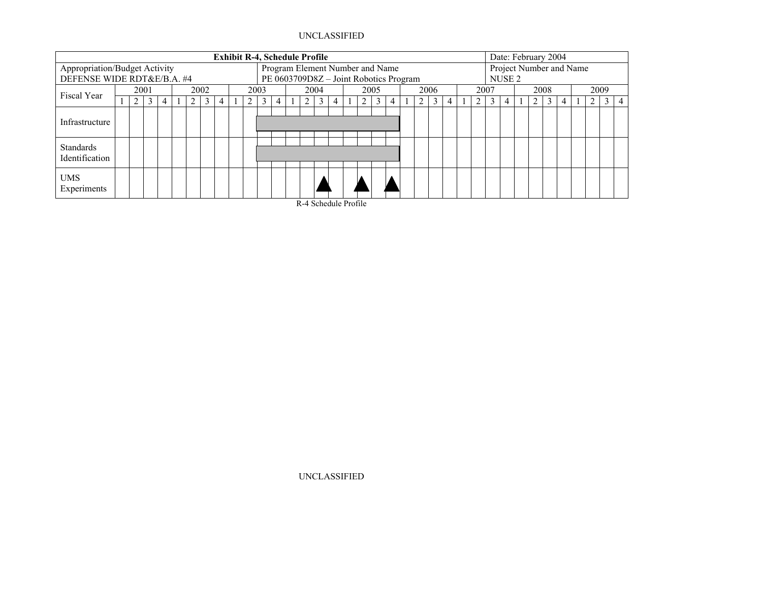|                                    |  |      |  |      | <b>Exhibit R-4, Schedule Profile</b> |      |  |      |                                        |  |      |  |      |  |      |   |        | Date: February 2004     |      |  |      |  |
|------------------------------------|--|------|--|------|--------------------------------------|------|--|------|----------------------------------------|--|------|--|------|--|------|---|--------|-------------------------|------|--|------|--|
| Appropriation/Budget Activity      |  |      |  |      |                                      |      |  |      | Program Element Number and Name        |  |      |  |      |  |      |   |        | Project Number and Name |      |  |      |  |
| DEFENSE WIDE RDT&E/B.A. #4         |  |      |  |      |                                      |      |  |      | PE 0603709D8Z - Joint Robotics Program |  |      |  |      |  |      |   | NUSE 2 |                         |      |  |      |  |
| Fiscal Year                        |  | 2001 |  | 2002 |                                      | 2003 |  | 2004 |                                        |  | 2005 |  | 2006 |  | 2007 |   |        |                         | 2008 |  | 2009 |  |
|                                    |  |      |  | 3    |                                      | 3    |  |      |                                        |  | 3    |  |      |  |      | 3 |        |                         | 3    |  |      |  |
| Infrastructure                     |  |      |  |      |                                      |      |  |      |                                        |  |      |  |      |  |      |   |        |                         |      |  |      |  |
| <b>Standards</b><br>Identification |  |      |  |      |                                      |      |  |      |                                        |  |      |  |      |  |      |   |        |                         |      |  |      |  |
| <b>UMS</b><br>Experiments          |  |      |  |      |                                      |      |  |      |                                        |  |      |  |      |  |      |   |        |                         |      |  |      |  |

R-4 Schedule Profile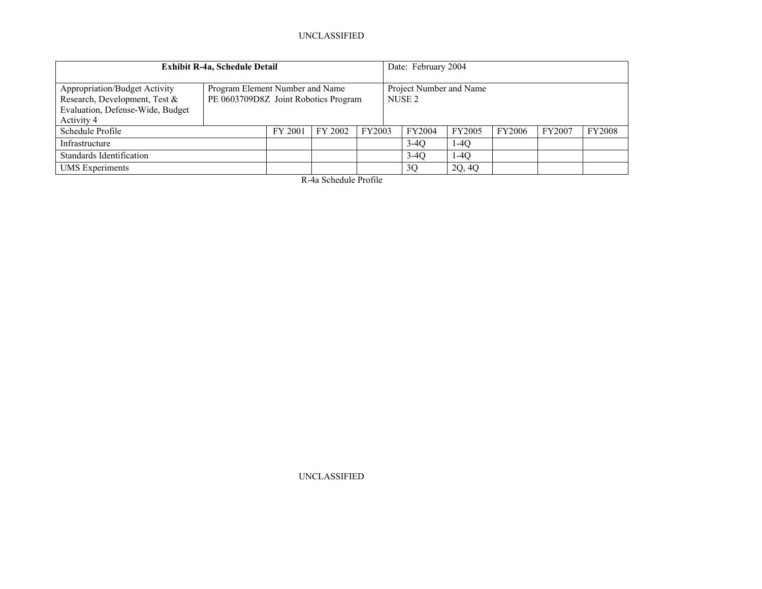|                                                                                                                  | <b>Exhibit R-4a, Schedule Detail</b>                                    |         |         |        | Date: February 2004               |        |        |        |               |
|------------------------------------------------------------------------------------------------------------------|-------------------------------------------------------------------------|---------|---------|--------|-----------------------------------|--------|--------|--------|---------------|
| Appropriation/Budget Activity<br>Research, Development, Test &<br>Evaluation, Defense-Wide, Budget<br>Activity 4 | Program Element Number and Name<br>PE 0603709D8Z Joint Robotics Program |         |         |        | Project Number and Name<br>NUSE 2 |        |        |        |               |
| Schedule Profile                                                                                                 |                                                                         | FY 2001 | FY 2002 | FY2003 | FY2004                            | FY2005 | FY2006 | FY2007 | <b>FY2008</b> |
| Infrastructure                                                                                                   |                                                                         |         |         |        | $3-40$                            | $1-4Q$ |        |        |               |
| Standards Identification                                                                                         |                                                                         |         |         |        | $3-40$                            | $1-4O$ |        |        |               |
| <b>UMS</b> Experiments                                                                                           |                                                                         |         |         |        | 3Q                                | 2Q, 4Q |        |        |               |

R-4a Schedule Profile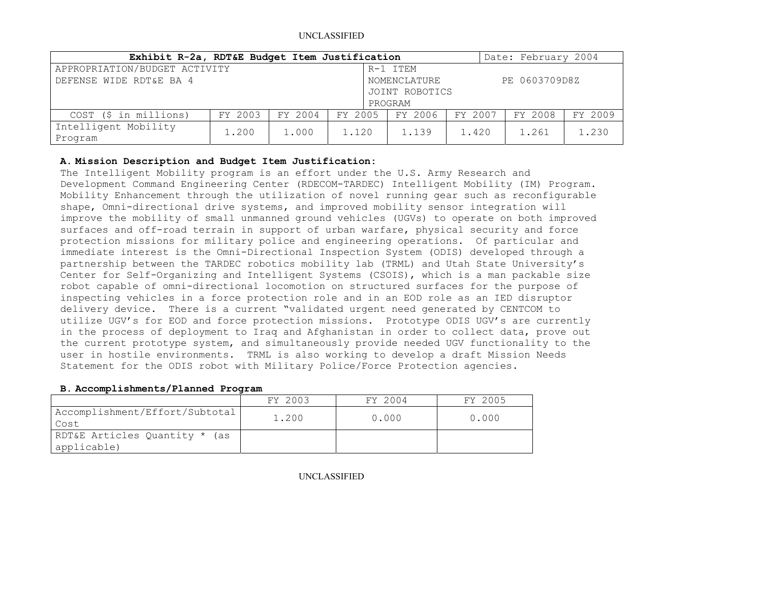UNCLASSIFIED

| Exhibit R-2a, RDT&E Budget Item Justification |                                           |         |         |                                           |         | Date: February 2004 |         |  |  |  |  |  |  |
|-----------------------------------------------|-------------------------------------------|---------|---------|-------------------------------------------|---------|---------------------|---------|--|--|--|--|--|--|
|                                               | APPROPRIATION/BUDGET ACTIVITY<br>R-1 ITEM |         |         |                                           |         |                     |         |  |  |  |  |  |  |
| DEFENSE WIDE RDT&E BA 4                       |                                           |         |         | NOMENCLATURE<br>JOINT ROBOTICS<br>PROGRAM |         | PE 0603709D8Z       |         |  |  |  |  |  |  |
| COST (\$ in millions)                         | FY 2003                                   | FY 2004 | FY 2005 | FY 2006                                   | FY 2007 | FY 2008             | FY 2009 |  |  |  |  |  |  |
| Intelligent Mobility<br>Program               | 1,200                                     | 1,000   | 1.120   | 1.139                                     | 1.420   | 1.261               | 1,230   |  |  |  |  |  |  |

### **A. Mission Description and Budget Item Justification:**

The Intelligent Mobility program is an effort under the U.S. Army Research and Development Command Engineering Center (RDECOM-TARDEC) Intelligent Mobility (IM) Program. Mobility Enhancement through the utilization of novel running gear such as reconfigurable shape, Omni-directional drive systems, and improved mobility sensor integration will improve the mobility of small unmanned ground vehicles (UGVs) to operate on both improved surfaces and off-road terrain in support of urban warfare, physical security and force protection missions for military police and engineering operations. Of particular and immediate interest is the Omni-Directional Inspection System (ODIS) developed through a partnership between the TARDEC robotics mobility lab (TRML) and Utah State University's Center for Self-Organizing and Intelligent Systems (CSOIS), which is a man packable size robot capable of omni-directional locomotion on structured surfaces for the purpose of inspecting vehicles in a force protection role and in an EOD role as an IED disruptor delivery device. There is a current "validated urgent need generated by CENTCOM to utilize UGV's for EOD and force protection missions. Prototype ODIS UGV's are currently in the process of deployment to Iraq and Afghanistan in order to collect data, prove out the current prototype system, and simultaneously provide needed UGV functionality to the user in hostile environments. TRML is also working to develop a draft Mission Needs Statement for the ODIS robot with Military Police/Force Protection agencies.

| B. Accomplishments/Planned Program           |         |         |         |
|----------------------------------------------|---------|---------|---------|
|                                              | FY 2003 | FY 2004 | FY 2005 |
| Accomplishment/Effort/Subtotal  <br>Cost     | 1,200   | 0.000   | 0.000   |
| RDT&E Articles Quantity * (as<br>applicable) |         |         |         |

#### **B. Accomplishments/Planned Program**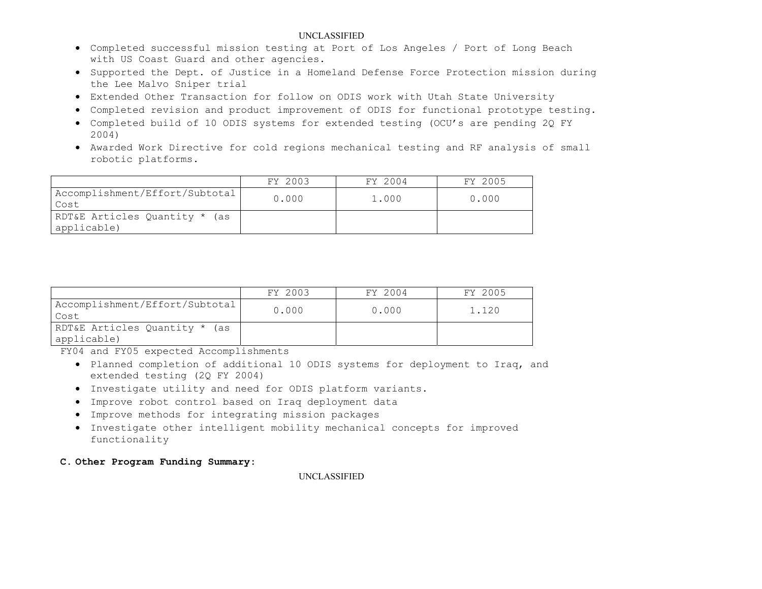- Completed successful mission testing at Port of Los Angeles / Port of Long Beach with US Coast Guard and other agencies.
- Supported the Dept. of Justice in a Homeland Defense Force Protection mission during the Lee Malvo Sniper trial
- Extended Other Transaction for follow on ODIS work with Utah State University
- Completed revision and product improvement of ODIS for functional prototype testing.
- Completed build of 10 ODIS systems for extended testing (OCU's are pending 2Q FY 2004)
- Awarded Work Directive for cold regions mechanical testing and RF analysis of small robotic platforms.

|                                              | FY 2003 | FY 2004 | FY 2005 |
|----------------------------------------------|---------|---------|---------|
| Accomplishment/Effort/Subtotal<br>Cost       | 0.000   | 1,000   | 0.000   |
| RDT&E Articles Quantity * (as<br>applicable) |         |         |         |

|                                              | FY 2003 | FY 2004 | FY 2005 |
|----------------------------------------------|---------|---------|---------|
| Accomplishment/Effort/Subtotal<br>Cost       | 0.000   | 0.000   | 1.120   |
| RDT&E Articles Quantity * (as<br>applicable) |         |         |         |

FY04 and FY05 expected Accomplishments

- Planned completion of additional 10 ODIS systems for deployment to Iraq, and extended testing (2Q FY 2004)
- Investigate utility and need for ODIS platform variants.
- Improve robot control based on Iraq deployment data
- Improve methods for integrating mission packages
- Investigate other intelligent mobility mechanical concepts for improved functionality

# **C. Other Program Funding Summary:**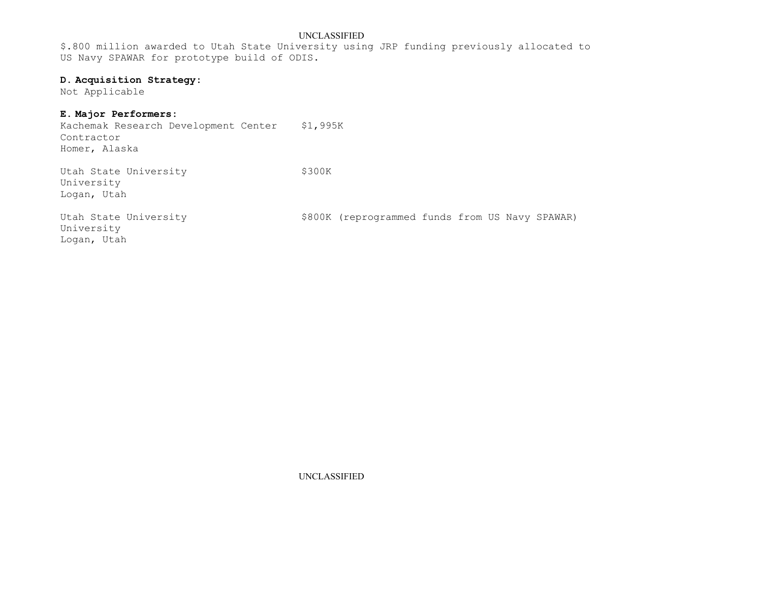\$.800 million awarded to Utah State University using JRP funding previously allocated to US Navy SPAWAR for prototype build of ODIS.

# **D. Acquisition Strategy:**

Not Applicable

Logan, Utah

# **E. Major Performers:**

Kachemak Research Development Center \$1,995K Contractor Homer, Alaska

Utah State University **\$300K** University Logan, Utah

University

Utah State University \$800K (reprogrammed funds from US Navy SPAWAR)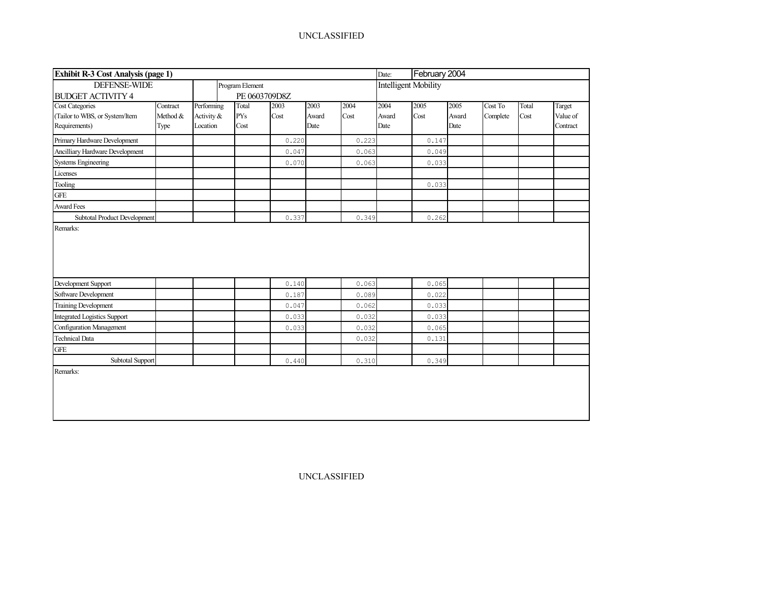| Exhibit R-3 Cost Analysis (page 1)  |          |            |                 |               |       |       | Date: | February 2004               |       |          |       |          |
|-------------------------------------|----------|------------|-----------------|---------------|-------|-------|-------|-----------------------------|-------|----------|-------|----------|
| <b>DEFENSE-WIDE</b>                 |          |            | Program Element |               |       |       |       | <b>Intelligent Mobility</b> |       |          |       |          |
| <b>BUDGET ACTIVITY 4</b>            |          |            |                 | PE 0603709D8Z |       |       |       |                             |       |          |       |          |
| <b>Cost Categories</b>              | Contract | Performing | Total           | 2003          | 2003  | 2004  | 2004  | 2005                        | 2005  | Cost To  | Total | Target   |
| (Tailor to WBS, or System/Item      | Method & | Activity & | <b>PYs</b>      | Cost          | Award | Cost  | Award | Cost                        | Award | Complete | Cost  | Value of |
| Requirements)                       | Type     | Location   | Cost            |               | Date  |       | Date  |                             | Date  |          |       | Contract |
| Primary Hardware Development        |          |            |                 | 0.220         |       | 0.223 |       | 0.147                       |       |          |       |          |
| Ancilliary Hardware Development     |          |            |                 | 0.047         |       | 0.063 |       | 0.049                       |       |          |       |          |
| <b>Systems Engineering</b>          |          |            |                 | 0.070         |       | 0.063 |       | 0.033                       |       |          |       |          |
| Licenses                            |          |            |                 |               |       |       |       |                             |       |          |       |          |
| Tooling                             |          |            |                 |               |       |       |       | 0.033                       |       |          |       |          |
| <b>GFE</b>                          |          |            |                 |               |       |       |       |                             |       |          |       |          |
| <b>Award Fees</b>                   |          |            |                 |               |       |       |       |                             |       |          |       |          |
| <b>Subtotal Product Development</b> |          |            |                 | 0.337         |       | 0.349 |       | 0.262                       |       |          |       |          |
|                                     |          |            |                 |               |       |       |       |                             |       |          |       |          |
| Development Support                 |          |            |                 | 0.140         |       | 0.063 |       | 0.065                       |       |          |       |          |
| Software Development                |          |            |                 | 0.187         |       | 0.089 |       | 0.022                       |       |          |       |          |
| <b>Training Development</b>         |          |            |                 | 0.047         |       | 0.062 |       | 0.033                       |       |          |       |          |
| <b>Integrated Logistics Support</b> |          |            |                 | 0.033         |       | 0.032 |       | 0.033                       |       |          |       |          |
| Configuration Management            |          |            |                 | 0.033         |       | 0.032 |       | 0.065                       |       |          |       |          |
| <b>Technical Data</b>               |          |            |                 |               |       | 0.032 |       | 0.131                       |       |          |       |          |
| <b>GFE</b>                          |          |            |                 |               |       |       |       |                             |       |          |       |          |
| Subtotal Support                    |          |            |                 | 0.440         |       | 0.310 |       | 0.349                       |       |          |       |          |
| Remarks:                            |          |            |                 |               |       |       |       |                             |       |          |       |          |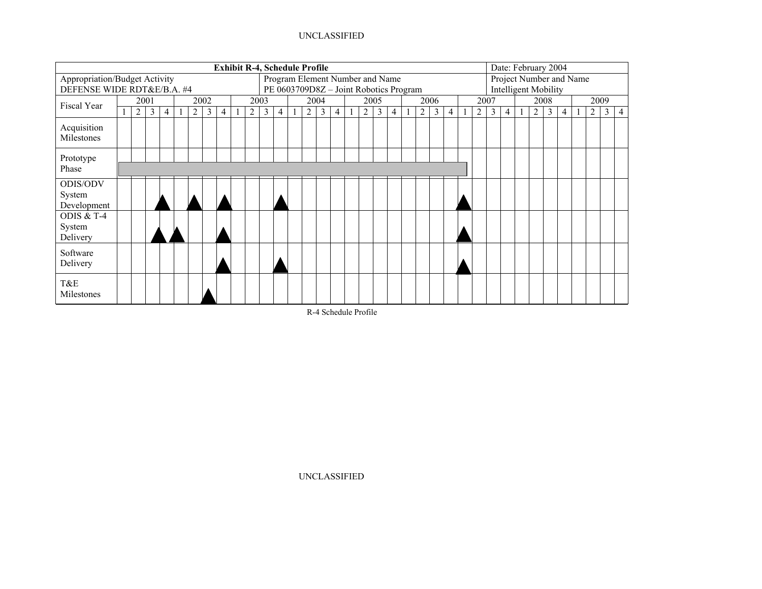|                                                             |      |   |                |                |      |                |                |      |   |   | <b>Exhibit R-4, Schedule Profile</b> |                |                                                                           |      |                |   |      |   |   |      |   |   | Date: February 2004         |                         |                |                |   |
|-------------------------------------------------------------|------|---|----------------|----------------|------|----------------|----------------|------|---|---|--------------------------------------|----------------|---------------------------------------------------------------------------|------|----------------|---|------|---|---|------|---|---|-----------------------------|-------------------------|----------------|----------------|---|
| Appropriation/Budget Activity<br>DEFENSE WIDE RDT&E/B.A. #4 |      |   |                |                |      |                |                |      |   |   |                                      |                | Program Element Number and Name<br>PE 0603709D8Z - Joint Robotics Program |      |                |   |      |   |   |      |   |   | <b>Intelligent Mobility</b> | Project Number and Name |                |                |   |
|                                                             | 2001 |   |                |                | 2002 |                |                | 2003 |   |   | 2004                                 |                |                                                                           | 2005 |                |   | 2006 |   |   | 2007 |   |   | 2008                        |                         |                | 2009           |   |
| Fiscal Year                                                 | 2    | 3 | $\overline{4}$ | $\overline{2}$ | 3    | $\overline{4}$ | $\overline{2}$ | 3    | 4 | 2 | $\mathfrak{Z}$                       | $\overline{4}$ | 2                                                                         | 3    | $\overline{4}$ | 2 | 3    | 4 | 2 | 3    | 4 | 2 | 3                           | $\overline{4}$          | $\overline{2}$ | $\mathfrak{Z}$ | 4 |
| Acquisition<br>Milestones                                   |      |   |                |                |      |                |                |      |   |   |                                      |                |                                                                           |      |                |   |      |   |   |      |   |   |                             |                         |                |                |   |
| Prototype                                                   |      |   |                |                |      |                |                |      |   |   |                                      |                |                                                                           |      |                |   |      |   |   |      |   |   |                             |                         |                |                |   |
| Phase                                                       |      |   |                |                |      |                |                |      |   |   |                                      |                |                                                                           |      |                |   |      |   |   |      |   |   |                             |                         |                |                |   |
| <b>ODIS/ODV</b>                                             |      |   |                |                |      |                |                |      |   |   |                                      |                |                                                                           |      |                |   |      |   |   |      |   |   |                             |                         |                |                |   |
| System                                                      |      |   |                |                |      |                |                |      |   |   |                                      |                |                                                                           |      |                |   |      |   |   |      |   |   |                             |                         |                |                |   |
| Development                                                 |      |   |                |                |      |                |                |      |   |   |                                      |                |                                                                           |      |                |   |      |   |   |      |   |   |                             |                         |                |                |   |
| ODIS $&T-4$<br>System                                       |      |   |                |                |      |                |                |      |   |   |                                      |                |                                                                           |      |                |   |      |   |   |      |   |   |                             |                         |                |                |   |
| Delivery                                                    |      |   |                |                |      |                |                |      |   |   |                                      |                |                                                                           |      |                |   |      |   |   |      |   |   |                             |                         |                |                |   |
| Software<br>Delivery                                        |      |   |                |                |      |                |                |      |   |   |                                      |                |                                                                           |      |                |   |      |   |   |      |   |   |                             |                         |                |                |   |
|                                                             |      |   |                |                |      |                |                |      |   |   |                                      |                |                                                                           |      |                |   |      |   |   |      |   |   |                             |                         |                |                |   |
| T&E<br>Milestones                                           |      |   |                |                |      |                |                |      |   |   |                                      |                |                                                                           |      |                |   |      |   |   |      |   |   |                             |                         |                |                |   |

R-4 Schedule Profile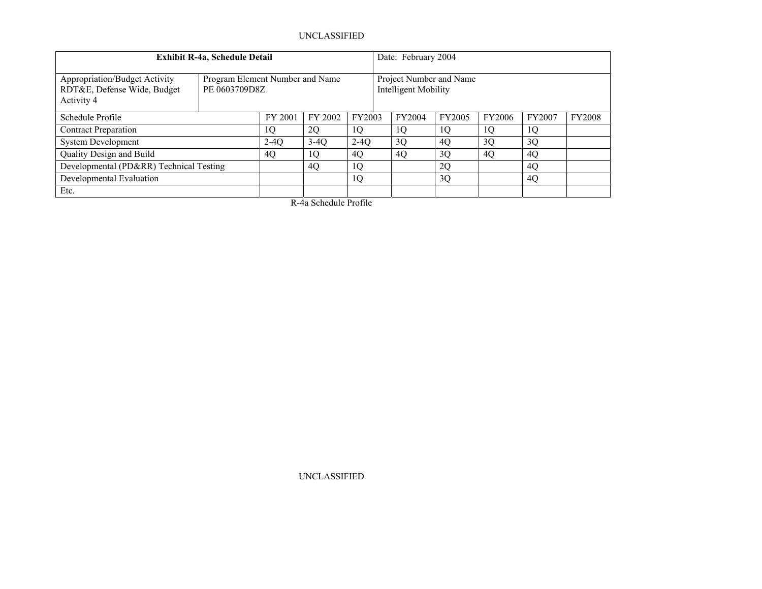|                                                                            | <b>Exhibit R-4a, Schedule Detail</b>             |         |         |        | Date: February 2004                             |        |        |        |               |
|----------------------------------------------------------------------------|--------------------------------------------------|---------|---------|--------|-------------------------------------------------|--------|--------|--------|---------------|
| Appropriation/Budget Activity<br>RDT&E, Defense Wide, Budget<br>Activity 4 | Program Element Number and Name<br>PE 0603709D8Z |         |         |        | Project Number and Name<br>Intelligent Mobility |        |        |        |               |
| Schedule Profile                                                           |                                                  | FY 2001 | FY 2002 | FY2003 | FY2004                                          | FY2005 | FY2006 | FY2007 | <b>FY2008</b> |
| Contract Preparation                                                       |                                                  | 10      | 2Q      | 10     | 10                                              | 1Q     | 1Q     | 1Q     |               |
| <b>System Development</b>                                                  |                                                  | $2-4Q$  | $3-4Q$  | $2-4Q$ | 3Q                                              | 4Q     | 3Q     | 3Q     |               |
| Quality Design and Build                                                   |                                                  | 4Q      | 10      | 4O     | 4Q                                              | 3Q     | 4Q     | 4Q     |               |
| Developmental (PD&RR) Technical Testing                                    |                                                  |         | 4Q      | 10     |                                                 | 2Q     |        | 4Q     |               |
| Developmental Evaluation                                                   |                                                  |         |         | 1Q     |                                                 | 3Q     |        | 4Q     |               |
| Etc.                                                                       |                                                  |         |         |        |                                                 |        |        |        |               |

R-4a Schedule Profile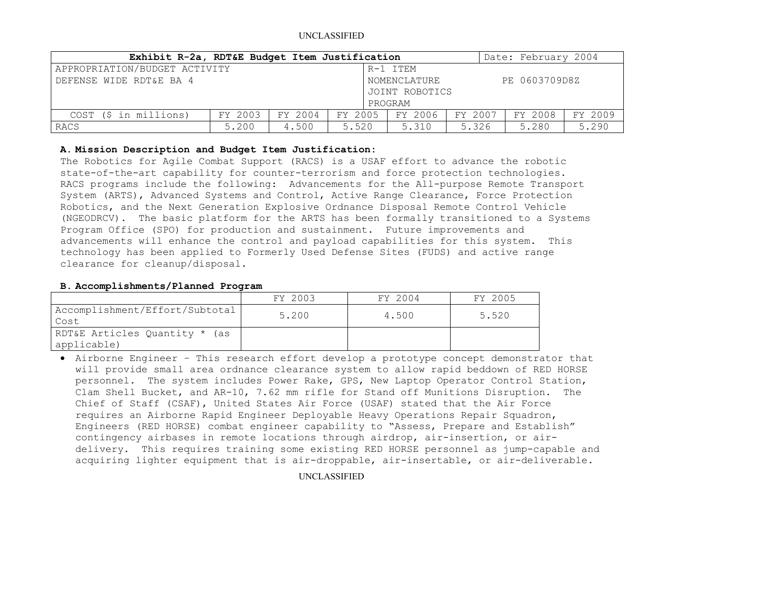UNCLASSIFIED

| Exhibit R-2a, RDT&E Budget Item Justification            |                |         |         |         |         | Date: February 2004 |         |  |  |  |  |  |
|----------------------------------------------------------|----------------|---------|---------|---------|---------|---------------------|---------|--|--|--|--|--|
| APPROPRIATION/BUDGET ACTIVITY<br>R-1 ITEM                |                |         |         |         |         |                     |         |  |  |  |  |  |
| PE 0603709D8Z<br>DEFENSE WIDE RDT&E BA 4<br>NOMENCLATURE |                |         |         |         |         |                     |         |  |  |  |  |  |
|                                                          | JOINT ROBOTICS |         |         |         |         |                     |         |  |  |  |  |  |
|                                                          |                |         |         | PROGRAM |         |                     |         |  |  |  |  |  |
| $COST$ (\$ in millions)                                  | FY 2003        | FY 2004 | FY 2005 | FY 2006 | FY 2007 | FY 2008             | FY 2009 |  |  |  |  |  |
| <b>RACS</b>                                              | 5.200          | 4.500   | 5.520   | 5.310   | 5.326   | 5.280               | 5.290   |  |  |  |  |  |

#### **A. Mission Description and Budget Item Justification:**

The Robotics for Agile Combat Support (RACS) is a USAF effort to advance the robotic state-of-the-art capability for counter-terrorism and force protection technologies. RACS programs include the following: Advancements for the All-purpose Remote Transport System (ARTS), Advanced Systems and Control, Active Range Clearance, Force Protection Robotics, and the Next Generation Explosive Ordnance Disposal Remote Control Vehicle (NGEODRCV). The basic platform for the ARTS has been formally transitioned to a Systems Program Office (SPO) for production and sustainment. Future improvements and advancements will enhance the control and payload capabilities for this system. This technology has been applied to Formerly Used Defense Sites (FUDS) and active range clearance for cleanup/disposal.

#### **B. Accomplishments/Planned Program**

|                                        | FY 2003 | FY 2004 | FY 2005 |
|----------------------------------------|---------|---------|---------|
| Accomplishment/Effort/Subtotal<br>Cost | 5.200   | 4.500   | 5.520   |
| RDT&E Articles Quantity * (as          |         |         |         |
| applicable)                            |         |         |         |

• Airborne Engineer – This research effort develop a prototype concept demonstrator that will provide small area ordnance clearance system to allow rapid beddown of RED HORSE personnel. The system includes Power Rake, GPS, New Laptop Operator Control Station, Clam Shell Bucket, and AR-10, 7.62 mm rifle for Stand off Munitions Disruption. The Chief of Staff (CSAF), United States Air Force (USAF) stated that the Air Force requires an Airborne Rapid Engineer Deployable Heavy Operations Repair Squadron, Engineers (RED HORSE) combat engineer capability to "Assess, Prepare and Establish" contingency airbases in remote locations through airdrop, air-insertion, or airdelivery. This requires training some existing RED HORSE personnel as jump-capable and acquiring lighter equipment that is air-droppable, air-insertable, or air-deliverable.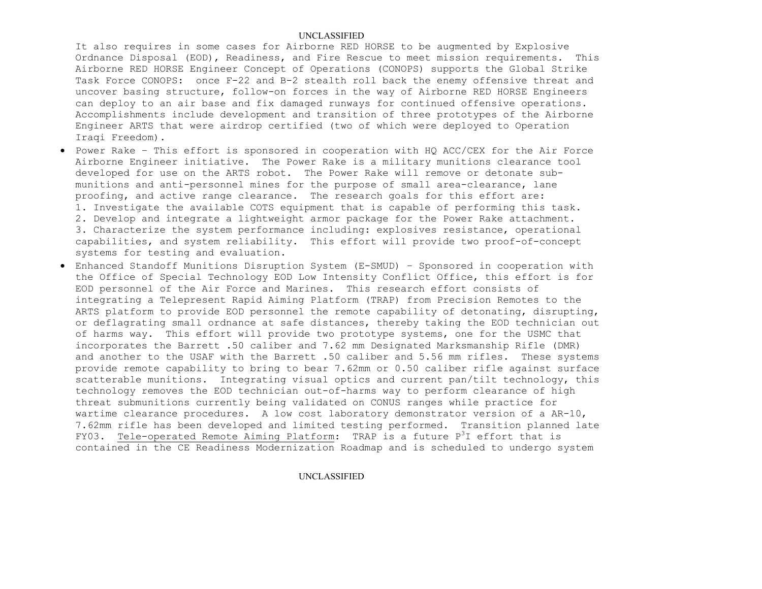It also requires in some cases for Airborne RED HORSE to be augmented by Explosive Ordnance Disposal (EOD), Readiness, and Fire Rescue to meet mission requirements. This Airborne RED HORSE Engineer Concept of Operations (CONOPS) supports the Global Strike Task Force CONOPS: once F-22 and B-2 stealth roll back the enemy offensive threat and uncover basing structure, follow-on forces in the way of Airborne RED HORSE Engineers can deploy to an air base and fix damaged runways for continued offensive operations. Accomplishments include development and transition of three prototypes of the Airborne Engineer ARTS that were airdrop certified (two of which were deployed to Operation Iraqi Freedom).

- Power Rake This effort is sponsored in cooperation with HQ ACC/CEX for the Air Force Airborne Engineer initiative. The Power Rake is a military munitions clearance tool developed for use on the ARTS robot. The Power Rake will remove or detonate submunitions and anti-personnel mines for the purpose of small area-clearance, lane proofing, and active range clearance. The research goals for this effort are: 1. Investigate the available COTS equipment that is capable of performing this task. 2. Develop and integrate a lightweight armor package for the Power Rake attachment. 3. Characterize the system performance including: explosives resistance, operational capabilities, and system reliability. This effort will provide two proof-of-concept systems for testing and evaluation.
- Enhanced Standoff Munitions Disruption System (E-SMUD) Sponsored in cooperation with the Office of Special Technology EOD Low Intensity Conflict Office, this effort is for EOD personnel of the Air Force and Marines. This research effort consists of integrating a Telepresent Rapid Aiming Platform (TRAP) from Precision Remotes to the ARTS platform to provide EOD personnel the remote capability of detonating, disrupting, or deflagrating small ordnance at safe distances, thereby taking the EOD technician out of harms way. This effort will provide two prototype systems, one for the USMC that incorporates the Barrett .50 caliber and 7.62 mm Designated Marksmanship Rifle (DMR) and another to the USAF with the Barrett .50 caliber and 5.56 mm rifles. These systems provide remote capability to bring to bear 7.62mm or 0.50 caliber rifle against surface scatterable munitions. Integrating visual optics and current pan/tilt technology, this technology removes the EOD technician out-of-harms way to perform clearance of high threat submunitions currently being validated on CONUS ranges while practice for wartime clearance procedures. A low cost laboratory demonstrator version of a AR-10, 7.62mm rifle has been developed and limited testing performed. Transition planned late FY03. Tele-operated Remote Aiming Platform: TRAP is a future  $P<sup>3</sup>I$  effort that is contained in the CE Readiness Modernization Roadmap and is scheduled to undergo system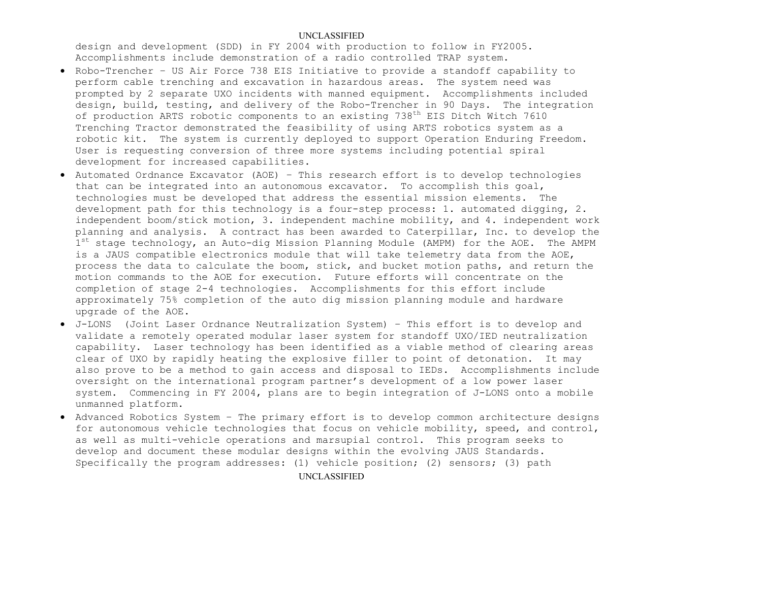design and development (SDD) in FY 2004 with production to follow in FY2005. Accomplishments include demonstration of a radio controlled TRAP system.

- Robo-Trencher US Air Force 738 EIS Initiative to provide a standoff capability to perform cable trenching and excavation in hazardous areas. The system need was prompted by 2 separate UXO incidents with manned equipment. Accomplishments included design, build, testing, and delivery of the Robo-Trencher in 90 Days. The integration of production ARTS robotic components to an existing 738<sup>th</sup> EIS Ditch Witch 7610 Trenching Tractor demonstrated the feasibility of using ARTS robotics system as a robotic kit. The system is currently deployed to support Operation Enduring Freedom. User is requesting conversion of three more systems including potential spiral development for increased capabilities.
- Automated Ordnance Excavator (AOE) This research effort is to develop technologies that can be integrated into an autonomous excavator. To accomplish this goal, technologies must be developed that address the essential mission elements. The development path for this technology is a four-step process: 1. automated digging, 2. independent boom/stick motion, 3. independent machine mobility, and 4. independent work planning and analysis. A contract has been awarded to Caterpillar, Inc. to develop the 1<sup>st</sup> stage technology, an Auto-dig Mission Planning Module (AMPM) for the AOE. The AMPM is a JAUS compatible electronics module that will take telemetry data from the AOE, process the data to calculate the boom, stick, and bucket motion paths, and return the motion commands to the AOE for execution. Future efforts will concentrate on the completion of stage 2-4 technologies. Accomplishments for this effort include approximately 75% completion of the auto dig mission planning module and hardware upgrade of the AOE.
- J-LONS (Joint Laser Ordnance Neutralization System) This effort is to develop and validate a remotely operated modular laser system for standoff UXO/IED neutralization capability. Laser technology has been identified as a viable method of clearing areas clear of UXO by rapidly heating the explosive filler to point of detonation. It may also prove to be a method to gain access and disposal to IEDs. Accomplishments include oversight on the international program partner's development of a low power laser system. Commencing in FY 2004, plans are to begin integration of J-LONS onto a mobile unmanned platform.
- Advanced Robotics System The primary effort is to develop common architecture designs for autonomous vehicle technologies that focus on vehicle mobility, speed, and control, as well as multi-vehicle operations and marsupial control. This program seeks to develop and document these modular designs within the evolving JAUS Standards. Specifically the program addresses: (1) vehicle position; (2) sensors; (3) path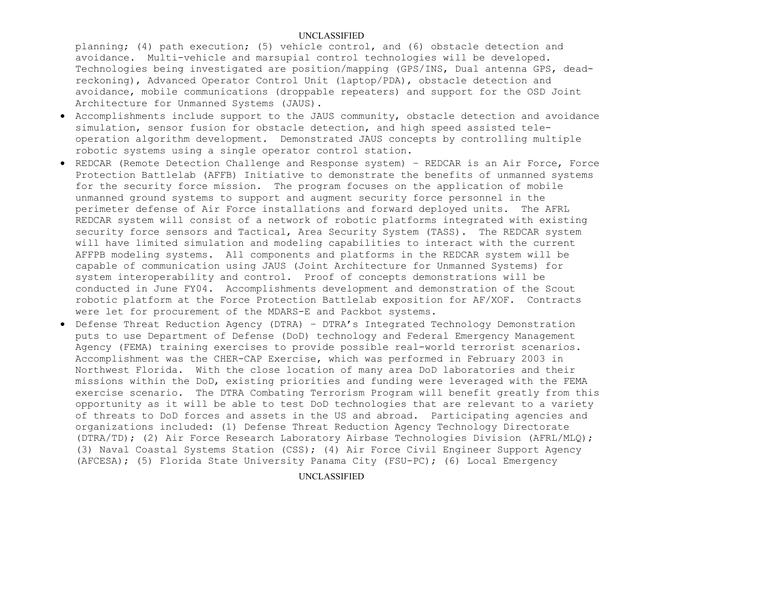planning; (4) path execution; (5) vehicle control, and (6) obstacle detection and avoidance. Multi-vehicle and marsupial control technologies will be developed. Technologies being investigated are position/mapping (GPS/INS, Dual antenna GPS, deadreckoning), Advanced Operator Control Unit (laptop/PDA), obstacle detection and avoidance, mobile communications (droppable repeaters) and support for the OSD Joint Architecture for Unmanned Systems (JAUS).

- Accomplishments include support to the JAUS community, obstacle detection and avoidance simulation, sensor fusion for obstacle detection, and high speed assisted teleoperation algorithm development. Demonstrated JAUS concepts by controlling multiple robotic systems using a single operator control station.
- REDCAR (Remote Detection Challenge and Response system) REDCAR is an Air Force, Force Protection Battlelab (AFFB) Initiative to demonstrate the benefits of unmanned systems for the security force mission. The program focuses on the application of mobile unmanned ground systems to support and augment security force personnel in the perimeter defense of Air Force installations and forward deployed units. The AFRL REDCAR system will consist of a network of robotic platforms integrated with existing security force sensors and Tactical, Area Security System (TASS). The REDCAR system will have limited simulation and modeling capabilities to interact with the current AFFPB modeling systems. All components and platforms in the REDCAR system will be capable of communication using JAUS (Joint Architecture for Unmanned Systems) for system interoperability and control. Proof of concepts demonstrations will be conducted in June FY04. Accomplishments development and demonstration of the Scout robotic platform at the Force Protection Battlelab exposition for AF/XOF. Contracts were let for procurement of the MDARS-E and Packbot systems.
- Defense Threat Reduction Agency (DTRA) DTRA's Integrated Technology Demonstration puts to use Department of Defense (DoD) technology and Federal Emergency Management Agency (FEMA) training exercises to provide possible real-world terrorist scenarios. Accomplishment was the CHER-CAP Exercise, which was performed in February 2003 in Northwest Florida. With the close location of many area DoD laboratories and their missions within the DoD, existing priorities and funding were leveraged with the FEMA exercise scenario. The DTRA Combating Terrorism Program will benefit greatly from this opportunity as it will be able to test DoD technologies that are relevant to a variety of threats to DoD forces and assets in the US and abroad. Participating agencies and organizations included: (1) Defense Threat Reduction Agency Technology Directorate (DTRA/TD); (2) Air Force Research Laboratory Airbase Technologies Division (AFRL/MLQ); (3) Naval Coastal Systems Station (CSS); (4) Air Force Civil Engineer Support Agency (AFCESA); (5) Florida State University Panama City (FSU-PC); (6) Local Emergency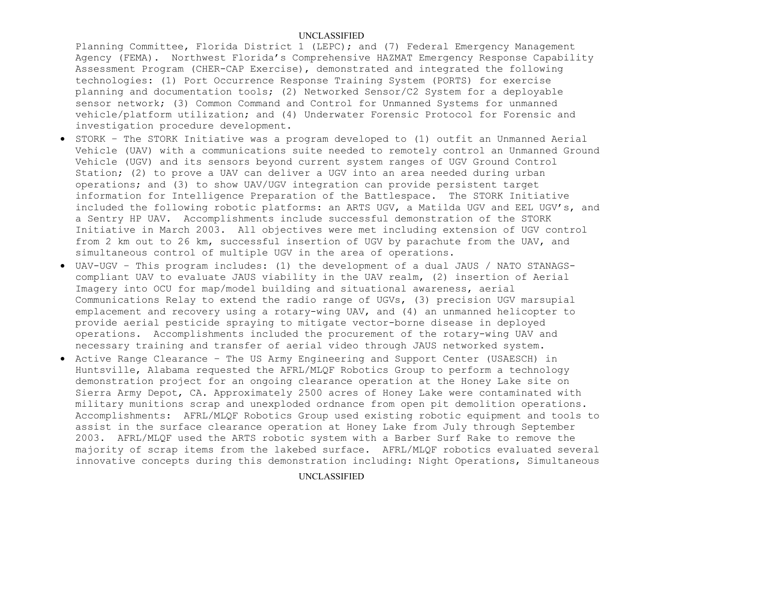Planning Committee, Florida District 1 (LEPC); and (7) Federal Emergency Management Agency (FEMA). Northwest Florida's Comprehensive HAZMAT Emergency Response Capability Assessment Program (CHER-CAP Exercise), demonstrated and integrated the following technologies: (1) Port Occurrence Response Training System (PORTS) for exercise planning and documentation tools; (2) Networked Sensor/C2 System for a deployable sensor network; (3) Common Command and Control for Unmanned Systems for unmanned vehicle/platform utilization; and (4) Underwater Forensic Protocol for Forensic and investigation procedure development.

- STORK The STORK Initiative was a program developed to (1) outfit an Unmanned Aerial Vehicle (UAV) with a communications suite needed to remotely control an Unmanned Ground Vehicle (UGV) and its sensors beyond current system ranges of UGV Ground Control Station; (2) to prove a UAV can deliver a UGV into an area needed during urban operations; and (3) to show UAV/UGV integration can provide persistent target information for Intelligence Preparation of the Battlespace. The STORK Initiative included the following robotic platforms: an ARTS UGV, a Matilda UGV and EEL UGV's, and a Sentry HP UAV. Accomplishments include successful demonstration of the STORK Initiative in March 2003. All objectives were met including extension of UGV control from 2 km out to 26 km, successful insertion of UGV by parachute from the UAV, and simultaneous control of multiple UGV in the area of operations.
- UAV-UGV This program includes: (1) the development of a dual JAUS / NATO STANAGScompliant UAV to evaluate JAUS viability in the UAV realm, (2) insertion of Aerial Imagery into OCU for map/model building and situational awareness, aerial Communications Relay to extend the radio range of UGVs, (3) precision UGV marsupial emplacement and recovery using a rotary-wing UAV, and (4) an unmanned helicopter to provide aerial pesticide spraying to mitigate vector-borne disease in deployed operations. Accomplishments included the procurement of the rotary-wing UAV and necessary training and transfer of aerial video through JAUS networked system.
- Active Range Clearance The US Army Engineering and Support Center (USAESCH) in Huntsville, Alabama requested the AFRL/MLQF Robotics Group to perform a technology demonstration project for an ongoing clearance operation at the Honey Lake site on Sierra Army Depot, CA. Approximately 2500 acres of Honey Lake were contaminated with military munitions scrap and unexploded ordnance from open pit demolition operations. Accomplishments: AFRL/MLQF Robotics Group used existing robotic equipment and tools to assist in the surface clearance operation at Honey Lake from July through September 2003. AFRL/MLQF used the ARTS robotic system with a Barber Surf Rake to remove the majority of scrap items from the lakebed surface. AFRL/MLQF robotics evaluated several innovative concepts during this demonstration including: Night Operations, Simultaneous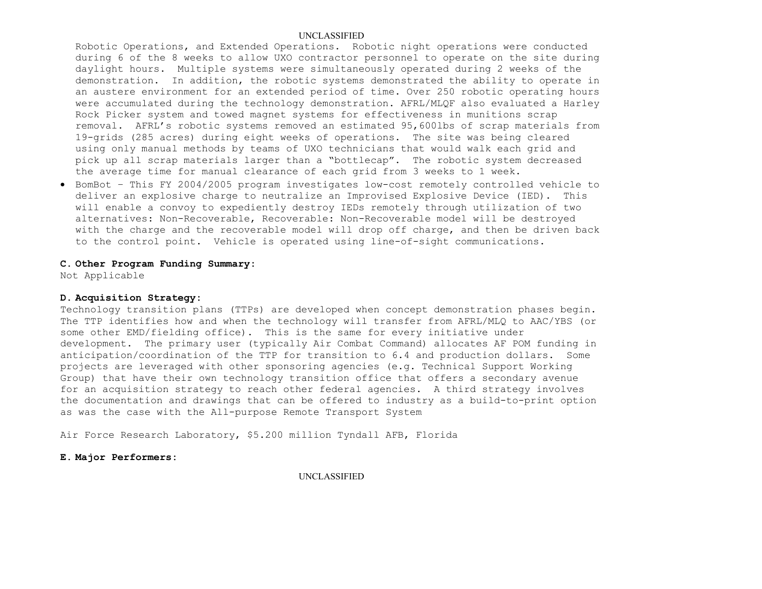Robotic Operations, and Extended Operations. Robotic night operations were conducted during 6 of the 8 weeks to allow UXO contractor personnel to operate on the site during daylight hours. Multiple systems were simultaneously operated during 2 weeks of the demonstration. In addition, the robotic systems demonstrated the ability to operate in an austere environment for an extended period of time. Over 250 robotic operating hours were accumulated during the technology demonstration. AFRL/MLQF also evaluated a Harley Rock Picker system and towed magnet systems for effectiveness in munitions scrap removal. AFRL's robotic systems removed an estimated 95,600lbs of scrap materials from 19-grids (285 acres) during eight weeks of operations. The site was being cleared using only manual methods by teams of UXO technicians that would walk each grid and pick up all scrap materials larger than a "bottlecap". The robotic system decreased the average time for manual clearance of each grid from 3 weeks to 1 week.

• BomBot – This FY 2004/2005 program investigates low-cost remotely controlled vehicle to deliver an explosive charge to neutralize an Improvised Explosive Device (IED). This will enable a convoy to expediently destroy IEDs remotely through utilization of two alternatives: Non-Recoverable, Recoverable: Non-Recoverable model will be destroyed with the charge and the recoverable model will drop off charge, and then be driven back to the control point. Vehicle is operated using line-of-sight communications.

#### **C. Other Program Funding Summary:**

Not Applicable

#### **D. Acquisition Strategy:**

Technology transition plans (TTPs) are developed when concept demonstration phases begin. The TTP identifies how and when the technology will transfer from AFRL/MLQ to AAC/YBS (or some other EMD/fielding office). This is the same for every initiative under development. The primary user (typically Air Combat Command) allocates AF POM funding in anticipation/coordination of the TTP for transition to 6.4 and production dollars. Some projects are leveraged with other sponsoring agencies (e.g. Technical Support Working Group) that have their own technology transition office that offers a secondary avenue for an acquisition strategy to reach other federal agencies. A third strategy involves the documentation and drawings that can be offered to industry as a build-to-print option as was the case with the All-purpose Remote Transport System

Air Force Research Laboratory, \$5.200 million Tyndall AFB, Florida

#### **E. Major Performers:**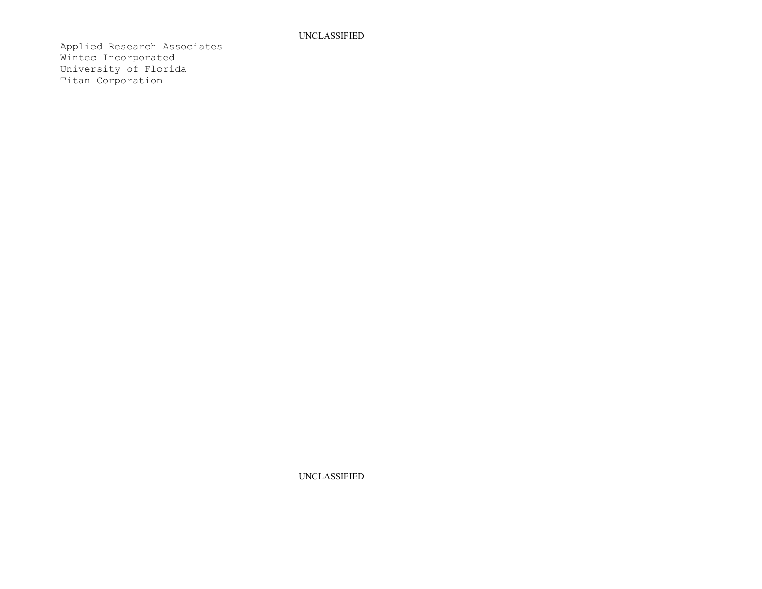Applied Research Associates Wintec Incorporated University of Florida Titan Corporation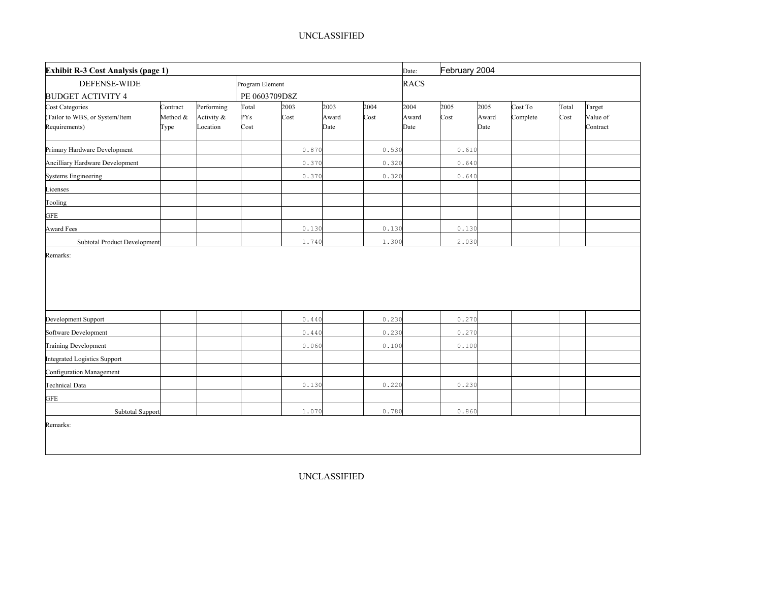| Exhibit R-3 Cost Analysis (page 1)                                        |                              |                                      |                      |              |                       |              | Date:                 | February 2004 |                       |                     |               |                                |
|---------------------------------------------------------------------------|------------------------------|--------------------------------------|----------------------|--------------|-----------------------|--------------|-----------------------|---------------|-----------------------|---------------------|---------------|--------------------------------|
| <b>DEFENSE-WIDE</b>                                                       |                              |                                      | Program Element      |              |                       |              | <b>RACS</b>           |               |                       |                     |               |                                |
| <b>BUDGET ACTIVITY 4</b>                                                  |                              |                                      | PE 0603709D8Z        |              |                       |              |                       |               |                       |                     |               |                                |
| <b>Cost Categories</b><br>(Tailor to WBS, or System/Item<br>Requirements) | Contract<br>Method &<br>Type | Performing<br>Activity &<br>Location | Total<br>PYs<br>Cost | 2003<br>Cost | 2003<br>Award<br>Date | 2004<br>Cost | 2004<br>Award<br>Date | 2005<br>Cost  | 2005<br>Award<br>Date | Cost To<br>Complete | Total<br>Cost | Target<br>Value of<br>Contract |
| Primary Hardware Development                                              |                              |                                      |                      | 0.870        |                       | 0.530        |                       | 0.610         |                       |                     |               |                                |
| Ancilliary Hardware Development                                           |                              |                                      |                      | 0.370        |                       | 0.320        |                       | 0.640         |                       |                     |               |                                |
| <b>Systems Engineering</b>                                                |                              |                                      |                      | 0.370        |                       | 0.320        |                       | 0.640         |                       |                     |               |                                |
| Licenses                                                                  |                              |                                      |                      |              |                       |              |                       |               |                       |                     |               |                                |
| Tooling                                                                   |                              |                                      |                      |              |                       |              |                       |               |                       |                     |               |                                |
| <b>GFE</b>                                                                |                              |                                      |                      |              |                       |              |                       |               |                       |                     |               |                                |
| <b>Award Fees</b>                                                         |                              |                                      |                      | 0.130        |                       | 0.130        |                       | 0.130         |                       |                     |               |                                |
| Subtotal Product Development                                              |                              |                                      |                      | 1.740        |                       | 1.300        |                       | 2.030         |                       |                     |               |                                |
|                                                                           |                              |                                      |                      |              |                       |              |                       |               |                       |                     |               |                                |
| Development Support                                                       |                              |                                      |                      | 0.440        |                       | 0.230        |                       | 0.270         |                       |                     |               |                                |
| Software Development                                                      |                              |                                      |                      | 0.440        |                       | 0.230        |                       | 0.270         |                       |                     |               |                                |
| <b>Training Development</b>                                               |                              |                                      |                      | 0.060        |                       | 0.100        |                       | 0.100         |                       |                     |               |                                |
| Integrated Logistics Support                                              |                              |                                      |                      |              |                       |              |                       |               |                       |                     |               |                                |
| Configuration Management                                                  |                              |                                      |                      |              |                       |              |                       |               |                       |                     |               |                                |
| <b>Technical Data</b>                                                     |                              |                                      |                      | 0.130        |                       | 0.220        |                       | 0.230         |                       |                     |               |                                |
| <b>GFE</b>                                                                |                              |                                      |                      |              |                       |              |                       |               |                       |                     |               |                                |
| Subtotal Support                                                          |                              |                                      |                      | 1.070        |                       | 0.780        |                       | 0.860         |                       |                     |               |                                |
| Remarks:                                                                  |                              |                                      |                      |              |                       |              |                       |               |                       |                     |               |                                |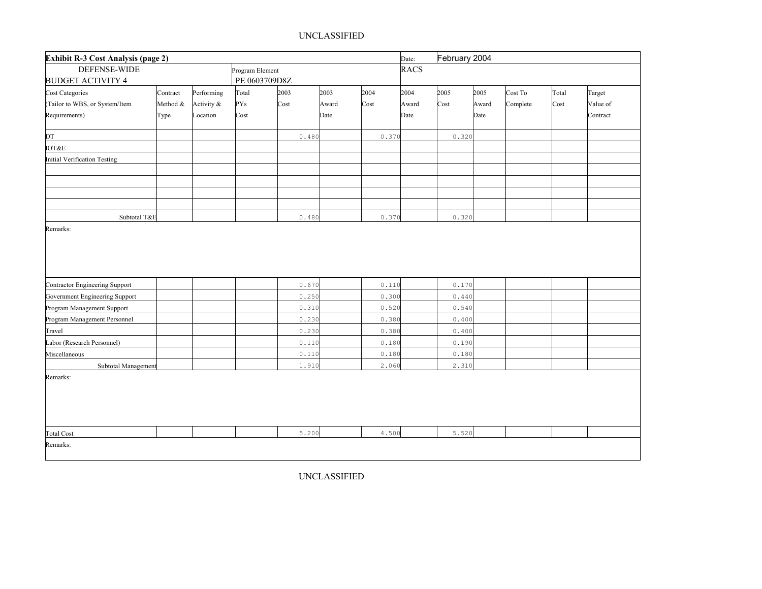| Exhibit R-3 Cost Analysis (page 2) |          |            |                 |       |       |       | Date: | February 2004 |       |          |       |          |
|------------------------------------|----------|------------|-----------------|-------|-------|-------|-------|---------------|-------|----------|-------|----------|
| DEFENSE-WIDE                       |          |            | Program Element |       |       |       | RACS  |               |       |          |       |          |
| <b>BUDGET ACTIVITY 4</b>           |          |            | PE 0603709D8Z   |       |       |       |       |               |       |          |       |          |
| Cost Categories                    | Contract | Performing | Total           | 2003  | 2003  | 2004  | 2004  | 2005          | 2005  | Cost To  | Total | Target   |
| (Tailor to WBS, or System/Item     | Method & | Activity & | <b>PYs</b>      | Cost  | Award | Cost  | Award | Cost          | Award | Complete | Cost  | Value of |
| Requirements)                      | Type     | Location   | Cost            |       | Date  |       | Date  |               | Date  |          |       | Contract |
| DT                                 |          |            |                 | 0.480 |       | 0.370 |       | 0.320         |       |          |       |          |
| IOT&E                              |          |            |                 |       |       |       |       |               |       |          |       |          |
| Initial Verification Testing       |          |            |                 |       |       |       |       |               |       |          |       |          |
|                                    |          |            |                 |       |       |       |       |               |       |          |       |          |
|                                    |          |            |                 |       |       |       |       |               |       |          |       |          |
|                                    |          |            |                 |       |       |       |       |               |       |          |       |          |
|                                    |          |            |                 |       |       |       |       |               |       |          |       |          |
| Subtotal T&E                       |          |            |                 | 0.480 |       | 0.370 |       | 0.320         |       |          |       |          |
|                                    |          |            |                 |       |       |       |       |               |       |          |       |          |
| Contractor Engineering Support     |          |            |                 | 0.670 |       | 0.110 |       | 0.170         |       |          |       |          |
| Government Engineering Support     |          |            |                 | 0.250 |       | 0.300 |       | 0.440         |       |          |       |          |
| Program Management Support         |          |            |                 | 0.310 |       | 0.520 |       | 0.540         |       |          |       |          |
| Program Management Personnel       |          |            |                 | 0.230 |       | 0.380 |       | 0.400         |       |          |       |          |
| Travel                             |          |            |                 | 0.230 |       | 0.380 |       | 0.400         |       |          |       |          |
| Labor (Research Personnel)         |          |            |                 | 0.110 |       | 0.180 |       | 0.190         |       |          |       |          |
| Miscellaneous                      |          |            |                 | 0.110 |       | 0.180 |       | 0.180         |       |          |       |          |
| Subtotal Management                |          |            |                 | 1.910 |       | 2.060 |       | 2.310         |       |          |       |          |
| Remarks:                           |          |            |                 |       |       |       |       |               |       |          |       |          |
| <b>Total Cost</b>                  |          |            |                 | 5.200 |       | 4.500 |       | 5.520         |       |          |       |          |
| Remarks:                           |          |            |                 |       |       |       |       |               |       |          |       |          |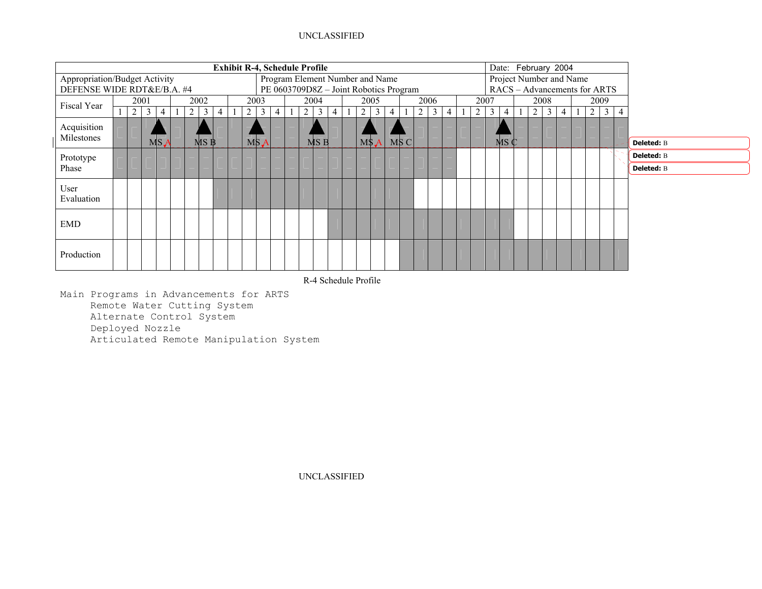|                               |  |                |                                    |  |      |              |                |  |                     |   |   | <b>Exhibit R-4, Schedule Profile</b>   |   |  |                |                 |      |                |      |   |  |      |   |      | Date: February 2004          |      |   |   |   |      |  |            |  |
|-------------------------------|--|----------------|------------------------------------|--|------|--------------|----------------|--|---------------------|---|---|----------------------------------------|---|--|----------------|-----------------|------|----------------|------|---|--|------|---|------|------------------------------|------|---|---|---|------|--|------------|--|
| Appropriation/Budget Activity |  |                |                                    |  |      |              |                |  |                     |   |   | Program Element Number and Name        |   |  |                |                 |      |                |      |   |  |      |   |      | Project Number and Name      |      |   |   |   |      |  |            |  |
| DEFENSE WIDE RDT&E/B.A. #4    |  |                |                                    |  |      |              |                |  |                     |   |   | PE 0603709D8Z - Joint Robotics Program |   |  |                |                 |      |                |      |   |  |      |   |      | RACS - Advancements for ARTS |      |   |   |   |      |  |            |  |
| Fiscal Year                   |  | 2001           |                                    |  | 2002 |              |                |  | 2003                |   |   | 2004                                   |   |  | 2005           |                 |      |                | 2006 |   |  | 2007 |   |      |                              | 2008 |   |   |   | 2009 |  |            |  |
|                               |  | $\overline{3}$ | 4                                  |  | 2    | $\mathbf{3}$ | $\overline{4}$ |  | $\overline{2}$<br>3 | 4 | 2 | $\vert 3 \vert$                        | 4 |  | $\overline{2}$ | 3               |      | $\overline{2}$ | 3    | 4 |  | 2    | 3 | 4    | 2                            |      | 3 | 4 | 2 | 3    |  |            |  |
| Acquisition                   |  |                |                                    |  |      |              |                |  |                     |   |   |                                        |   |  |                |                 |      |                |      |   |  |      |   |      |                              |      |   |   |   |      |  |            |  |
| Milestones                    |  |                | $\mathop{\rm MS}\nolimits{\cal A}$ |  |      | MSB          |                |  | <b>MSA</b>          |   |   | MS <sub>B</sub>                        |   |  |                | MS <sub>A</sub> | MS C |                |      |   |  |      |   | MS C |                              |      |   |   |   |      |  | Deleted: B |  |
| Prototype                     |  |                |                                    |  |      |              |                |  |                     |   |   |                                        |   |  |                |                 |      |                |      |   |  |      |   |      |                              |      |   |   |   |      |  | Deleted: B |  |
| Phase                         |  |                |                                    |  |      |              |                |  |                     |   |   |                                        |   |  |                |                 |      |                |      |   |  |      |   |      |                              |      |   |   |   |      |  | Deleted: B |  |
| User<br>Evaluation            |  |                |                                    |  |      |              |                |  |                     |   |   |                                        |   |  |                |                 |      |                |      |   |  |      |   |      |                              |      |   |   |   |      |  |            |  |
| EMD                           |  |                |                                    |  |      |              |                |  |                     |   |   |                                        |   |  |                |                 |      |                |      |   |  |      |   |      |                              |      |   |   |   |      |  |            |  |
| Production                    |  |                |                                    |  |      |              |                |  |                     |   |   |                                        |   |  |                |                 |      |                |      |   |  |      |   |      |                              |      |   |   |   |      |  |            |  |

R-4 Schedule Profile

Main Programs in Advancements for ARTS Remote Water Cutting System Alternate Control System Deployed Nozzle Articulated Remote Manipulation System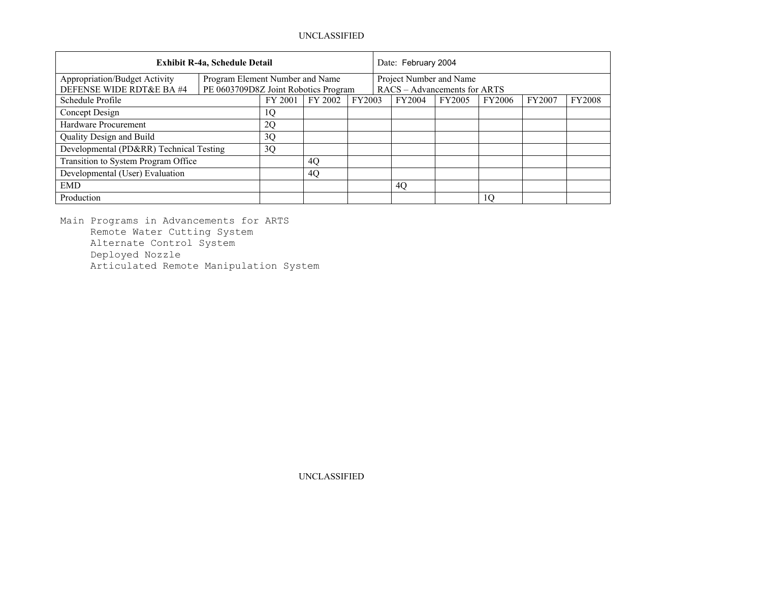|                                                                                                  | <b>Exhibit R-4a, Schedule Detail</b> |    |    |  |  | Date: February 2004     |  |    |  |  |  |  |  |  |
|--------------------------------------------------------------------------------------------------|--------------------------------------|----|----|--|--|-------------------------|--|----|--|--|--|--|--|--|
| Appropriation/Budget Activity                                                                    | Program Element Number and Name      |    |    |  |  | Project Number and Name |  |    |  |  |  |  |  |  |
| DEFENSE WIDE RDT&E BA #4<br>RACS - Advancements for ARTS<br>PE 0603709D8Z Joint Robotics Program |                                      |    |    |  |  |                         |  |    |  |  |  |  |  |  |
| Schedule Profile<br>FY 2001<br>FY 2002<br>FY2003<br>FY2004<br>FY2005<br>FY2007<br>FY2006         |                                      |    |    |  |  |                         |  |    |  |  |  |  |  |  |
| Concept Design                                                                                   |                                      | 10 |    |  |  |                         |  |    |  |  |  |  |  |  |
| Hardware Procurement                                                                             |                                      | 2Q |    |  |  |                         |  |    |  |  |  |  |  |  |
| Quality Design and Build                                                                         |                                      | 3Q |    |  |  |                         |  |    |  |  |  |  |  |  |
| Developmental (PD&RR) Technical Testing                                                          |                                      | 3Q |    |  |  |                         |  |    |  |  |  |  |  |  |
| Transition to System Program Office                                                              |                                      |    | 4Q |  |  |                         |  |    |  |  |  |  |  |  |
| Developmental (User) Evaluation                                                                  |                                      |    | 40 |  |  |                         |  |    |  |  |  |  |  |  |
| <b>EMD</b>                                                                                       |                                      |    |    |  |  | 4Q                      |  |    |  |  |  |  |  |  |
| Production                                                                                       |                                      |    |    |  |  |                         |  | 1Q |  |  |  |  |  |  |

Main Programs in Advancements for ARTS Remote Water Cutting System Alternate Control System Deployed Nozzle Articulated Remote Manipulation System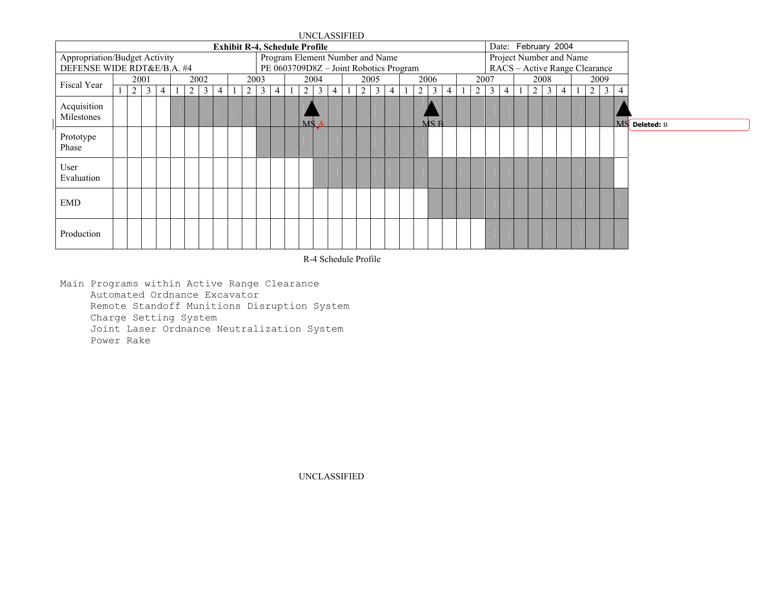|                               |      |   |   |   |      |   |                |      |   |  | <b>UNCLASSIFIED</b>                    |   |                |      |   |                |             |  |               |   |   |                         |      |     |      |                               |      |                |            |  |
|-------------------------------|------|---|---|---|------|---|----------------|------|---|--|----------------------------------------|---|----------------|------|---|----------------|-------------|--|---------------|---|---|-------------------------|------|-----|------|-------------------------------|------|----------------|------------|--|
|                               |      |   |   |   |      |   |                |      |   |  | <b>Exhibit R-4, Schedule Profile</b>   |   |                |      |   |                |             |  |               |   |   | Date: February 2004     |      |     |      |                               |      |                |            |  |
| Appropriation/Budget Activity |      |   |   |   |      |   |                |      |   |  | Program Element Number and Name        |   |                |      |   |                |             |  |               |   |   | Project Number and Name |      |     |      |                               |      |                |            |  |
| DEFENSE WIDE RDT&E/B.A. #4    |      |   |   |   |      |   |                |      |   |  | PE 0603709D8Z - Joint Robotics Program |   |                |      |   |                |             |  |               |   |   |                         |      |     |      | RACS - Active Range Clearance |      |                |            |  |
| Fiscal Year                   | 2001 |   |   |   | 2002 |   |                | 2003 |   |  | 2004                                   |   |                | 2005 |   |                | 2006        |  | 2007          |   |   |                         | 2008 |     |      |                               | 2009 |                |            |  |
|                               | 2    | 3 | 4 | 2 | 3    | 4 | $\overline{2}$ | 3    | 4 |  | $\overline{\mathbf{3}}$<br>2           | 4 | $\overline{2}$ | 3    | 4 | $\overline{2}$ | 3           |  | 2             | 3 | 4 | 2                       | 3    | 4   |      | 2                             | 3    |                |            |  |
| Acquisition<br>Milestones     |      |   |   |   |      |   |                |      |   |  |                                        |   |                |      |   |                |             |  |               |   |   |                         |      |     |      |                               |      |                |            |  |
|                               |      |   |   |   |      |   |                |      |   |  | MSA                                    |   |                |      |   |                | $\sqrt{S}P$ |  |               |   |   |                         |      |     |      |                               |      | M <sup>S</sup> | Deleted: B |  |
| Prototype<br>Phase            |      |   |   |   |      |   |                |      |   |  |                                        |   |                |      |   |                |             |  | $\sim$ $\sim$ |   |   |                         |      | - - | $ -$ | - - -                         |      |                |            |  |
| User<br>Evaluation            |      |   |   |   |      |   |                |      |   |  |                                        |   |                |      |   |                |             |  |               |   |   |                         |      |     |      |                               |      |                |            |  |
| EMD                           |      |   |   |   |      |   |                |      |   |  |                                        |   |                |      |   |                |             |  |               |   |   |                         |      |     |      |                               |      |                |            |  |
| Production                    |      |   |   |   |      |   |                |      |   |  |                                        |   |                |      |   |                |             |  |               |   |   |                         |      |     |      |                               |      |                |            |  |

R-4 Schedule Profile

Main Programs within Active Range Clearance Automated Ordnance Excavator Remote Standoff Munitions Disruption System Charge Setting System Joint Laser Ordnance Neutralization System Power Rake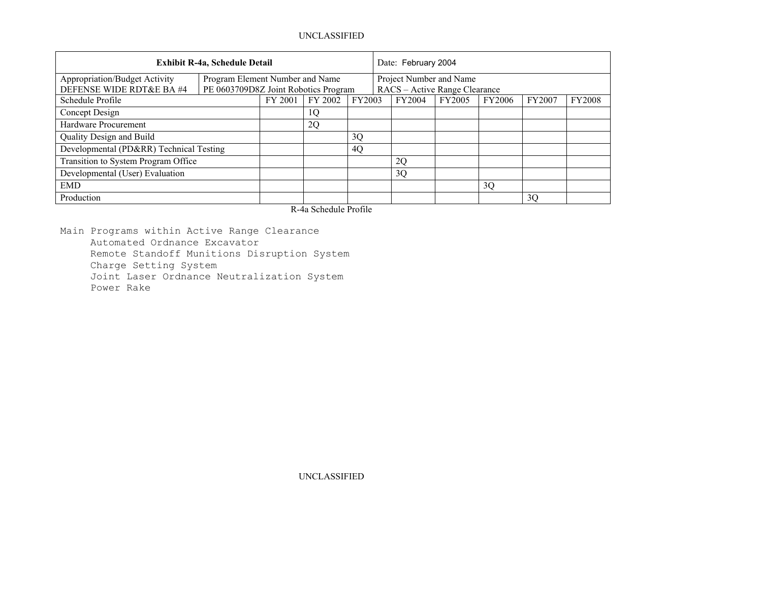|                                         | <b>Exhibit R-4a, Schedule Detail</b> |         |         |        | Date: February 2004           |        |        |        |               |
|-----------------------------------------|--------------------------------------|---------|---------|--------|-------------------------------|--------|--------|--------|---------------|
| Appropriation/Budget Activity           | Project Number and Name              |         |         |        |                               |        |        |        |               |
| DEFENSE WIDE RDT&E BA #4                | PE 0603709D8Z Joint Robotics Program |         |         |        | RACS - Active Range Clearance |        |        |        |               |
| Schedule Profile                        |                                      | FY 2001 | FY 2002 | FY2003 | FY2004                        | FY2005 | FY2006 | FY2007 | <b>FY2008</b> |
| Concept Design                          |                                      |         | 1Q      |        |                               |        |        |        |               |
| Hardware Procurement                    |                                      |         | 2Q      |        |                               |        |        |        |               |
| Quality Design and Build                |                                      |         |         | 3Q     |                               |        |        |        |               |
| Developmental (PD&RR) Technical Testing |                                      |         |         | 4Q     |                               |        |        |        |               |
| Transition to System Program Office     |                                      |         |         |        | 2Q                            |        |        |        |               |
| Developmental (User) Evaluation         |                                      |         |         |        | 3Q                            |        |        |        |               |
| <b>EMD</b>                              |                                      |         |         |        |                               |        | 3Q     |        |               |
| Production                              |                                      |         |         |        |                               |        |        | 3Q     |               |

R-4a Schedule Profile

Main Programs within Active Range Clearance Automated Ordnance Excavator Remote Standoff Munitions Disruption System Charge Setting System Joint Laser Ordnance Neutralization System Power Rake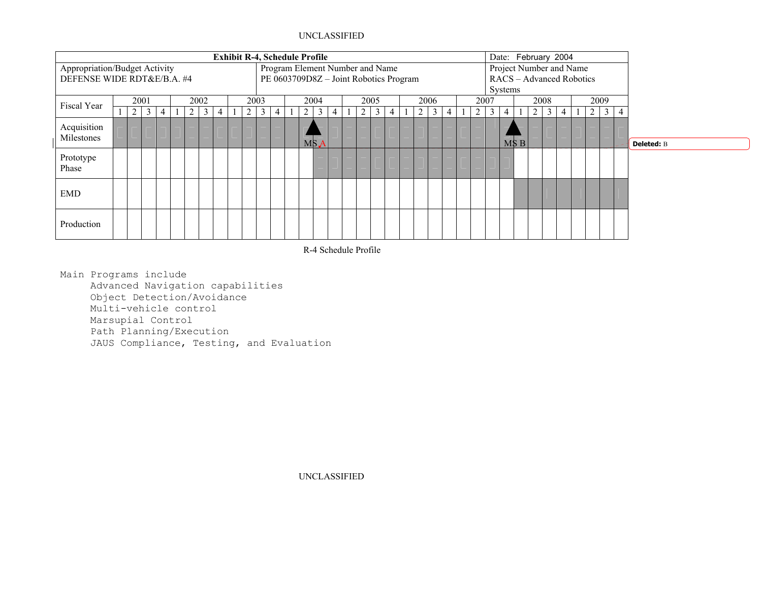|                               |                |                |   |  |                |              |   |                | <b>Exhibit R-4, Schedule Profile</b> |                |                |                         |   |                                        |                |   |   |                |              |                |                |                         |                |                | Date: February 2004      |   |   |                |                |            |
|-------------------------------|----------------|----------------|---|--|----------------|--------------|---|----------------|--------------------------------------|----------------|----------------|-------------------------|---|----------------------------------------|----------------|---|---|----------------|--------------|----------------|----------------|-------------------------|----------------|----------------|--------------------------|---|---|----------------|----------------|------------|
| Appropriation/Budget Activity |                |                |   |  |                |              |   |                |                                      |                |                |                         |   | Program Element Number and Name        |                |   |   |                |              |                |                |                         |                |                | Project Number and Name  |   |   |                |                |            |
| DEFENSE WIDE RDT&E/B.A. #4    |                |                |   |  |                |              |   |                |                                      |                |                |                         |   | PE 0603709D8Z - Joint Robotics Program |                |   |   |                |              |                |                |                         |                |                | RACS – Advanced Robotics |   |   |                |                |            |
|                               |                |                |   |  |                |              |   |                |                                      |                |                |                         |   |                                        |                |   |   |                |              |                |                |                         | Systems        |                |                          |   |   |                |                |            |
| Fiscal Year                   | 2001           |                |   |  | 2002           |              |   |                | 2003                                 |                |                | 2004                    |   |                                        | 2005           |   |   |                | 2006         |                |                | 2007                    |                |                | 2008                     |   |   | 2009           |                |            |
|                               | 2 <sup>1</sup> | 3 <sup>1</sup> | 4 |  | $\overline{2}$ | $\mathbf{3}$ | 4 | $\overline{2}$ | 3                                    | $\overline{4}$ | $\overline{2}$ | $\overline{\mathbf{3}}$ | 4 |                                        | 2 <sub>1</sub> | 3 | 4 | $\overline{2}$ | $\mathbf{3}$ | $\overline{4}$ | $\overline{2}$ | $\overline{\mathbf{3}}$ | $\overline{4}$ | $\overline{2}$ | $\mathfrak{Z}$           | 4 | 2 | 3 <sup>1</sup> | $\overline{4}$ |            |
| Acquisition<br>Milestones     |                |                |   |  |                |              |   |                |                                      |                |                |                         |   |                                        |                |   |   |                |              |                |                |                         |                |                |                          |   |   |                |                |            |
|                               |                |                |   |  |                |              |   |                |                                      |                |                | MSA                     |   |                                        |                |   |   |                |              |                |                |                         | MSB            |                |                          |   |   |                |                | Deleted: B |
| Prototype<br>Phase            |                |                |   |  |                |              |   |                |                                      |                |                |                         |   |                                        |                |   |   |                |              |                |                |                         |                |                |                          |   |   |                |                |            |
| EMD                           |                |                |   |  |                |              |   |                |                                      |                |                |                         |   |                                        |                |   |   |                |              |                |                |                         |                |                |                          |   |   |                |                |            |
| Production                    |                |                |   |  |                |              |   |                |                                      |                |                |                         |   |                                        |                |   |   |                |              |                |                |                         |                |                |                          |   |   |                |                |            |

R-4 Schedule Profile

Main Programs include Advanced Navigation capabilities Object Detection/Avoidance Multi-vehicle control Marsupial Control Path Planning/Execution JAUS Compliance, Testing, and Evaluation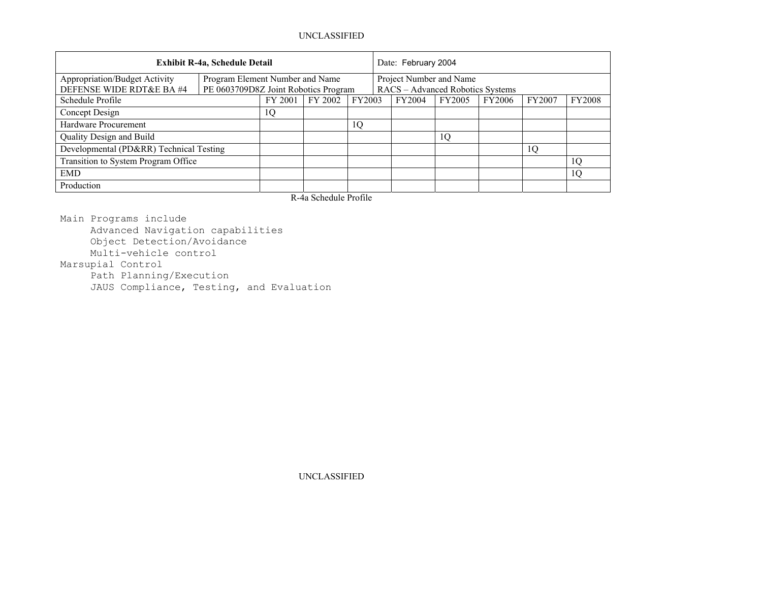|                                                                                                      | <b>Exhibit R-4a, Schedule Detail</b> |    |  |    |  | Date: February 2004 |    |  |    |    |  |  |  |  |
|------------------------------------------------------------------------------------------------------|--------------------------------------|----|--|----|--|---------------------|----|--|----|----|--|--|--|--|
| Appropriation/Budget Activity<br>Project Number and Name<br>Program Element Number and Name          |                                      |    |  |    |  |                     |    |  |    |    |  |  |  |  |
| DEFENSE WIDE RDT&E BA #4<br>RACS - Advanced Robotics Systems<br>PE 0603709D8Z Joint Robotics Program |                                      |    |  |    |  |                     |    |  |    |    |  |  |  |  |
| FY 2002<br>Schedule Profile<br>FY 2001<br>FY2003<br>FY2004<br>FY2005<br>FY2006<br>FY2007             |                                      |    |  |    |  |                     |    |  |    |    |  |  |  |  |
| Concept Design                                                                                       |                                      | 1Q |  |    |  |                     |    |  |    |    |  |  |  |  |
| Hardware Procurement                                                                                 |                                      |    |  | 1Q |  |                     |    |  |    |    |  |  |  |  |
| Quality Design and Build                                                                             |                                      |    |  |    |  |                     | 1Q |  |    |    |  |  |  |  |
| Developmental (PD&RR) Technical Testing                                                              |                                      |    |  |    |  |                     |    |  | 1Q |    |  |  |  |  |
| Transition to System Program Office                                                                  |                                      |    |  |    |  |                     |    |  |    | 1Q |  |  |  |  |
| <b>EMD</b>                                                                                           |                                      |    |  |    |  |                     |    |  |    | 10 |  |  |  |  |
| Production                                                                                           |                                      |    |  |    |  |                     |    |  |    |    |  |  |  |  |

R-4a Schedule Profile

Main Programs include Advanced Navigation capabilities Object Detection/Avoidance Multi-vehicle control Marsupial Control

Path Planning/Execution

JAUS Compliance, Testing, and Evaluation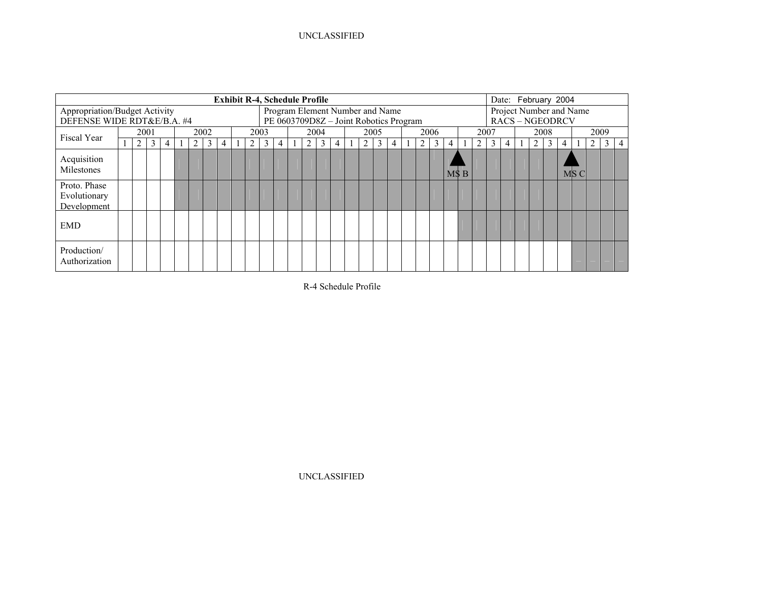|                                             |                |   |   |                |      |   |   |      | <b>Exhibit R-4, Schedule Profile</b>   |                |                |                |   |      |                |                |      |      |      |   |   |   | Date: February 2004     |                |      |   |              |   |
|---------------------------------------------|----------------|---|---|----------------|------|---|---|------|----------------------------------------|----------------|----------------|----------------|---|------|----------------|----------------|------|------|------|---|---|---|-------------------------|----------------|------|---|--------------|---|
| Appropriation/Budget Activity               |                |   |   |                |      |   |   |      | Program Element Number and Name        |                |                |                |   |      |                |                |      |      |      |   |   |   | Project Number and Name |                |      |   |              |   |
| DEFENSE WIDE RDT&E/B.A. #4                  |                |   |   |                |      |   |   |      | PE 0603709D8Z - Joint Robotics Program |                |                |                |   |      |                |                |      |      |      |   |   |   | <b>RACS-NGEODRCV</b>    |                |      |   |              |   |
| Fiscal Year                                 | 2001           |   |   |                | 2002 |   |   | 2003 |                                        |                | 2004           |                |   | 2005 |                |                | 2006 |      | 2007 |   |   |   | 2008                    |                |      |   | 2009         |   |
|                                             | 2 <sup>1</sup> | 3 | 4 | $\overline{c}$ | 3    | 4 | 2 | 3    | 4                                      | $\overline{2}$ | 3 <sup>1</sup> | $\overline{4}$ | 2 | 3    | $\overline{4}$ | $\overline{2}$ | 3    |      | 2    | 3 | 4 | 2 | 3                       | $\overline{4}$ |      | 2 | $\mathbf{3}$ | 4 |
| Acquisition<br>Milestones                   |                |   |   |                |      |   |   |      |                                        |                |                |                |   |      |                |                |      |      |      |   |   |   |                         |                |      |   |              |   |
|                                             |                |   |   |                |      |   |   |      |                                        |                |                |                |   |      |                |                |      | MS B |      |   |   |   |                         |                | MS C |   |              |   |
| Proto. Phase<br>Evolutionary<br>Development |                |   |   |                |      |   |   |      |                                        |                |                |                |   |      |                |                |      |      |      |   |   |   |                         |                |      |   |              |   |
| <b>EMD</b>                                  |                |   |   |                |      |   |   |      |                                        |                |                |                |   |      |                |                |      |      |      |   |   |   |                         |                |      |   |              |   |
| Production/<br>Authorization                |                |   |   |                |      |   |   |      |                                        |                |                |                |   |      |                |                |      |      |      |   |   |   |                         |                |      |   |              |   |

R-4 Schedule Profile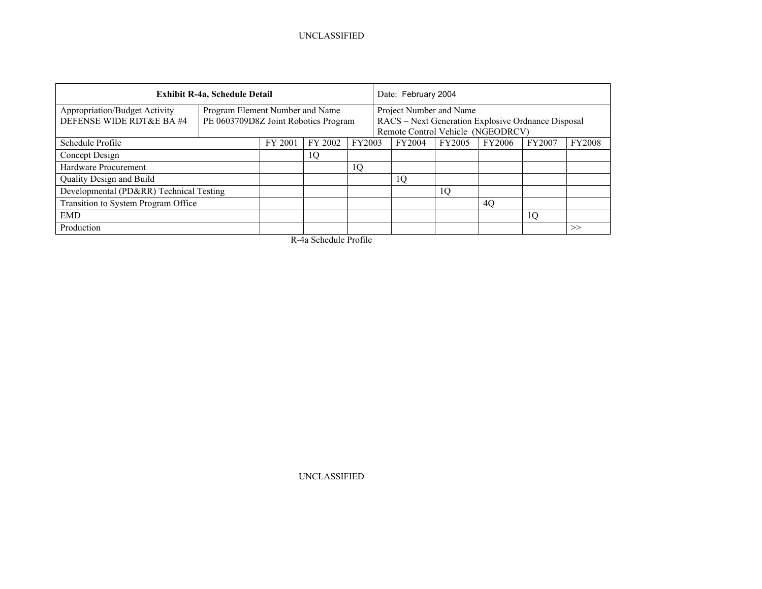|                                         | <b>Exhibit R-4a, Schedule Detail</b> |         |         |        | Date: February 2004                                |        |        |        |               |
|-----------------------------------------|--------------------------------------|---------|---------|--------|----------------------------------------------------|--------|--------|--------|---------------|
| Appropriation/Budget Activity           | Program Element Number and Name      |         |         |        | Project Number and Name                            |        |        |        |               |
| DEFENSE WIDE RDT&E BA #4                | PE 0603709D8Z Joint Robotics Program |         |         |        | RACS - Next Generation Explosive Ordnance Disposal |        |        |        |               |
|                                         |                                      |         |         |        | Remote Control Vehicle (NGEODRCV)                  |        |        |        |               |
| Schedule Profile                        |                                      | FY 2001 | FY 2002 | FY2003 | FY2004                                             | FY2005 | FY2006 | FY2007 | <b>FY2008</b> |
| Concept Design                          |                                      |         | 1Q      |        |                                                    |        |        |        |               |
| Hardware Procurement                    |                                      |         |         | 1Q     |                                                    |        |        |        |               |
| Quality Design and Build                |                                      |         |         |        | 1Q                                                 |        |        |        |               |
| Developmental (PD&RR) Technical Testing |                                      |         |         |        |                                                    | 1Q     |        |        |               |
| Transition to System Program Office     |                                      |         |         |        |                                                    |        | 4Q     |        |               |
| <b>EMD</b>                              |                                      |         |         |        |                                                    |        |        | 1Q     |               |
| Production                              |                                      |         |         |        |                                                    |        |        |        | >>            |

R-4a Schedule Profile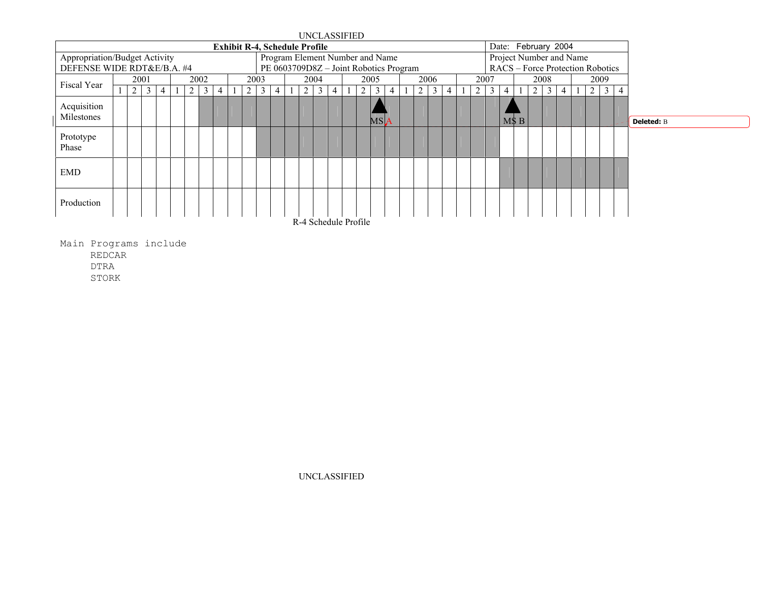|                                                             |  |      |   |                |      |   |                |                                      |   | <b>UNCLASSIFIED</b>                |   |  |   |                                                                           |   |   |      |   |   |      |                                                             |      |      |   |                |                |   |            |
|-------------------------------------------------------------|--|------|---|----------------|------|---|----------------|--------------------------------------|---|------------------------------------|---|--|---|---------------------------------------------------------------------------|---|---|------|---|---|------|-------------------------------------------------------------|------|------|---|----------------|----------------|---|------------|
|                                                             |  |      |   |                |      |   |                | <b>Exhibit R-4, Schedule Profile</b> |   |                                    |   |  |   |                                                                           |   |   |      |   |   |      | Date: February 2004                                         |      |      |   |                |                |   |            |
| Appropriation/Budget Activity<br>DEFENSE WIDE RDT&E/B.A. #4 |  |      |   |                |      |   |                |                                      |   |                                    |   |  |   | Program Element Number and Name<br>PE 0603709D8Z - Joint Robotics Program |   |   |      |   |   |      | Project Number and Name<br>RACS - Force Protection Robotics |      |      |   |                |                |   |            |
|                                                             |  | 2001 |   |                | 2002 |   |                | 2003                                 |   | 2004                               |   |  |   | 2005                                                                      |   |   | 2006 |   |   | 2007 |                                                             |      | 2008 |   |                | 2009           |   |            |
| Fiscal Year                                                 |  | 3    | 4 | $\overline{2}$ | 3    | 4 | $\overline{2}$ | 3                                    | 4 | ∠                                  | 3 |  | 2 | 3                                                                         | 4 | 2 | 3    | 4 | 2 | 3    | 4                                                           |      | 3    | 4 | $\overline{2}$ | $\overline{3}$ | 4 |            |
| Acquisition                                                 |  |      |   |                |      |   |                |                                      |   |                                    |   |  |   |                                                                           |   |   |      |   |   |      |                                                             |      |      |   |                |                |   |            |
| Milestones                                                  |  |      |   |                |      |   |                |                                      |   |                                    |   |  |   | MS <sub>A</sub>                                                           |   |   |      |   |   |      |                                                             | M\$B |      |   |                |                |   | Deleted: B |
| Prototype<br>Phase                                          |  |      |   |                |      |   |                |                                      |   |                                    |   |  |   |                                                                           |   |   |      |   |   |      |                                                             |      |      |   |                |                |   |            |
| <b>EMD</b>                                                  |  |      |   |                |      |   |                |                                      |   |                                    |   |  |   |                                                                           |   |   |      |   |   |      |                                                             |      |      |   |                |                |   |            |
| Production                                                  |  |      |   |                |      |   |                |                                      |   | $D \triangleleft$ Cohodulo Drofilo |   |  |   |                                                                           |   |   |      |   |   |      |                                                             |      |      |   |                |                |   |            |

R-4 Schedule Profile

Main Programs include

REDCAR

DTRA

STORK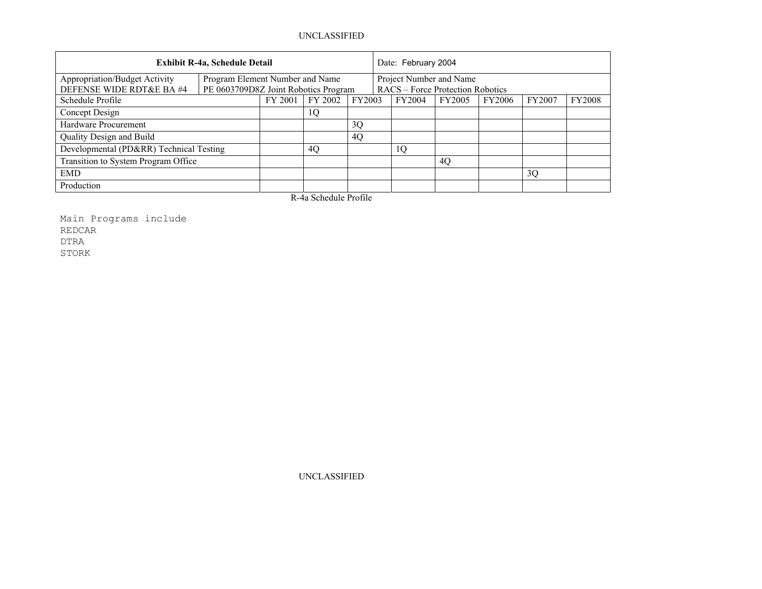|                                         | <b>Exhibit R-4a, Schedule Detail</b> |         |           |        | Date: February 2004              |        |               |        |               |
|-----------------------------------------|--------------------------------------|---------|-----------|--------|----------------------------------|--------|---------------|--------|---------------|
| Appropriation/Budget Activity           | Program Element Number and Name      |         |           |        | Project Number and Name          |        |               |        |               |
| DEFENSE WIDE RDT&E BA #4                | PE 0603709D8Z Joint Robotics Program |         |           |        | RACS - Force Protection Robotics |        |               |        |               |
| Schedule Profile                        |                                      | FY 2001 | FY 2002   | FY2003 | <b>FY2004</b>                    | FY2005 | <b>FY2006</b> | FY2007 | <b>FY2008</b> |
| Concept Design                          |                                      |         | 1Q        |        |                                  |        |               |        |               |
| Hardware Procurement                    |                                      |         |           | 3Q     |                                  |        |               |        |               |
| Quality Design and Build                |                                      |         |           | 4Q     |                                  |        |               |        |               |
| Developmental (PD&RR) Technical Testing |                                      |         | 40        |        | 10                               |        |               |        |               |
| Transition to System Program Office     |                                      |         |           |        |                                  | 4Q     |               |        |               |
| <b>EMD</b>                              |                                      |         |           |        |                                  |        |               | 3Q     |               |
| Production                              |                                      |         | _ . _ _ _ |        |                                  |        |               |        |               |

R-4a Schedule Profile

Main Programs include REDCAR DTRA STORK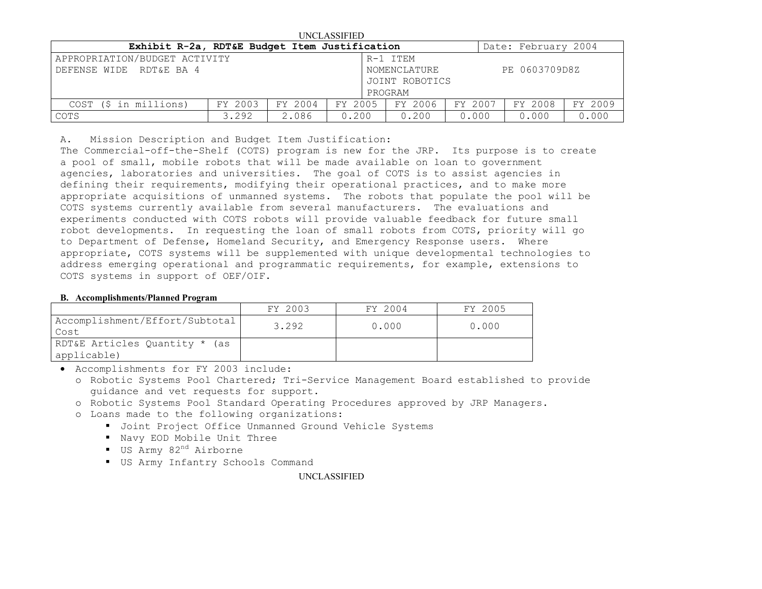| UNCLASSIFIED                                                         |         |                |         |          |         |         |         |  |  |  |  |  |  |  |
|----------------------------------------------------------------------|---------|----------------|---------|----------|---------|---------|---------|--|--|--|--|--|--|--|
| Exhibit R-2a, RDT&E Budget Item Justification<br>Date: February 2004 |         |                |         |          |         |         |         |  |  |  |  |  |  |  |
| APPROPRIATION/BUDGET ACTIVITY                                        |         |                |         | R-1 ITEM |         |         |         |  |  |  |  |  |  |  |
| PE 0603709D8Z<br>NOMENCLATURE<br>DEFENSE WIDE RDT&E BA 4             |         |                |         |          |         |         |         |  |  |  |  |  |  |  |
|                                                                      |         | JOINT ROBOTICS |         |          |         |         |         |  |  |  |  |  |  |  |
| PROGRAM                                                              |         |                |         |          |         |         |         |  |  |  |  |  |  |  |
| (\$ in millions)<br>COST                                             | FY 2003 | FY 2004        | FY 2005 | FY 2006  | FY 2007 | FY 2008 | FY 2009 |  |  |  |  |  |  |  |
| COTS                                                                 | 3.292   | 2.086          | 0.200   | 0.200    | 0.000   | 0.000   | 0.000   |  |  |  |  |  |  |  |

A. Mission Description and Budget Item Justification:

The Commercial-off-the-Shelf (COTS) program is new for the JRP. Its purpose is to create a pool of small, mobile robots that will be made available on loan to government agencies, laboratories and universities. The goal of COTS is to assist agencies in defining their requirements, modifying their operational practices, and to make more appropriate acquisitions of unmanned systems. The robots that populate the pool will be COTS systems currently available from several manufacturers. The evaluations and experiments conducted with COTS robots will provide valuable feedback for future small robot developments. In requesting the loan of small robots from COTS, priority will go to Department of Defense, Homeland Security, and Emergency Response users. Where appropriate, COTS systems will be supplemented with unique developmental technologies to address emerging operational and programmatic requirements, for example, extensions to COTS systems in support of OEF/OIF.

#### **B. Accomplishments/Planned Program**

|                                              | FY 2003 | FY 2004 | FY 2005 |
|----------------------------------------------|---------|---------|---------|
| Accomplishment/Effort/Subtotal<br>Cost       | 3.292   | 0.000   | 0.000   |
| RDT&E Articles Quantity * (as<br>applicable) |         |         |         |

• Accomplishments for FY 2003 include:

o Robotic Systems Pool Chartered; Tri-Service Management Board established to provide guidance and vet requests for support.

o Robotic Systems Pool Standard Operating Procedures approved by JRP Managers.

o Loans made to the following organizations:

- Joint Project Office Unmanned Ground Vehicle Systems
- Navy EOD Mobile Unit Three
- US Army 82<sup>nd</sup> Airborne
- US Army Infantry Schools Command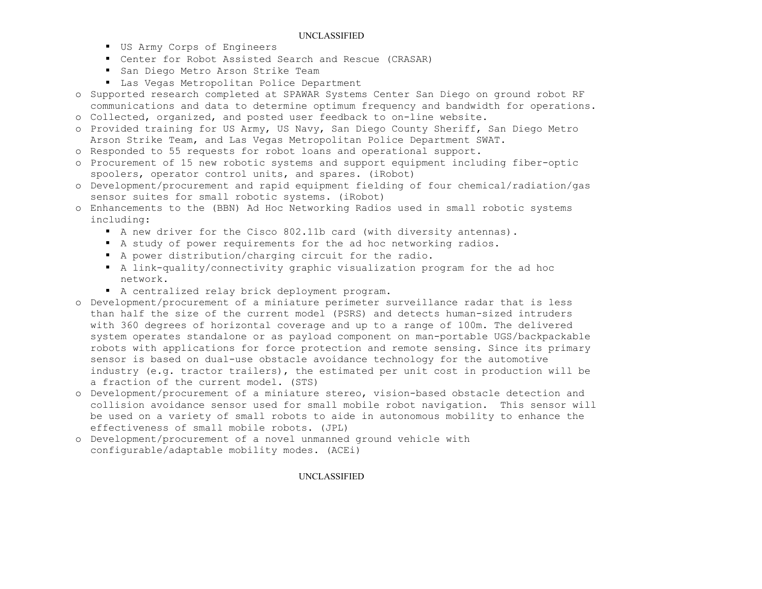- US Army Corps of Engineers
- Center for Robot Assisted Search and Rescue (CRASAR)
- San Diego Metro Arson Strike Team
- Las Vegas Metropolitan Police Department
- o Supported research completed at SPAWAR Systems Center San Diego on ground robot RF communications and data to determine optimum frequency and bandwidth for operations.
- o Collected, organized, and posted user feedback to on-line website.
- o Provided training for US Army, US Navy, San Diego County Sheriff, San Diego Metro Arson Strike Team, and Las Vegas Metropolitan Police Department SWAT.
- o Responded to 55 requests for robot loans and operational support.
- o Procurement of 15 new robotic systems and support equipment including fiber-optic spoolers, operator control units, and spares. (iRobot)
- o Development/procurement and rapid equipment fielding of four chemical/radiation/gas sensor suites for small robotic systems. (iRobot)
- o Enhancements to the (BBN) Ad Hoc Networking Radios used in small robotic systems including:
	- A new driver for the Cisco 802.11b card (with diversity antennas).
	- A study of power requirements for the ad hoc networking radios.
	- A power distribution/charging circuit for the radio.
	- A link-quality/connectivity graphic visualization program for the ad hoc network.
	- A centralized relay brick deployment program.
- o Development/procurement of a miniature perimeter surveillance radar that is less than half the size of the current model (PSRS) and detects human-sized intruders with 360 degrees of horizontal coverage and up to a range of 100m. The delivered system operates standalone or as payload component on man-portable UGS/backpackable robots with applications for force protection and remote sensing. Since its primary sensor is based on dual-use obstacle avoidance technology for the automotive industry (e.g. tractor trailers), the estimated per unit cost in production will be a fraction of the current model. (STS)
- o Development/procurement of a miniature stereo, vision-based obstacle detection and collision avoidance sensor used for small mobile robot navigation. This sensor will be used on a variety of small robots to aide in autonomous mobility to enhance the effectiveness of small mobile robots. (JPL)
- o Development/procurement of a novel unmanned ground vehicle with configurable/adaptable mobility modes. (ACEi)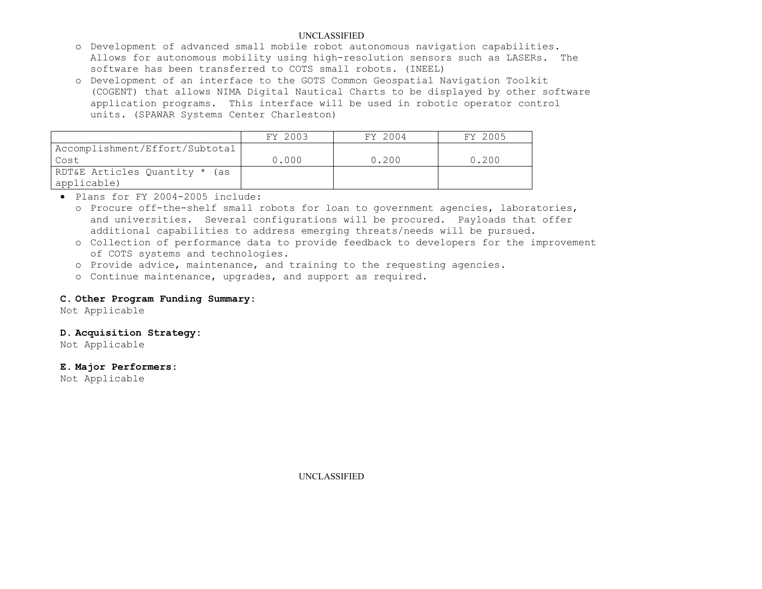- o Development of advanced small mobile robot autonomous navigation capabilities. Allows for autonomous mobility using high-resolution sensors such as LASERs. The software has been transferred to COTS small robots. (INEEL)
- o Development of an interface to the GOTS Common Geospatial Navigation Toolkit (COGENT) that allows NIMA Digital Nautical Charts to be displayed by other software application programs. This interface will be used in robotic operator control units. (SPAWAR Systems Center Charleston)

|                                | FY 2003 | FY 2004 | FY 2005 |
|--------------------------------|---------|---------|---------|
| Accomplishment/Effort/Subtotal |         |         |         |
| Cost                           | 0.000   | 0.200   | 0.200   |
| RDT&E Articles Quantity * (as  |         |         |         |
| applicable)                    |         |         |         |

- Plans for FY 2004-2005 include:
	- o Procure off-the-shelf small robots for loan to government agencies, laboratories, and universities. Several configurations will be procured. Payloads that offer additional capabilities to address emerging threats/needs will be pursued.
	- o Collection of performance data to provide feedback to developers for the improvement of COTS systems and technologies.
	- o Provide advice, maintenance, and training to the requesting agencies.
	- o Continue maintenance, upgrades, and support as required.

# **C. Other Program Funding Summary:**

Not Applicable

### **D. Acquisition Strategy:**

Not Applicable

### **E. Major Performers:**

Not Applicable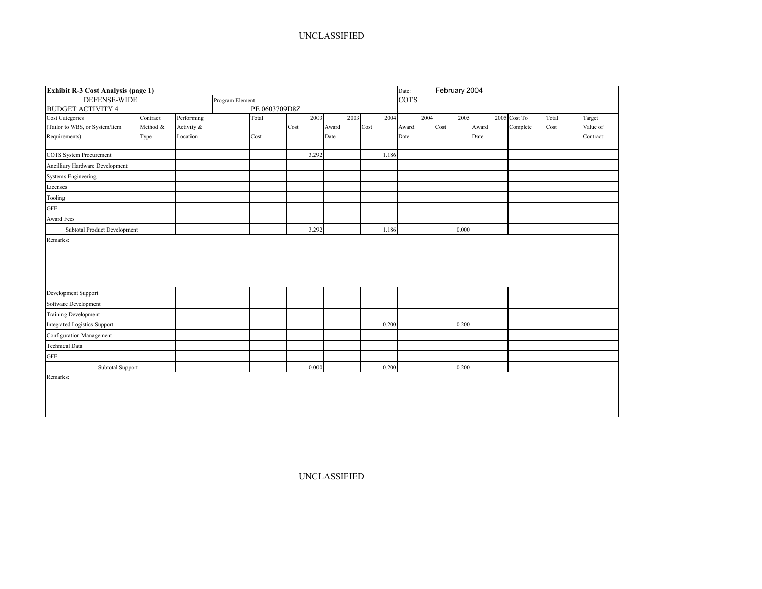| Exhibit R-3 Cost Analysis (page 1)  |          |            |                 |               |      |       |       |      |      |       | Date:       | February 2004 |       |              |       |          |
|-------------------------------------|----------|------------|-----------------|---------------|------|-------|-------|------|------|-------|-------------|---------------|-------|--------------|-------|----------|
| <b>DEFENSE-WIDE</b>                 |          |            | Program Element |               |      |       |       |      |      |       | <b>COTS</b> |               |       |              |       |          |
| <b>BUDGET ACTIVITY 4</b>            |          |            |                 | PE 0603709D8Z |      |       |       |      |      |       |             |               |       |              |       |          |
| <b>Cost Categories</b>              | Contract | Performing |                 | Total         |      | 2003  |       | 2003 |      | 2004  | 2004        | 2005          |       | 2005 Cost To | Total | Target   |
| (Tailor to WBS, or System/Item      | Method & | Activity & |                 |               | Cost |       | Award |      | Cost |       | Award       | Cost          | Award | Complete     | Cost  | Value of |
| Requirements)                       | Type     | Location   |                 | Cost          |      | Date  |       |      |      |       | Date        |               | Date  |              |       | Contract |
| COTS System Procurement             |          |            |                 |               |      | 3.292 |       |      |      | 1.186 |             |               |       |              |       |          |
| Ancilliary Hardware Development     |          |            |                 |               |      |       |       |      |      |       |             |               |       |              |       |          |
| <b>Systems Engineering</b>          |          |            |                 |               |      |       |       |      |      |       |             |               |       |              |       |          |
| Licenses                            |          |            |                 |               |      |       |       |      |      |       |             |               |       |              |       |          |
| Tooling                             |          |            |                 |               |      |       |       |      |      |       |             |               |       |              |       |          |
| <b>GFE</b>                          |          |            |                 |               |      |       |       |      |      |       |             |               |       |              |       |          |
| <b>Award Fees</b>                   |          |            |                 |               |      |       |       |      |      |       |             |               |       |              |       |          |
| Subtotal Product Development        |          |            |                 |               |      | 3.292 |       |      |      | 1.186 |             | 0.000         |       |              |       |          |
|                                     |          |            |                 |               |      |       |       |      |      |       |             |               |       |              |       |          |
| Development Support                 |          |            |                 |               |      |       |       |      |      |       |             |               |       |              |       |          |
| Software Development                |          |            |                 |               |      |       |       |      |      |       |             |               |       |              |       |          |
| <b>Training Development</b>         |          |            |                 |               |      |       |       |      |      |       |             |               |       |              |       |          |
| <b>Integrated Logistics Support</b> |          |            |                 |               |      |       |       |      |      | 0.200 |             | 0.200         |       |              |       |          |
| Configuration Management            |          |            |                 |               |      |       |       |      |      |       |             |               |       |              |       |          |
| <b>Technical Data</b>               |          |            |                 |               |      |       |       |      |      |       |             |               |       |              |       |          |
| <b>GFE</b>                          |          |            |                 |               |      |       |       |      |      |       |             |               |       |              |       |          |
| Subtotal Support                    |          |            |                 |               |      | 0.000 |       |      |      | 0.200 |             | 0.200         |       |              |       |          |
| Remarks:                            |          |            |                 |               |      |       |       |      |      |       |             |               |       |              |       |          |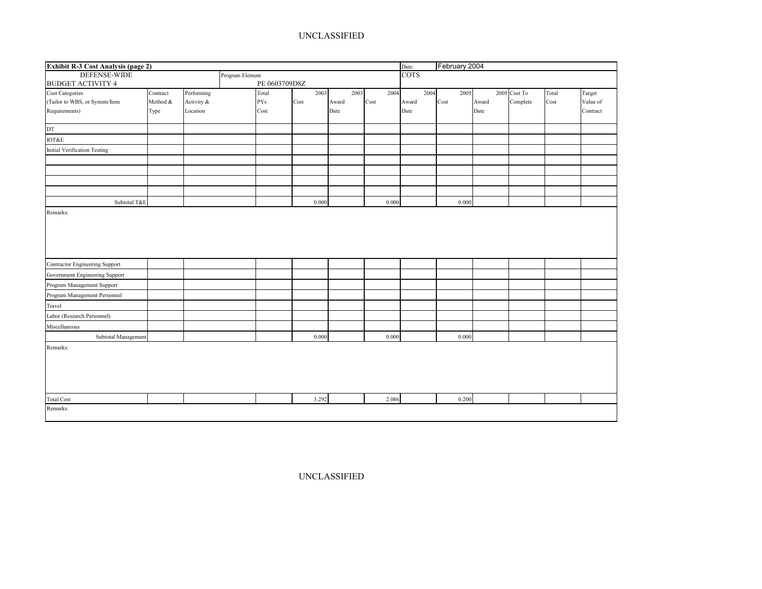| Exhibit R-3 Cost Analysis (page 2)  |          |            |                 |               |       |       |      |      |       | Date:       |      | February 2004 |       |              |       |          |
|-------------------------------------|----------|------------|-----------------|---------------|-------|-------|------|------|-------|-------------|------|---------------|-------|--------------|-------|----------|
| <b>DEFENSE-WIDE</b>                 |          |            | Program Element |               |       |       |      |      |       | <b>COTS</b> |      |               |       |              |       |          |
| <b>BUDGET ACTIVITY 4</b>            |          |            |                 | PE 0603709D8Z |       |       |      |      |       |             |      |               |       |              |       |          |
| <b>Cost Categories</b>              | Contract | Performing |                 | Total         | 2003  |       | 2003 |      | 2004  | 2004        |      | 2005          |       | 2005 Cost To | Total | Target   |
| (Tailor to WBS, or System/Item      | Method & | Activity & |                 | <b>PYs</b>    | Cost  | Award |      | Cost |       | Award       | Cost |               | Award | Complete     | Cost  | Value of |
| Requirements)                       | Type     | Location   |                 | Cost          |       | Date  |      |      |       | Date        |      |               | Date  |              |       | Contract |
| DT                                  |          |            |                 |               |       |       |      |      |       |             |      |               |       |              |       |          |
| <b>IOT&amp;E</b>                    |          |            |                 |               |       |       |      |      |       |             |      |               |       |              |       |          |
| <b>Initial Verification Testing</b> |          |            |                 |               |       |       |      |      |       |             |      |               |       |              |       |          |
|                                     |          |            |                 |               |       |       |      |      |       |             |      |               |       |              |       |          |
|                                     |          |            |                 |               |       |       |      |      |       |             |      |               |       |              |       |          |
|                                     |          |            |                 |               |       |       |      |      |       |             |      |               |       |              |       |          |
|                                     |          |            |                 |               |       |       |      |      |       |             |      |               |       |              |       |          |
| Subtotal T&E                        |          |            |                 |               | 0.000 |       |      |      | 0.000 |             |      | 0.000         |       |              |       |          |
|                                     |          |            |                 |               |       |       |      |      |       |             |      |               |       |              |       |          |
| Contractor Engineering Support      |          |            |                 |               |       |       |      |      |       |             |      |               |       |              |       |          |
| Government Engineering Support      |          |            |                 |               |       |       |      |      |       |             |      |               |       |              |       |          |
| Program Management Support          |          |            |                 |               |       |       |      |      |       |             |      |               |       |              |       |          |
| Program Management Personnel        |          |            |                 |               |       |       |      |      |       |             |      |               |       |              |       |          |
| Travel                              |          |            |                 |               |       |       |      |      |       |             |      |               |       |              |       |          |
| Labor (Research Personnel)          |          |            |                 |               |       |       |      |      |       |             |      |               |       |              |       |          |
| Miscellaneous                       |          |            |                 |               |       |       |      |      |       |             |      |               |       |              |       |          |
| Subtotal Management                 |          |            |                 |               | 0.000 |       |      |      | 0.000 |             |      | 0.000         |       |              |       |          |
| Remarks:                            |          |            |                 |               |       |       |      |      |       |             |      |               |       |              |       |          |
| <b>Total Cost</b>                   |          |            |                 |               | 3.292 |       |      |      | 2.086 |             |      | 0.200         |       |              |       |          |
| Remarks:                            |          |            |                 |               |       |       |      |      |       |             |      |               |       |              |       |          |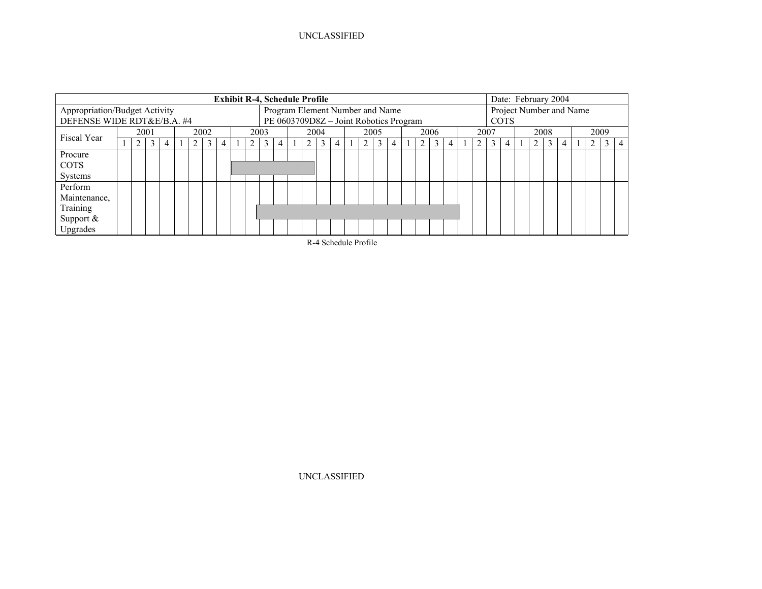|                                   |      |   |  |   |      |   |  |      | <b>Exhibit R-4, Schedule Profile</b>   |   |      |  |      |  |                |      |  |   |      |             |                | Date: February 2004     |  |   |      |   |
|-----------------------------------|------|---|--|---|------|---|--|------|----------------------------------------|---|------|--|------|--|----------------|------|--|---|------|-------------|----------------|-------------------------|--|---|------|---|
| Appropriation/Budget Activity     |      |   |  |   |      |   |  |      | Program Element Number and Name        |   |      |  |      |  |                |      |  |   |      |             |                | Project Number and Name |  |   |      |   |
| DEFENSE WIDE RDT&E/B.A. #4        |      |   |  |   |      |   |  |      | PE 0603709D8Z - Joint Robotics Program |   |      |  |      |  |                |      |  |   |      | <b>COTS</b> |                |                         |  |   |      |   |
| Fiscal Year                       | 2001 |   |  |   | 2002 |   |  | 2003 |                                        |   | 2004 |  | 2005 |  |                | 2006 |  |   | 2007 |             |                | 2008                    |  |   | 2009 |   |
|                                   | 2    | 3 |  | 2 | 3    | 4 |  |      |                                        | 2 | 3    |  | 3    |  | $\overline{2}$ | 3    |  | 2 | 3    |             | 2 <sup>1</sup> | 3                       |  | 2 | 3    | 4 |
| Procure<br><b>COTS</b><br>Systems |      |   |  |   |      |   |  |      |                                        |   |      |  |      |  |                |      |  |   |      |             |                |                         |  |   |      |   |
| Perform<br>Maintenance,           |      |   |  |   |      |   |  |      |                                        |   |      |  |      |  |                |      |  |   |      |             |                |                         |  |   |      |   |
| Training<br>Support &<br>Upgrades |      |   |  |   |      |   |  |      |                                        |   |      |  |      |  |                |      |  |   |      |             |                |                         |  |   |      |   |

R-4 Schedule Profile